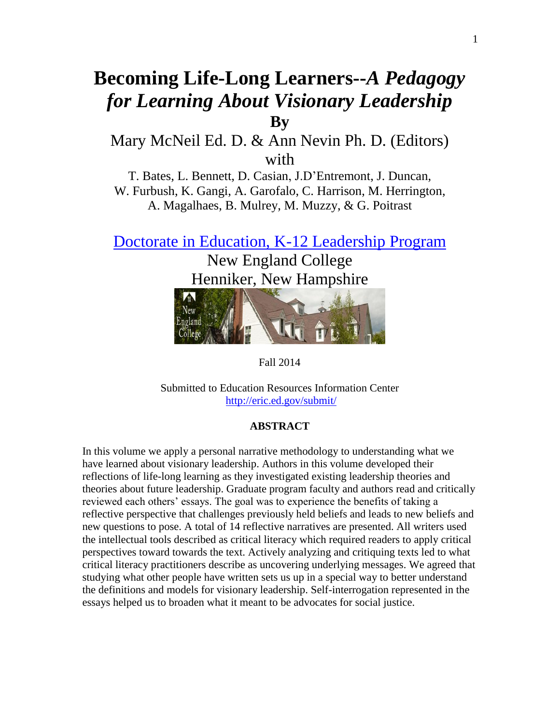# **Becoming Life-Long Learners--***A Pedagogy for Learning About Visionary Leadership* **By**

### Mary McNeil Ed. D. & Ann Nevin Ph. D. (Editors) with

T. Bates, L. Bennett, D. Casian, J.D'Entremont, J. Duncan, W. Furbush, K. Gangi, A. Garofalo, C. Harrison, M. Herrington, A. Magalhaes, B. Mulrey, M. Muzzy, & G. Poitrast

[Doctorate in Education, K-12 Leadership Program](http://www.nec.edu/academics/doctorate-education/)

New England College Henniker, New Hampshire



Fall 2014

Submitted to Education Resources Information Center <http://eric.ed.gov/submit/>

### **ABSTRACT**

In this volume we apply a personal narrative methodology to understanding what we have learned about visionary leadership. Authors in this volume developed their reflections of life-long learning as they investigated existing leadership theories and theories about future leadership. Graduate program faculty and authors read and critically reviewed each others' essays. The goal was to experience the benefits of taking a reflective perspective that challenges previously held beliefs and leads to new beliefs and new questions to pose. A total of 14 reflective narratives are presented. All writers used the intellectual tools described as critical literacy which required readers to apply critical perspectives toward towards the text. Actively analyzing and critiquing texts led to what critical literacy practitioners describe as uncovering underlying messages. We agreed that studying what other people have written sets us up in a special way to better understand the definitions and models for visionary leadership. Self-interrogation represented in the essays helped us to broaden what it meant to be advocates for social justice.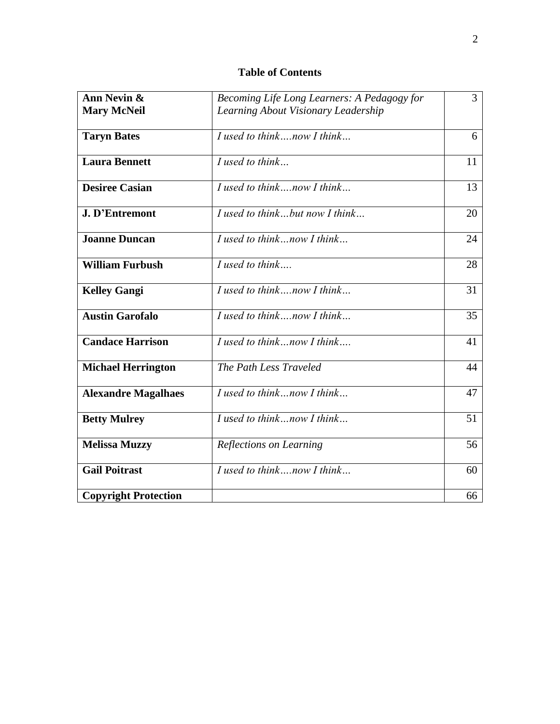### **Table of Contents**

| Ann Nevin &                 | Becoming Life Long Learners: A Pedagogy for | 3  |
|-----------------------------|---------------------------------------------|----|
| <b>Mary McNeil</b>          | Learning About Visionary Leadership         |    |
|                             |                                             |    |
| <b>Taryn Bates</b>          | I used to thinknow I think                  | 6  |
| <b>Laura Bennett</b>        | $I$ used to think.                          | 11 |
|                             |                                             |    |
| <b>Desiree Casian</b>       | I used to thinknow I think                  | 13 |
|                             |                                             |    |
| <b>J. D'Entremont</b>       | I used to thinkbut now I think              | 20 |
| <b>Joanne Duncan</b>        | I used to thinknow I think                  | 24 |
|                             |                                             |    |
| <b>William Furbush</b>      | $I$ used to think                           | 28 |
|                             |                                             |    |
| <b>Kelley Gangi</b>         | I used to thinknow I think                  | 31 |
| <b>Austin Garofalo</b>      | I used to thinknow I think                  | 35 |
|                             |                                             |    |
| <b>Candace Harrison</b>     | I used to think now I think                 | 41 |
|                             |                                             |    |
| <b>Michael Herrington</b>   | The Path Less Traveled                      | 44 |
| <b>Alexandre Magalhaes</b>  | I used to thinknow I think                  | 47 |
|                             |                                             |    |
| <b>Betty Mulrey</b>         | $I$ used to think now I think               | 51 |
|                             |                                             |    |
| <b>Melissa Muzzy</b>        | Reflections on Learning                     | 56 |
| <b>Gail Poitrast</b>        | I used to thinknow I think                  | 60 |
|                             |                                             |    |
| <b>Copyright Protection</b> |                                             | 66 |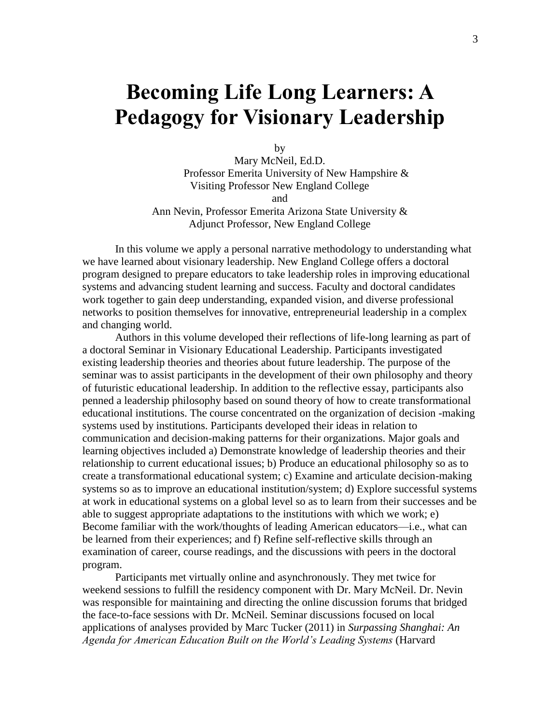# **Becoming Life Long Learners: A Pedagogy for Visionary Leadership**

by

Mary McNeil, Ed.D. Professor Emerita University of New Hampshire & Visiting Professor New England College and Ann Nevin, Professor Emerita Arizona State University &

Adjunct Professor, New England College

In this volume we apply a personal narrative methodology to understanding what we have learned about visionary leadership. New England College offers a doctoral program designed to prepare educators to take leadership roles in improving educational systems and advancing student learning and success. Faculty and doctoral candidates work together to gain deep understanding, expanded vision, and diverse professional networks to position themselves for innovative, entrepreneurial leadership in a complex and changing world.

Authors in this volume developed their reflections of life-long learning as part of a doctoral Seminar in Visionary Educational Leadership. Participants investigated existing leadership theories and theories about future leadership. The purpose of the seminar was to assist participants in the development of their own philosophy and theory of futuristic educational leadership. In addition to the reflective essay, participants also penned a leadership philosophy based on sound theory of how to create transformational educational institutions. The course concentrated on the organization of decision -making systems used by institutions. Participants developed their ideas in relation to communication and decision-making patterns for their organizations. Major goals and learning objectives included a) Demonstrate knowledge of leadership theories and their relationship to current educational issues; b) Produce an educational philosophy so as to create a transformational educational system; c) Examine and articulate decision-making systems so as to improve an educational institution/system; d) Explore successful systems at work in educational systems on a global level so as to learn from their successes and be able to suggest appropriate adaptations to the institutions with which we work; e) Become familiar with the work/thoughts of leading American educators—i.e., what can be learned from their experiences; and f) Refine self-reflective skills through an examination of career, course readings, and the discussions with peers in the doctoral program.

Participants met virtually online and asynchronously. They met twice for weekend sessions to fulfill the residency component with Dr. Mary McNeil. Dr. Nevin was responsible for maintaining and directing the online discussion forums that bridged the face-to-face sessions with Dr. McNeil. Seminar discussions focused on local applications of analyses provided by Marc Tucker (2011) in *Surpassing Shanghai: An Agenda for American Education Built on the World's Leading Systems* (Harvard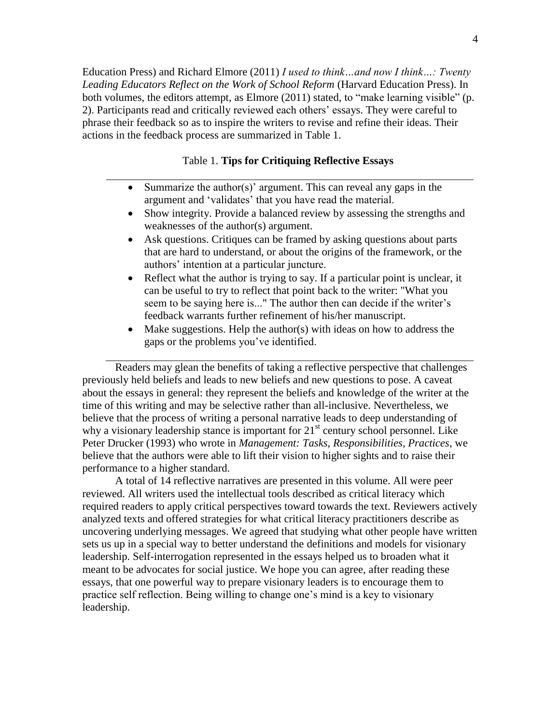Education Press) and Richard Elmore (2011) *I used to think…and now I think…: Twenty Leading Educators Reflect on the Work of School Reform* (Harvard Education Press). In both volumes, the editors attempt, as Elmore  $(2011)$  stated, to "make learning visible" (p. 2). Participants read and critically reviewed each others' essays. They were careful to phrase their feedback so as to inspire the writers to revise and refine their ideas. Their actions in the feedback process are summarized in Table 1.

#### Table 1. **Tips for Critiquing Reflective Essays**

- Summarize the author(s)' argument. This can reveal any gaps in the argument and 'validates' that you have read the material.
- Show integrity. Provide a balanced review by assessing the strengths and weaknesses of the author(s) argument.
- Ask questions. Critiques can be framed by asking questions about parts that are hard to understand, or about the origins of the framework, or the authors' intention at a particular juncture.
- Reflect what the author is trying to say. If a particular point is unclear, it can be useful to try to reflect that point back to the writer: "What you seem to be saying here is..." The author then can decide if the writer's feedback warrants further refinement of his/her manuscript.
- Make suggestions. Help the author(s) with ideas on how to address the gaps or the problems you've identified.

Readers may glean the benefits of taking a reflective perspective that challenges previously held beliefs and leads to new beliefs and new questions to pose. A caveat about the essays in general: they represent the beliefs and knowledge of the writer at the time of this writing and may be selective rather than all-inclusive. Nevertheless, we believe that the process of writing a personal narrative leads to deep understanding of why a visionary leadership stance is important for  $21<sup>st</sup>$  century school personnel. Like Peter Drucker (1993) who wrote in *Management: Tasks, Responsibilities, Practices*, we believe that the authors were able to lift their vision to higher sights and to raise their performance to a higher standard.

A total of 14 reflective narratives are presented in this volume. All were peer reviewed. All writers used the intellectual tools described as critical literacy which required readers to apply critical perspectives toward towards the text. Reviewers actively analyzed texts and offered strategies for what critical literacy practitioners describe as uncovering underlying messages. We agreed that studying what other people have written sets us up in a special way to better understand the definitions and models for visionary leadership. Self-interrogation represented in the essays helped us to broaden what it meant to be advocates for social justice. We hope you can agree, after reading these essays, that one powerful way to prepare visionary leaders is to encourage them to practice self reflection. Being willing to change one's mind is a key to visionary leadership.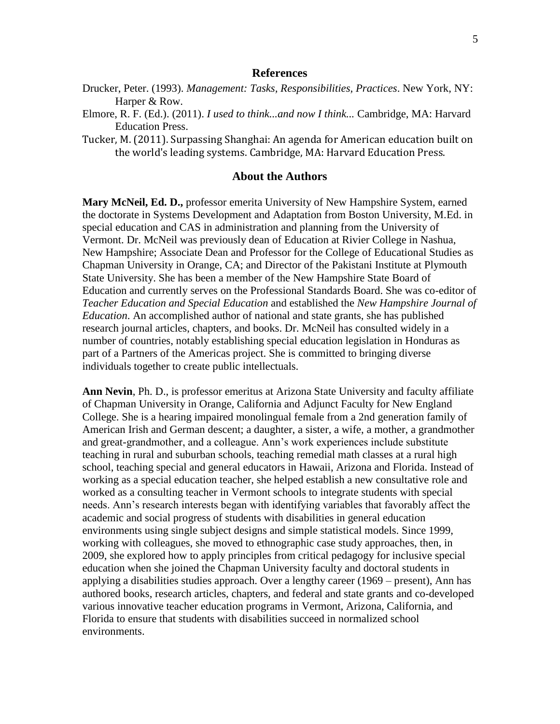#### **References**

- Drucker, Peter. (1993). *Management: Tasks, Responsibilities, Practices*. New York, NY: Harper & Row.
- Elmore, R. F. (Ed.). (2011). *I used to think...and now I think...* Cambridge, MA: Harvard Education Press.
- Tucker, M. (2011). Surpassing Shanghai: An agenda for American education built on the world's leading systems. Cambridge, MA: Harvard Education Press.

### **About the Authors**

**Mary McNeil, Ed. D.,** professor emerita University of New Hampshire System, earned the doctorate in Systems Development and Adaptation from Boston University, M.Ed. in special education and CAS in administration and planning from the University of Vermont. Dr. McNeil was previously dean of Education at Rivier College in Nashua, New Hampshire; Associate Dean and Professor for the College of Educational Studies as Chapman University in Orange, CA; and Director of the Pakistani Institute at Plymouth State University. She has been a member of the New Hampshire State Board of Education and currently serves on the Professional Standards Board. She was co-editor of *Teacher Education and Special Education* and established the *New Hampshire Journal of Education*. An accomplished author of national and state grants, she has published research journal articles, chapters, and books. Dr. McNeil has consulted widely in a number of countries, notably establishing special education legislation in Honduras as part of a Partners of the Americas project. She is committed to bringing diverse individuals together to create public intellectuals.

**Ann Nevin**, Ph. D., is professor emeritus at Arizona State University and faculty affiliate of Chapman University in Orange, California and Adjunct Faculty for New England College. She is a hearing impaired monolingual female from a 2nd generation family of American Irish and German descent; a daughter, a sister, a wife, a mother, a grandmother and great-grandmother, and a colleague. Ann's work experiences include substitute teaching in rural and suburban schools, teaching remedial math classes at a rural high school, teaching special and general educators in Hawaii, Arizona and Florida. Instead of working as a special education teacher, she helped establish a new consultative role and worked as a consulting teacher in Vermont schools to integrate students with special needs. Ann's research interests began with identifying variables that favorably affect the academic and social progress of students with disabilities in general education environments using single subject designs and simple statistical models. Since 1999, working with colleagues, she moved to ethnographic case study approaches, then, in 2009, she explored how to apply principles from critical pedagogy for inclusive special education when she joined the Chapman University faculty and doctoral students in applying a disabilities studies approach. Over a lengthy career (1969 – present), Ann has authored books, research articles, chapters, and federal and state grants and co-developed various innovative teacher education programs in Vermont, Arizona, California, and Florida to ensure that students with disabilities succeed in normalized school environments.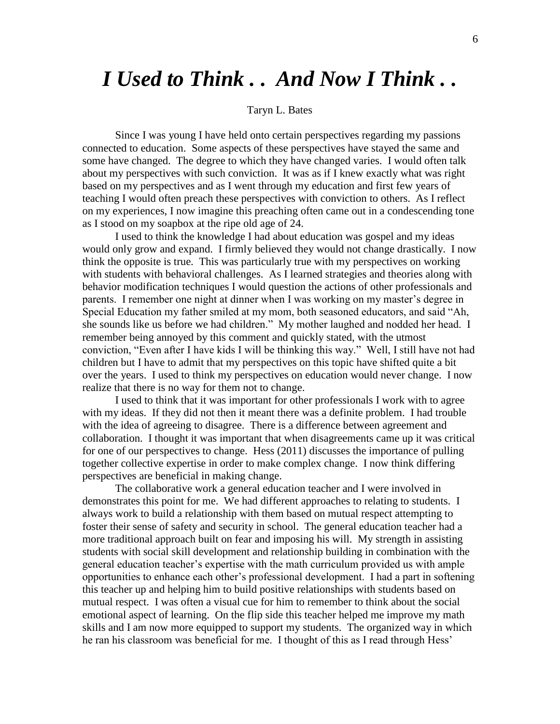# *I Used to Think . . And Now I Think . .*

#### Taryn L. Bates

Since I was young I have held onto certain perspectives regarding my passions connected to education. Some aspects of these perspectives have stayed the same and some have changed. The degree to which they have changed varies. I would often talk about my perspectives with such conviction. It was as if I knew exactly what was right based on my perspectives and as I went through my education and first few years of teaching I would often preach these perspectives with conviction to others. As I reflect on my experiences, I now imagine this preaching often came out in a condescending tone as I stood on my soapbox at the ripe old age of 24.

I used to think the knowledge I had about education was gospel and my ideas would only grow and expand. I firmly believed they would not change drastically. I now think the opposite is true. This was particularly true with my perspectives on working with students with behavioral challenges. As I learned strategies and theories along with behavior modification techniques I would question the actions of other professionals and parents. I remember one night at dinner when I was working on my master's degree in Special Education my father smiled at my mom, both seasoned educators, and said "Ah, she sounds like us before we had children." My mother laughed and nodded her head. I remember being annoyed by this comment and quickly stated, with the utmost conviction, "Even after I have kids I will be thinking this way." Well, I still have not had children but I have to admit that my perspectives on this topic have shifted quite a bit over the years. I used to think my perspectives on education would never change. I now realize that there is no way for them not to change.

I used to think that it was important for other professionals I work with to agree with my ideas. If they did not then it meant there was a definite problem. I had trouble with the idea of agreeing to disagree. There is a difference between agreement and collaboration. I thought it was important that when disagreements came up it was critical for one of our perspectives to change. Hess (2011) discusses the importance of pulling together collective expertise in order to make complex change. I now think differing perspectives are beneficial in making change.

The collaborative work a general education teacher and I were involved in demonstrates this point for me. We had different approaches to relating to students. I always work to build a relationship with them based on mutual respect attempting to foster their sense of safety and security in school. The general education teacher had a more traditional approach built on fear and imposing his will. My strength in assisting students with social skill development and relationship building in combination with the general education teacher's expertise with the math curriculum provided us with ample opportunities to enhance each other's professional development. I had a part in softening this teacher up and helping him to build positive relationships with students based on mutual respect. I was often a visual cue for him to remember to think about the social emotional aspect of learning. On the flip side this teacher helped me improve my math skills and I am now more equipped to support my students. The organized way in which he ran his classroom was beneficial for me. I thought of this as I read through Hess'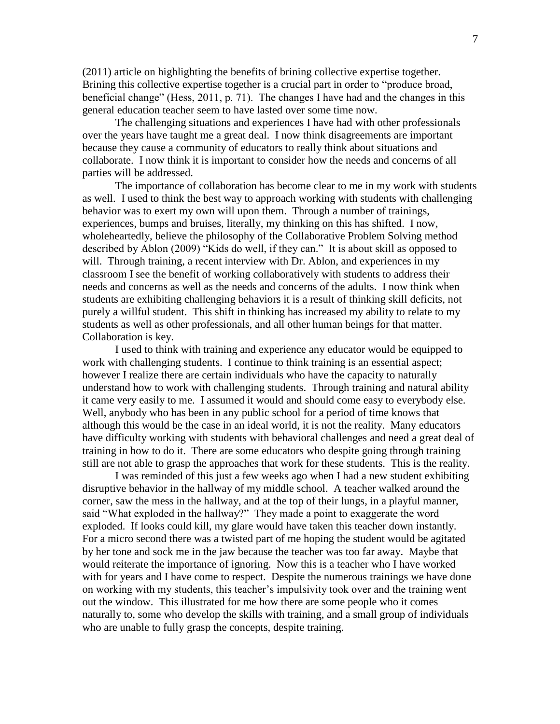(2011) article on highlighting the benefits of brining collective expertise together. Brining this collective expertise together is a crucial part in order to "produce broad, beneficial change" (Hess, 2011, p. 71). The changes I have had and the changes in this general education teacher seem to have lasted over some time now.

The challenging situations and experiences I have had with other professionals over the years have taught me a great deal. I now think disagreements are important because they cause a community of educators to really think about situations and collaborate. I now think it is important to consider how the needs and concerns of all parties will be addressed.

The importance of collaboration has become clear to me in my work with students as well. I used to think the best way to approach working with students with challenging behavior was to exert my own will upon them. Through a number of trainings, experiences, bumps and bruises, literally, my thinking on this has shifted. I now, wholeheartedly, believe the philosophy of the Collaborative Problem Solving method described by Ablon (2009) "Kids do well, if they can." It is about skill as opposed to will. Through training, a recent interview with Dr. Ablon, and experiences in my classroom I see the benefit of working collaboratively with students to address their needs and concerns as well as the needs and concerns of the adults. I now think when students are exhibiting challenging behaviors it is a result of thinking skill deficits, not purely a willful student. This shift in thinking has increased my ability to relate to my students as well as other professionals, and all other human beings for that matter. Collaboration is key.

I used to think with training and experience any educator would be equipped to work with challenging students. I continue to think training is an essential aspect; however I realize there are certain individuals who have the capacity to naturally understand how to work with challenging students. Through training and natural ability it came very easily to me. I assumed it would and should come easy to everybody else. Well, anybody who has been in any public school for a period of time knows that although this would be the case in an ideal world, it is not the reality. Many educators have difficulty working with students with behavioral challenges and need a great deal of training in how to do it. There are some educators who despite going through training still are not able to grasp the approaches that work for these students. This is the reality.

I was reminded of this just a few weeks ago when I had a new student exhibiting disruptive behavior in the hallway of my middle school. A teacher walked around the corner, saw the mess in the hallway, and at the top of their lungs, in a playful manner, said "What exploded in the hallway?" They made a point to exaggerate the word exploded. If looks could kill, my glare would have taken this teacher down instantly. For a micro second there was a twisted part of me hoping the student would be agitated by her tone and sock me in the jaw because the teacher was too far away. Maybe that would reiterate the importance of ignoring. Now this is a teacher who I have worked with for years and I have come to respect. Despite the numerous trainings we have done on working with my students, this teacher's impulsivity took over and the training went out the window. This illustrated for me how there are some people who it comes naturally to, some who develop the skills with training, and a small group of individuals who are unable to fully grasp the concepts, despite training.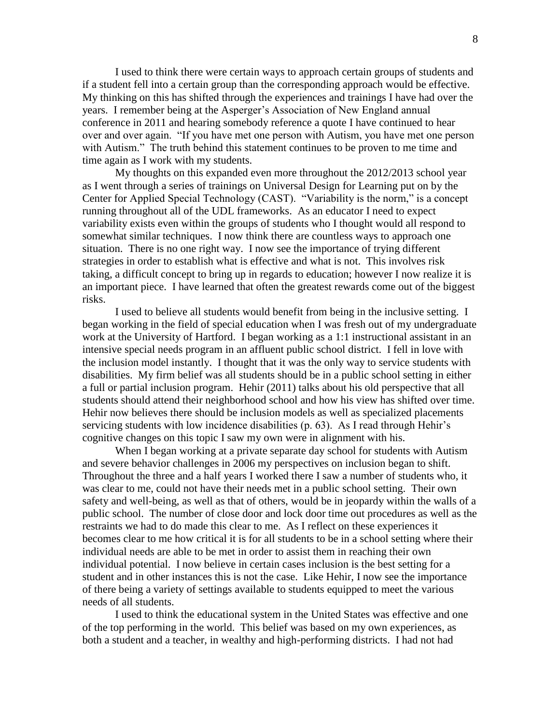I used to think there were certain ways to approach certain groups of students and if a student fell into a certain group than the corresponding approach would be effective. My thinking on this has shifted through the experiences and trainings I have had over the years. I remember being at the Asperger's Association of New England annual conference in 2011 and hearing somebody reference a quote I have continued to hear over and over again. "If you have met one person with Autism, you have met one person with Autism." The truth behind this statement continues to be proven to me time and time again as I work with my students.

My thoughts on this expanded even more throughout the 2012/2013 school year as I went through a series of trainings on Universal Design for Learning put on by the Center for Applied Special Technology (CAST). "Variability is the norm," is a concept running throughout all of the UDL frameworks. As an educator I need to expect variability exists even within the groups of students who I thought would all respond to somewhat similar techniques. I now think there are countless ways to approach one situation. There is no one right way. I now see the importance of trying different strategies in order to establish what is effective and what is not. This involves risk taking, a difficult concept to bring up in regards to education; however I now realize it is an important piece. I have learned that often the greatest rewards come out of the biggest risks.

I used to believe all students would benefit from being in the inclusive setting. I began working in the field of special education when I was fresh out of my undergraduate work at the University of Hartford. I began working as a 1:1 instructional assistant in an intensive special needs program in an affluent public school district. I fell in love with the inclusion model instantly. I thought that it was the only way to service students with disabilities. My firm belief was all students should be in a public school setting in either a full or partial inclusion program. Hehir (2011) talks about his old perspective that all students should attend their neighborhood school and how his view has shifted over time. Hehir now believes there should be inclusion models as well as specialized placements servicing students with low incidence disabilities (p. 63). As I read through Hehir's cognitive changes on this topic I saw my own were in alignment with his.

When I began working at a private separate day school for students with Autism and severe behavior challenges in 2006 my perspectives on inclusion began to shift. Throughout the three and a half years I worked there I saw a number of students who, it was clear to me, could not have their needs met in a public school setting. Their own safety and well-being, as well as that of others, would be in jeopardy within the walls of a public school. The number of close door and lock door time out procedures as well as the restraints we had to do made this clear to me. As I reflect on these experiences it becomes clear to me how critical it is for all students to be in a school setting where their individual needs are able to be met in order to assist them in reaching their own individual potential. I now believe in certain cases inclusion is the best setting for a student and in other instances this is not the case. Like Hehir, I now see the importance of there being a variety of settings available to students equipped to meet the various needs of all students.

I used to think the educational system in the United States was effective and one of the top performing in the world. This belief was based on my own experiences, as both a student and a teacher, in wealthy and high-performing districts. I had not had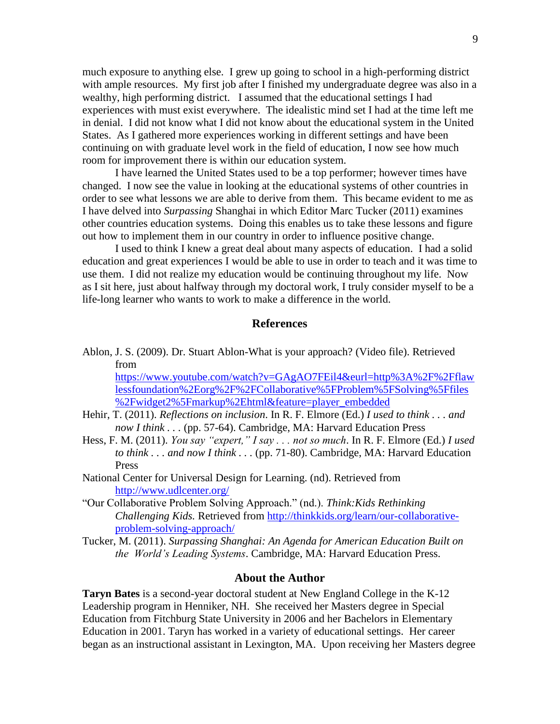much exposure to anything else. I grew up going to school in a high-performing district with ample resources. My first job after I finished my undergraduate degree was also in a wealthy, high performing district. I assumed that the educational settings I had experiences with must exist everywhere. The idealistic mind set I had at the time left me in denial. I did not know what I did not know about the educational system in the United States. As I gathered more experiences working in different settings and have been continuing on with graduate level work in the field of education, I now see how much room for improvement there is within our education system.

I have learned the United States used to be a top performer; however times have changed. I now see the value in looking at the educational systems of other countries in order to see what lessons we are able to derive from them. This became evident to me as I have delved into *Surpassing* Shanghai in which Editor Marc Tucker (2011) examines other countries education systems. Doing this enables us to take these lessons and figure out how to implement them in our country in order to influence positive change.

I used to think I knew a great deal about many aspects of education. I had a solid education and great experiences I would be able to use in order to teach and it was time to use them. I did not realize my education would be continuing throughout my life. Now as I sit here, just about halfway through my doctoral work, I truly consider myself to be a life-long learner who wants to work to make a difference in the world.

#### **References**

Ablon, J. S. (2009). Dr. Stuart Ablon-What is your approach? (Video file). Retrieved from

[https://www.youtube.com/watch?v=GAgAO7FEil4&eurl=http%3A%2F%2Fflaw](https://www.youtube.com/watch?v=GAgAO7FEil4&eurl=http%3A%2F%2Fflawlessfoundation%2Eorg%2F%2FCollaborative%5FProblem%5FSolving%5Ffiles%2Fwidget2%5Fmarkup%2Ehtml&feature=player_embedded) [lessfoundation%2Eorg%2F%2FCollaborative%5FProblem%5FSolving%5Ffiles](https://www.youtube.com/watch?v=GAgAO7FEil4&eurl=http%3A%2F%2Fflawlessfoundation%2Eorg%2F%2FCollaborative%5FProblem%5FSolving%5Ffiles%2Fwidget2%5Fmarkup%2Ehtml&feature=player_embedded) [%2Fwidget2%5Fmarkup%2Ehtml&feature=player\\_embedded](https://www.youtube.com/watch?v=GAgAO7FEil4&eurl=http%3A%2F%2Fflawlessfoundation%2Eorg%2F%2FCollaborative%5FProblem%5FSolving%5Ffiles%2Fwidget2%5Fmarkup%2Ehtml&feature=player_embedded)

- Hehir, T. (2011). *Reflections on inclusion*. In R. F. Elmore (Ed.) *I used to think . . . and now I think . . .* (pp. 57-64). Cambridge, MA: Harvard Education Press
- Hess, F. M. (2011). *You say "expert," I say . . . not so much*. In R. F. Elmore (Ed.) *I used to think . . . and now I think . . .* (pp. 71-80). Cambridge, MA: Harvard Education Press
- National Center for Universal Design for Learning. (nd). Retrieved from <http://www.udlcenter.org/>
- ―Our Collaborative Problem Solving Approach.‖ (nd.). *Think:Kids Rethinking Challenging Kids.* Retrieved from [http://thinkkids.org/learn/our-collaborative](http://thinkkids.org/learn/our-collaborative-problem-solving-approach/)[problem-solving-approach/](http://thinkkids.org/learn/our-collaborative-problem-solving-approach/)
- Tucker, M. (2011). *Surpassing Shanghai: An Agenda for American Education Built on the World's Leading Systems*. Cambridge, MA: Harvard Education Press.

### **About the Author**

**Taryn Bates** is a second-year doctoral student at New England College in the K-12 Leadership program in Henniker, NH. She received her Masters degree in Special Education from Fitchburg State University in 2006 and her Bachelors in Elementary Education in 2001. Taryn has worked in a variety of educational settings. Her career began as an instructional assistant in Lexington, MA. Upon receiving her Masters degree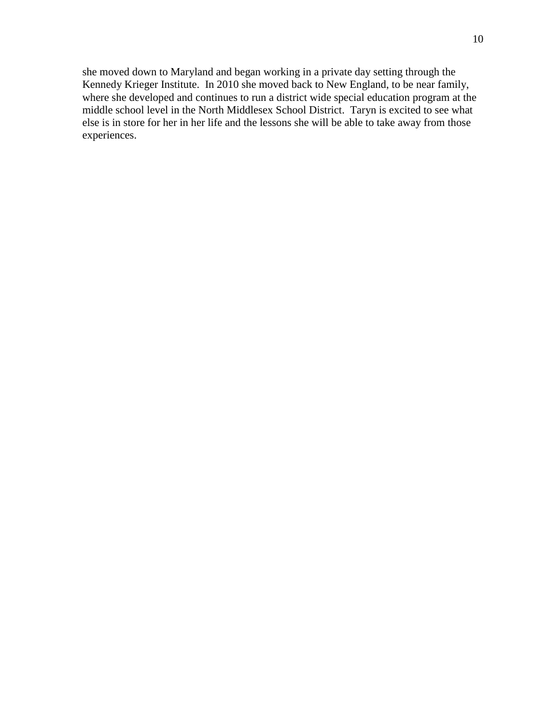she moved down to Maryland and began working in a private day setting through the Kennedy Krieger Institute. In 2010 she moved back to New England, to be near family, where she developed and continues to run a district wide special education program at the middle school level in the North Middlesex School District. Taryn is excited to see what else is in store for her in her life and the lessons she will be able to take away from those experiences.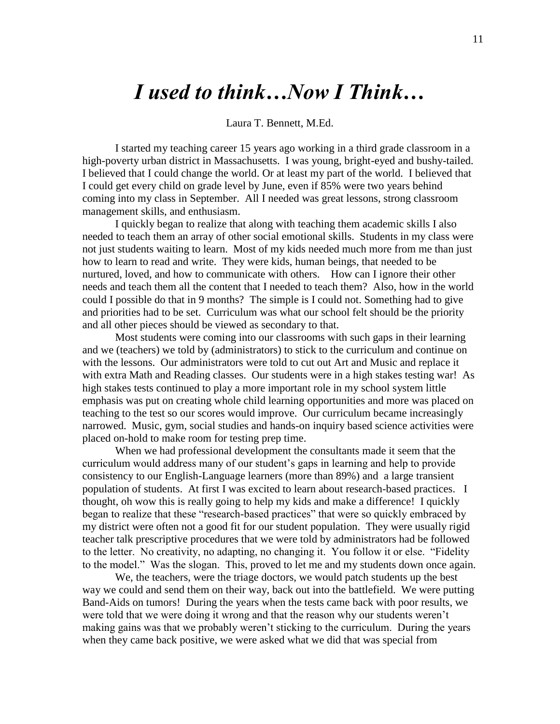# *I used to think…Now I Think…*

Laura T. Bennett, M.Ed.

I started my teaching career 15 years ago working in a third grade classroom in a high-poverty urban district in Massachusetts. I was young, bright-eyed and bushy-tailed. I believed that I could change the world. Or at least my part of the world. I believed that I could get every child on grade level by June, even if 85% were two years behind coming into my class in September. All I needed was great lessons, strong classroom management skills, and enthusiasm.

I quickly began to realize that along with teaching them academic skills I also needed to teach them an array of other social emotional skills. Students in my class were not just students waiting to learn. Most of my kids needed much more from me than just how to learn to read and write. They were kids, human beings, that needed to be nurtured, loved, and how to communicate with others. How can I ignore their other needs and teach them all the content that I needed to teach them? Also, how in the world could I possible do that in 9 months? The simple is I could not. Something had to give and priorities had to be set. Curriculum was what our school felt should be the priority and all other pieces should be viewed as secondary to that.

Most students were coming into our classrooms with such gaps in their learning and we (teachers) we told by (administrators) to stick to the curriculum and continue on with the lessons. Our administrators were told to cut out Art and Music and replace it with extra Math and Reading classes. Our students were in a high stakes testing war! As high stakes tests continued to play a more important role in my school system little emphasis was put on creating whole child learning opportunities and more was placed on teaching to the test so our scores would improve. Our curriculum became increasingly narrowed. Music, gym, social studies and hands-on inquiry based science activities were placed on-hold to make room for testing prep time.

When we had professional development the consultants made it seem that the curriculum would address many of our student's gaps in learning and help to provide consistency to our English-Language learners (more than 89%) and a large transient population of students. At first I was excited to learn about research-based practices. I thought, oh wow this is really going to help my kids and make a difference! I quickly began to realize that these "research-based practices" that were so quickly embraced by my district were often not a good fit for our student population. They were usually rigid teacher talk prescriptive procedures that we were told by administrators had be followed to the letter. No creativity, no adapting, no changing it. You follow it or else. "Fidelity to the model." Was the slogan. This, proved to let me and my students down once again.

We, the teachers, were the triage doctors, we would patch students up the best way we could and send them on their way, back out into the battlefield. We were putting Band-Aids on tumors! During the years when the tests came back with poor results, we were told that we were doing it wrong and that the reason why our students weren't making gains was that we probably weren't sticking to the curriculum. During the years when they came back positive, we were asked what we did that was special from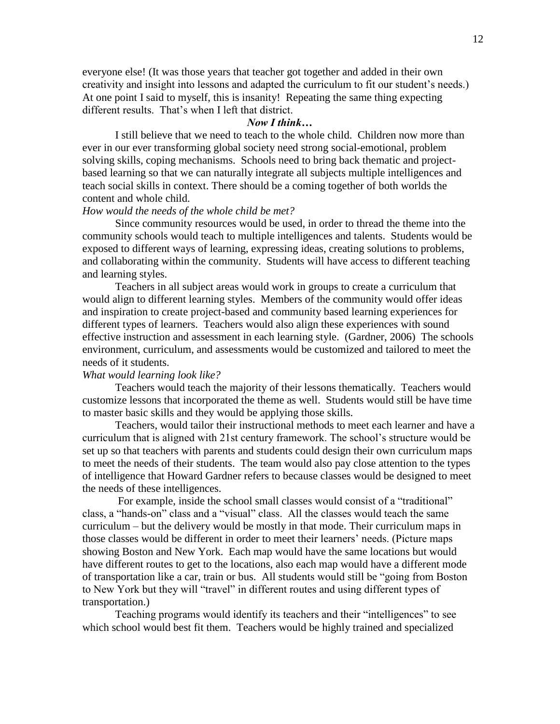everyone else! (It was those years that teacher got together and added in their own creativity and insight into lessons and adapted the curriculum to fit our student's needs.) At one point I said to myself, this is insanity! Repeating the same thing expecting different results. That's when I left that district.

#### *Now I think…*

I still believe that we need to teach to the whole child. Children now more than ever in our ever transforming global society need strong social-emotional, problem solving skills, coping mechanisms. Schools need to bring back thematic and projectbased learning so that we can naturally integrate all subjects multiple intelligences and teach social skills in context. There should be a coming together of both worlds the content and whole child.

### *How would the needs of the whole child be met?*

Since community resources would be used, in order to thread the theme into the community schools would teach to multiple intelligences and talents. Students would be exposed to different ways of learning, expressing ideas, creating solutions to problems, and collaborating within the community. Students will have access to different teaching and learning styles.

Teachers in all subject areas would work in groups to create a curriculum that would align to different learning styles. Members of the community would offer ideas and inspiration to create project-based and community based learning experiences for different types of learners. Teachers would also align these experiences with sound effective instruction and assessment in each learning style. (Gardner, 2006) The schools environment, curriculum, and assessments would be customized and tailored to meet the needs of it students.

#### *What would learning look like?*

Teachers would teach the majority of their lessons thematically. Teachers would customize lessons that incorporated the theme as well. Students would still be have time to master basic skills and they would be applying those skills.

Teachers, would tailor their instructional methods to meet each learner and have a curriculum that is aligned with 21st century framework. The school's structure would be set up so that teachers with parents and students could design their own curriculum maps to meet the needs of their students. The team would also pay close attention to the types of intelligence that Howard Gardner refers to because classes would be designed to meet the needs of these intelligences.

For example, inside the school small classes would consist of a "traditional" class, a "hands-on" class and a "visual" class. All the classes would teach the same curriculum – but the delivery would be mostly in that mode. Their curriculum maps in those classes would be different in order to meet their learners' needs. (Picture maps showing Boston and New York. Each map would have the same locations but would have different routes to get to the locations, also each map would have a different mode of transportation like a car, train or bus. All students would still be "going from Boston" to New York but they will "travel" in different routes and using different types of transportation.)

Teaching programs would identify its teachers and their "intelligences" to see which school would best fit them. Teachers would be highly trained and specialized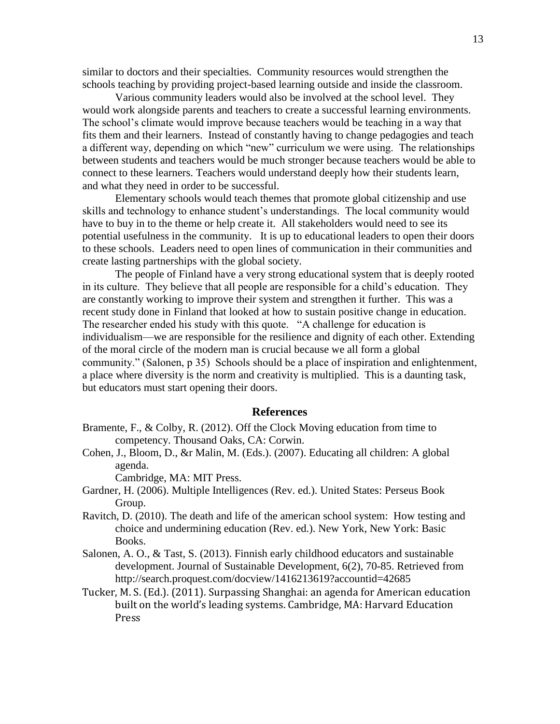similar to doctors and their specialties. Community resources would strengthen the schools teaching by providing project-based learning outside and inside the classroom.

Various community leaders would also be involved at the school level. They would work alongside parents and teachers to create a successful learning environments. The school's climate would improve because teachers would be teaching in a way that fits them and their learners. Instead of constantly having to change pedagogies and teach a different way, depending on which "new" curriculum we were using. The relationships between students and teachers would be much stronger because teachers would be able to connect to these learners. Teachers would understand deeply how their students learn, and what they need in order to be successful.

Elementary schools would teach themes that promote global citizenship and use skills and technology to enhance student's understandings. The local community would have to buy in to the theme or help create it. All stakeholders would need to see its potential usefulness in the community. It is up to educational leaders to open their doors to these schools. Leaders need to open lines of communication in their communities and create lasting partnerships with the global society.

The people of Finland have a very strong educational system that is deeply rooted in its culture. They believe that all people are responsible for a child's education. They are constantly working to improve their system and strengthen it further. This was a recent study done in Finland that looked at how to sustain positive change in education. The researcher ended his study with this quote. "A challenge for education is individualism—we are responsible for the resilience and dignity of each other. Extending of the moral circle of the modern man is crucial because we all form a global community." (Salonen, p 35) Schools should be a place of inspiration and enlightenment, a place where diversity is the norm and creativity is multiplied. This is a daunting task, but educators must start opening their doors.

#### **References**

- Bramente, F., & Colby, R. (2012). Off the Clock Moving education from time to competency. Thousand Oaks, CA: Corwin.
- Cohen, J., Bloom, D., &r Malin, M. (Eds.). (2007). Educating all children: A global agenda.

Cambridge, MA: MIT Press.

- Gardner, H. (2006). Multiple Intelligences (Rev. ed.). United States: Perseus Book Group.
- Ravitch, D. (2010). The death and life of the american school system: How testing and choice and undermining education (Rev. ed.). New York, New York: Basic Books.
- Salonen, A. O., & Tast, S. (2013). Finnish early childhood educators and sustainable development. Journal of Sustainable Development, 6(2), 70-85. Retrieved from http://search.proquest.com/docview/1416213619?accountid=42685
- Tucker, M. S. (Ed.). (2011). Surpassing Shanghai: an agenda for American education built on the world's leading systems. Cambridge, MA: Harvard Education Press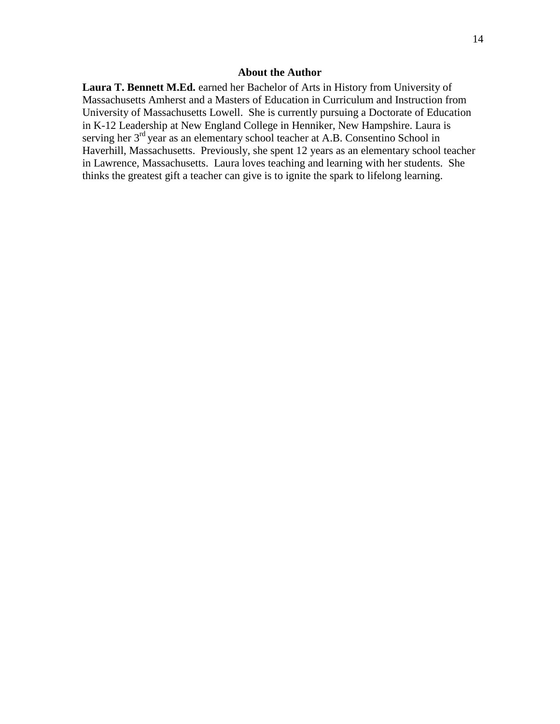#### **About the Author**

**Laura T. Bennett M.Ed.** earned her Bachelor of Arts in History from University of Massachusetts Amherst and a Masters of Education in Curriculum and Instruction from University of Massachusetts Lowell. She is currently pursuing a Doctorate of Education in K-12 Leadership at New England College in Henniker, New Hampshire. Laura is serving her 3<sup>rd</sup> year as an elementary school teacher at A.B. Consentino School in Haverhill, Massachusetts. Previously, she spent 12 years as an elementary school teacher in Lawrence, Massachusetts. Laura loves teaching and learning with her students. She thinks the greatest gift a teacher can give is to ignite the spark to lifelong learning.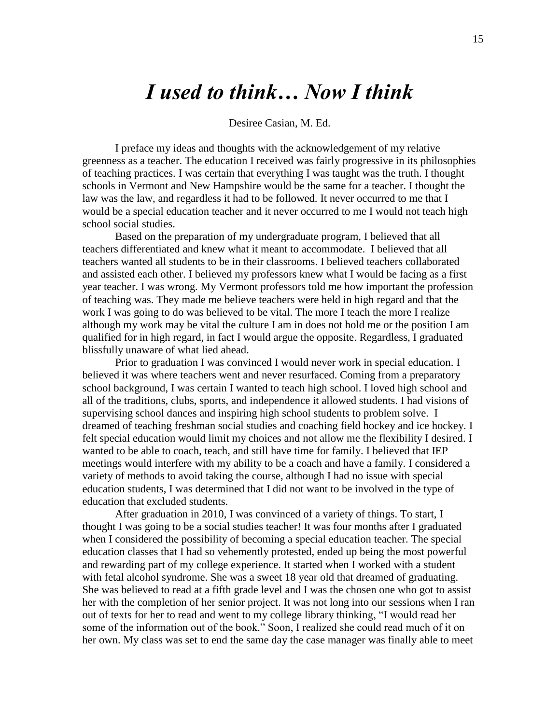# *I used to think… Now I think*

#### Desiree Casian, M. Ed.

I preface my ideas and thoughts with the acknowledgement of my relative greenness as a teacher. The education I received was fairly progressive in its philosophies of teaching practices. I was certain that everything I was taught was the truth. I thought schools in Vermont and New Hampshire would be the same for a teacher. I thought the law was the law, and regardless it had to be followed. It never occurred to me that I would be a special education teacher and it never occurred to me I would not teach high school social studies.

Based on the preparation of my undergraduate program, I believed that all teachers differentiated and knew what it meant to accommodate. I believed that all teachers wanted all students to be in their classrooms. I believed teachers collaborated and assisted each other. I believed my professors knew what I would be facing as a first year teacher. I was wrong. My Vermont professors told me how important the profession of teaching was. They made me believe teachers were held in high regard and that the work I was going to do was believed to be vital. The more I teach the more I realize although my work may be vital the culture I am in does not hold me or the position I am qualified for in high regard, in fact I would argue the opposite. Regardless, I graduated blissfully unaware of what lied ahead.

Prior to graduation I was convinced I would never work in special education. I believed it was where teachers went and never resurfaced. Coming from a preparatory school background, I was certain I wanted to teach high school. I loved high school and all of the traditions, clubs, sports, and independence it allowed students. I had visions of supervising school dances and inspiring high school students to problem solve. I dreamed of teaching freshman social studies and coaching field hockey and ice hockey. I felt special education would limit my choices and not allow me the flexibility I desired. I wanted to be able to coach, teach, and still have time for family. I believed that IEP meetings would interfere with my ability to be a coach and have a family. I considered a variety of methods to avoid taking the course, although I had no issue with special education students, I was determined that I did not want to be involved in the type of education that excluded students.

After graduation in 2010, I was convinced of a variety of things. To start, I thought I was going to be a social studies teacher! It was four months after I graduated when I considered the possibility of becoming a special education teacher. The special education classes that I had so vehemently protested, ended up being the most powerful and rewarding part of my college experience. It started when I worked with a student with fetal alcohol syndrome. She was a sweet 18 year old that dreamed of graduating. She was believed to read at a fifth grade level and I was the chosen one who got to assist her with the completion of her senior project. It was not long into our sessions when I ran out of texts for her to read and went to my college library thinking, "I would read her some of the information out of the book." Soon, I realized she could read much of it on her own. My class was set to end the same day the case manager was finally able to meet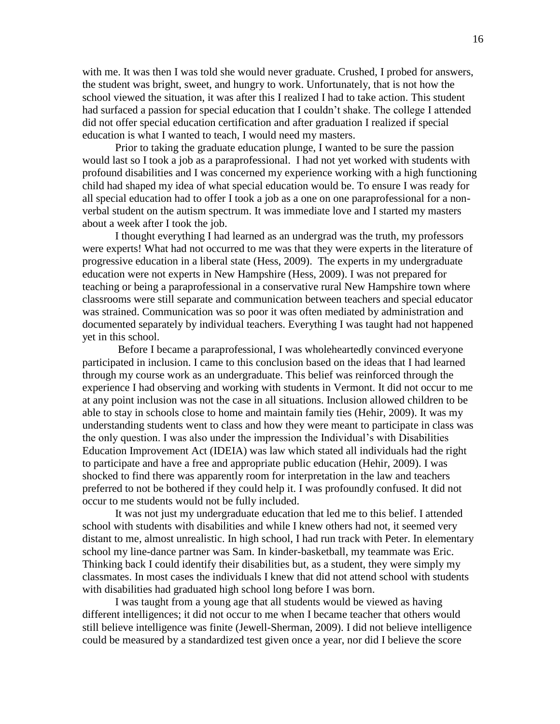with me. It was then I was told she would never graduate. Crushed, I probed for answers, the student was bright, sweet, and hungry to work. Unfortunately, that is not how the school viewed the situation, it was after this I realized I had to take action. This student had surfaced a passion for special education that I couldn't shake. The college I attended did not offer special education certification and after graduation I realized if special education is what I wanted to teach, I would need my masters.

Prior to taking the graduate education plunge, I wanted to be sure the passion would last so I took a job as a paraprofessional. I had not yet worked with students with profound disabilities and I was concerned my experience working with a high functioning child had shaped my idea of what special education would be. To ensure I was ready for all special education had to offer I took a job as a one on one paraprofessional for a nonverbal student on the autism spectrum. It was immediate love and I started my masters about a week after I took the job.

I thought everything I had learned as an undergrad was the truth, my professors were experts! What had not occurred to me was that they were experts in the literature of progressive education in a liberal state (Hess, 2009). The experts in my undergraduate education were not experts in New Hampshire (Hess, 2009). I was not prepared for teaching or being a paraprofessional in a conservative rural New Hampshire town where classrooms were still separate and communication between teachers and special educator was strained. Communication was so poor it was often mediated by administration and documented separately by individual teachers. Everything I was taught had not happened yet in this school.

Before I became a paraprofessional, I was wholeheartedly convinced everyone participated in inclusion. I came to this conclusion based on the ideas that I had learned through my course work as an undergraduate. This belief was reinforced through the experience I had observing and working with students in Vermont. It did not occur to me at any point inclusion was not the case in all situations. Inclusion allowed children to be able to stay in schools close to home and maintain family ties (Hehir, 2009). It was my understanding students went to class and how they were meant to participate in class was the only question. I was also under the impression the Individual's with Disabilities Education Improvement Act (IDEIA) was law which stated all individuals had the right to participate and have a free and appropriate public education (Hehir, 2009). I was shocked to find there was apparently room for interpretation in the law and teachers preferred to not be bothered if they could help it. I was profoundly confused. It did not occur to me students would not be fully included.

It was not just my undergraduate education that led me to this belief. I attended school with students with disabilities and while I knew others had not, it seemed very distant to me, almost unrealistic. In high school, I had run track with Peter. In elementary school my line-dance partner was Sam. In kinder-basketball, my teammate was Eric. Thinking back I could identify their disabilities but, as a student, they were simply my classmates. In most cases the individuals I knew that did not attend school with students with disabilities had graduated high school long before I was born.

I was taught from a young age that all students would be viewed as having different intelligences; it did not occur to me when I became teacher that others would still believe intelligence was finite (Jewell-Sherman, 2009). I did not believe intelligence could be measured by a standardized test given once a year, nor did I believe the score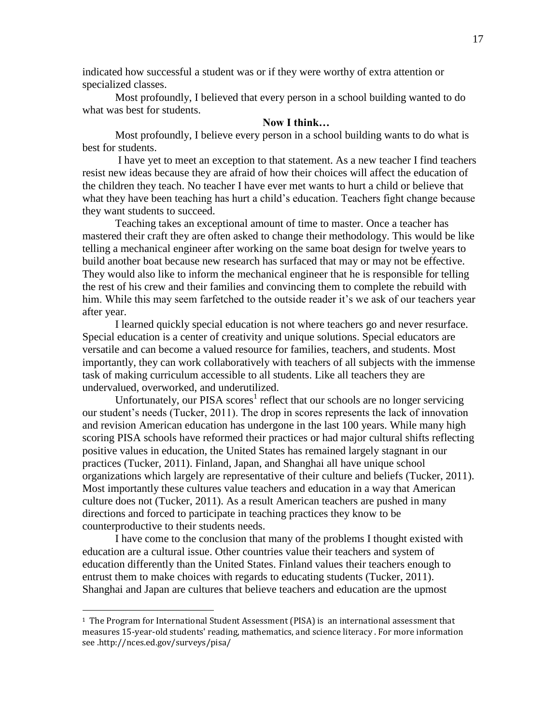indicated how successful a student was or if they were worthy of extra attention or specialized classes.

Most profoundly, I believed that every person in a school building wanted to do what was best for students.

### **Now I think…**

Most profoundly, I believe every person in a school building wants to do what is best for students.

I have yet to meet an exception to that statement. As a new teacher I find teachers resist new ideas because they are afraid of how their choices will affect the education of the children they teach. No teacher I have ever met wants to hurt a child or believe that what they have been teaching has hurt a child's education. Teachers fight change because they want students to succeed.

Teaching takes an exceptional amount of time to master. Once a teacher has mastered their craft they are often asked to change their methodology. This would be like telling a mechanical engineer after working on the same boat design for twelve years to build another boat because new research has surfaced that may or may not be effective. They would also like to inform the mechanical engineer that he is responsible for telling the rest of his crew and their families and convincing them to complete the rebuild with him. While this may seem farfetched to the outside reader it's we ask of our teachers year after year.

I learned quickly special education is not where teachers go and never resurface. Special education is a center of creativity and unique solutions. Special educators are versatile and can become a valued resource for families, teachers, and students. Most importantly, they can work collaboratively with teachers of all subjects with the immense task of making curriculum accessible to all students. Like all teachers they are undervalued, overworked, and underutilized.

Unfortunately, our PISA scores<sup>1</sup> reflect that our schools are no longer servicing our student's needs (Tucker, 2011). The drop in scores represents the lack of innovation and revision American education has undergone in the last 100 years. While many high scoring PISA schools have reformed their practices or had major cultural shifts reflecting positive values in education, the United States has remained largely stagnant in our practices (Tucker, 2011). Finland, Japan, and Shanghai all have unique school organizations which largely are representative of their culture and beliefs (Tucker, 2011). Most importantly these cultures value teachers and education in a way that American culture does not (Tucker, 2011). As a result American teachers are pushed in many directions and forced to participate in teaching practices they know to be counterproductive to their students needs.

I have come to the conclusion that many of the problems I thought existed with education are a cultural issue. Other countries value their teachers and system of education differently than the United States. Finland values their teachers enough to entrust them to make choices with regards to educating students (Tucker, 2011). Shanghai and Japan are cultures that believe teachers and education are the upmost

 $\overline{a}$ 

<sup>1</sup> The Program for International Student Assessment (PISA) is an international assessment that measures 15-year-old students' reading, mathematics, and science literacy . For more information see .http://nces.ed.gov/surveys/pisa/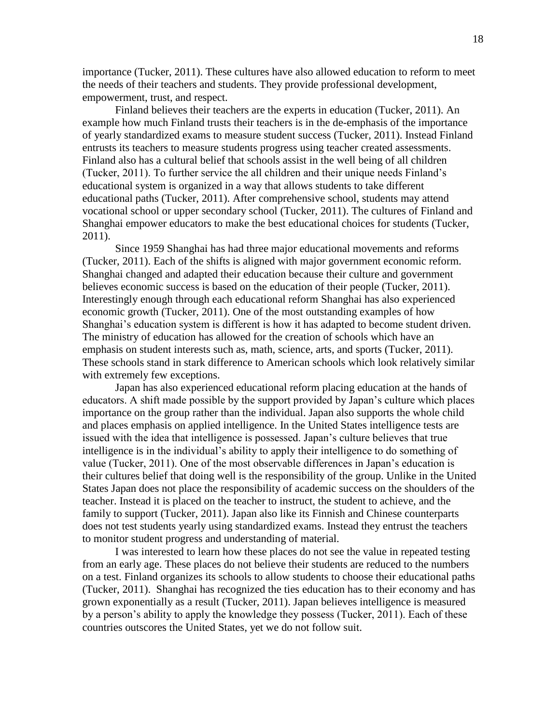importance (Tucker, 2011). These cultures have also allowed education to reform to meet the needs of their teachers and students. They provide professional development, empowerment, trust, and respect.

Finland believes their teachers are the experts in education (Tucker, 2011). An example how much Finland trusts their teachers is in the de-emphasis of the importance of yearly standardized exams to measure student success (Tucker, 2011). Instead Finland entrusts its teachers to measure students progress using teacher created assessments. Finland also has a cultural belief that schools assist in the well being of all children (Tucker, 2011). To further service the all children and their unique needs Finland's educational system is organized in a way that allows students to take different educational paths (Tucker, 2011). After comprehensive school, students may attend vocational school or upper secondary school (Tucker, 2011). The cultures of Finland and Shanghai empower educators to make the best educational choices for students (Tucker, 2011).

Since 1959 Shanghai has had three major educational movements and reforms (Tucker, 2011). Each of the shifts is aligned with major government economic reform. Shanghai changed and adapted their education because their culture and government believes economic success is based on the education of their people (Tucker, 2011). Interestingly enough through each educational reform Shanghai has also experienced economic growth (Tucker, 2011). One of the most outstanding examples of how Shanghai's education system is different is how it has adapted to become student driven. The ministry of education has allowed for the creation of schools which have an emphasis on student interests such as, math, science, arts, and sports (Tucker, 2011). These schools stand in stark difference to American schools which look relatively similar with extremely few exceptions.

Japan has also experienced educational reform placing education at the hands of educators. A shift made possible by the support provided by Japan's culture which places importance on the group rather than the individual. Japan also supports the whole child and places emphasis on applied intelligence. In the United States intelligence tests are issued with the idea that intelligence is possessed. Japan's culture believes that true intelligence is in the individual's ability to apply their intelligence to do something of value (Tucker, 2011). One of the most observable differences in Japan's education is their cultures belief that doing well is the responsibility of the group. Unlike in the United States Japan does not place the responsibility of academic success on the shoulders of the teacher. Instead it is placed on the teacher to instruct, the student to achieve, and the family to support (Tucker, 2011). Japan also like its Finnish and Chinese counterparts does not test students yearly using standardized exams. Instead they entrust the teachers to monitor student progress and understanding of material.

I was interested to learn how these places do not see the value in repeated testing from an early age. These places do not believe their students are reduced to the numbers on a test. Finland organizes its schools to allow students to choose their educational paths (Tucker, 2011). Shanghai has recognized the ties education has to their economy and has grown exponentially as a result (Tucker, 2011). Japan believes intelligence is measured by a person's ability to apply the knowledge they possess (Tucker, 2011). Each of these countries outscores the United States, yet we do not follow suit.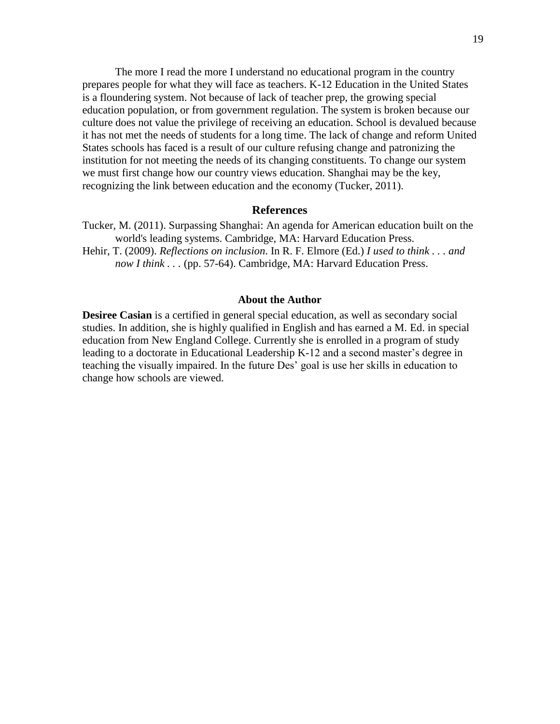The more I read the more I understand no educational program in the country prepares people for what they will face as teachers. K-12 Education in the United States is a floundering system. Not because of lack of teacher prep, the growing special education population, or from government regulation. The system is broken because our culture does not value the privilege of receiving an education. School is devalued because it has not met the needs of students for a long time. The lack of change and reform United States schools has faced is a result of our culture refusing change and patronizing the institution for not meeting the needs of its changing constituents. To change our system we must first change how our country views education. Shanghai may be the key, recognizing the link between education and the economy (Tucker, 2011).

#### **References**

Tucker, M. (2011). Surpassing Shanghai: An agenda for American education built on the world's leading systems. Cambridge, MA: Harvard Education Press. Hehir, T. (2009). *Reflections on inclusion*. In R. F. Elmore (Ed.) *I used to think . . . and now I think . . .* (pp. 57-64). Cambridge, MA: Harvard Education Press.

#### **About the Author**

**Desiree Casian** is a certified in general special education, as well as secondary social studies. In addition, she is highly qualified in English and has earned a M. Ed. in special education from New England College. Currently she is enrolled in a program of study leading to a doctorate in Educational Leadership K-12 and a second master's degree in teaching the visually impaired. In the future Des' goal is use her skills in education to change how schools are viewed.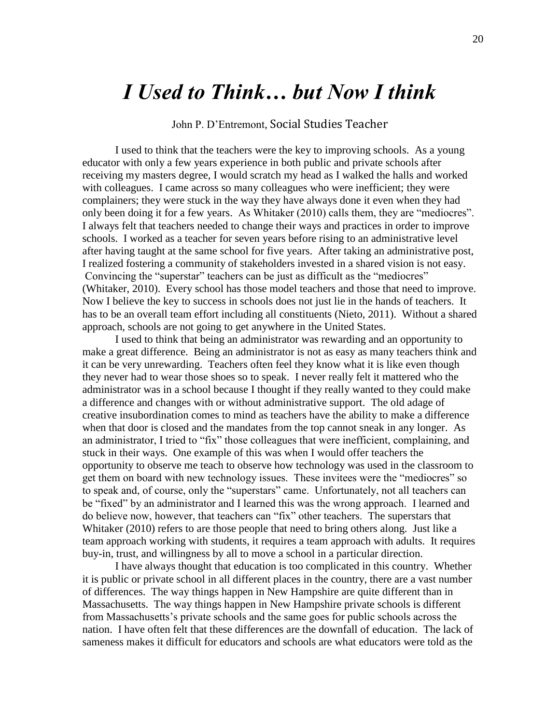## *I Used to Think… but Now I think*

John P. D'Entremont, Social Studies Teacher

I used to think that the teachers were the key to improving schools. As a young educator with only a few years experience in both public and private schools after receiving my masters degree, I would scratch my head as I walked the halls and worked with colleagues. I came across so many colleagues who were inefficient; they were complainers; they were stuck in the way they have always done it even when they had only been doing it for a few years. As Whitaker (2010) calls them, they are "mediocres". I always felt that teachers needed to change their ways and practices in order to improve schools. I worked as a teacher for seven years before rising to an administrative level after having taught at the same school for five years. After taking an administrative post, I realized fostering a community of stakeholders invested in a shared vision is not easy. Convincing the "superstar" teachers can be just as difficult as the "mediocres" (Whitaker, 2010). Every school has those model teachers and those that need to improve. Now I believe the key to success in schools does not just lie in the hands of teachers. It has to be an overall team effort including all constituents (Nieto, 2011). Without a shared approach, schools are not going to get anywhere in the United States.

I used to think that being an administrator was rewarding and an opportunity to make a great difference. Being an administrator is not as easy as many teachers think and it can be very unrewarding. Teachers often feel they know what it is like even though they never had to wear those shoes so to speak. I never really felt it mattered who the administrator was in a school because I thought if they really wanted to they could make a difference and changes with or without administrative support. The old adage of creative insubordination comes to mind as teachers have the ability to make a difference when that door is closed and the mandates from the top cannot sneak in any longer. As an administrator, I tried to "fix" those colleagues that were inefficient, complaining, and stuck in their ways. One example of this was when I would offer teachers the opportunity to observe me teach to observe how technology was used in the classroom to get them on board with new technology issues. These invitees were the "mediocres" so to speak and, of course, only the "superstars" came. Unfortunately, not all teachers can be "fixed" by an administrator and I learned this was the wrong approach. I learned and do believe now, however, that teachers can "fix" other teachers. The superstars that Whitaker (2010) refers to are those people that need to bring others along. Just like a team approach working with students, it requires a team approach with adults. It requires buy-in, trust, and willingness by all to move a school in a particular direction.

I have always thought that education is too complicated in this country. Whether it is public or private school in all different places in the country, there are a vast number of differences. The way things happen in New Hampshire are quite different than in Massachusetts. The way things happen in New Hampshire private schools is different from Massachusetts's private schools and the same goes for public schools across the nation. I have often felt that these differences are the downfall of education. The lack of sameness makes it difficult for educators and schools are what educators were told as the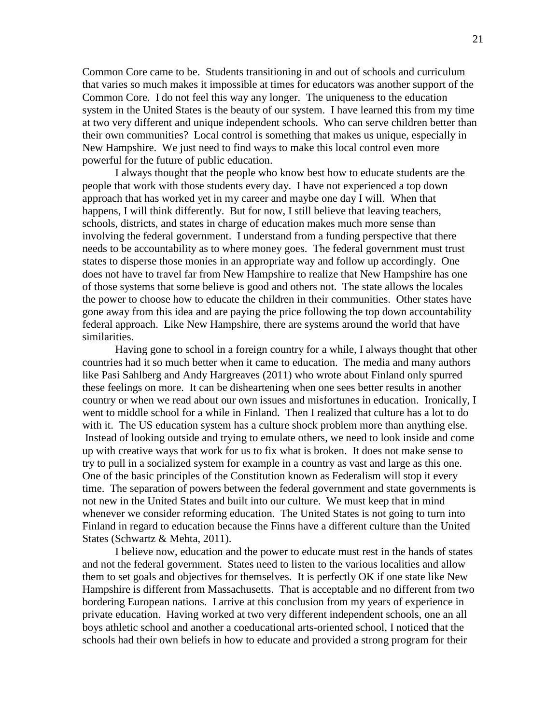Common Core came to be. Students transitioning in and out of schools and curriculum that varies so much makes it impossible at times for educators was another support of the Common Core. I do not feel this way any longer. The uniqueness to the education system in the United States is the beauty of our system. I have learned this from my time at two very different and unique independent schools. Who can serve children better than their own communities? Local control is something that makes us unique, especially in New Hampshire. We just need to find ways to make this local control even more powerful for the future of public education.

I always thought that the people who know best how to educate students are the people that work with those students every day. I have not experienced a top down approach that has worked yet in my career and maybe one day I will. When that happens, I will think differently. But for now, I still believe that leaving teachers, schools, districts, and states in charge of education makes much more sense than involving the federal government. I understand from a funding perspective that there needs to be accountability as to where money goes. The federal government must trust states to disperse those monies in an appropriate way and follow up accordingly. One does not have to travel far from New Hampshire to realize that New Hampshire has one of those systems that some believe is good and others not. The state allows the locales the power to choose how to educate the children in their communities. Other states have gone away from this idea and are paying the price following the top down accountability federal approach. Like New Hampshire, there are systems around the world that have similarities.

Having gone to school in a foreign country for a while, I always thought that other countries had it so much better when it came to education. The media and many authors like Pasi Sahlberg and Andy Hargreaves (2011) who wrote about Finland only spurred these feelings on more. It can be disheartening when one sees better results in another country or when we read about our own issues and misfortunes in education. Ironically, I went to middle school for a while in Finland. Then I realized that culture has a lot to do with it. The US education system has a culture shock problem more than anything else. Instead of looking outside and trying to emulate others, we need to look inside and come up with creative ways that work for us to fix what is broken. It does not make sense to try to pull in a socialized system for example in a country as vast and large as this one. One of the basic principles of the Constitution known as Federalism will stop it every time. The separation of powers between the federal government and state governments is not new in the United States and built into our culture. We must keep that in mind whenever we consider reforming education. The United States is not going to turn into Finland in regard to education because the Finns have a different culture than the United States (Schwartz & Mehta, 2011).

I believe now, education and the power to educate must rest in the hands of states and not the federal government. States need to listen to the various localities and allow them to set goals and objectives for themselves. It is perfectly OK if one state like New Hampshire is different from Massachusetts. That is acceptable and no different from two bordering European nations. I arrive at this conclusion from my years of experience in private education. Having worked at two very different independent schools, one an all boys athletic school and another a coeducational arts-oriented school, I noticed that the schools had their own beliefs in how to educate and provided a strong program for their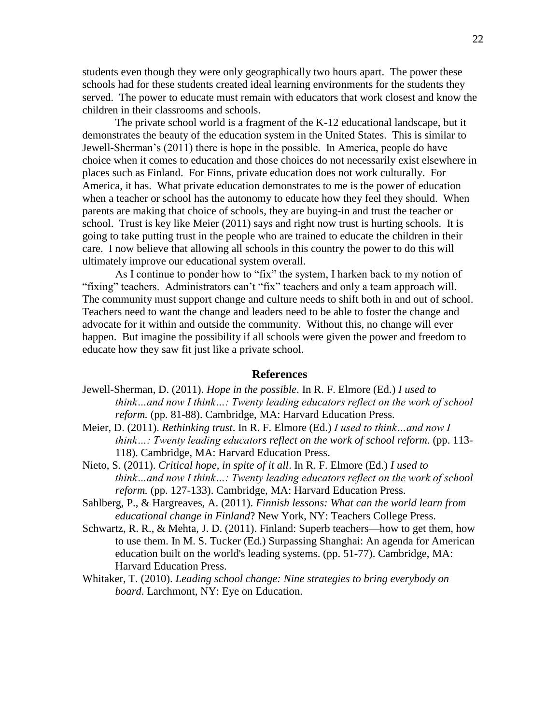students even though they were only geographically two hours apart. The power these schools had for these students created ideal learning environments for the students they served. The power to educate must remain with educators that work closest and know the children in their classrooms and schools.

The private school world is a fragment of the K-12 educational landscape, but it demonstrates the beauty of the education system in the United States. This is similar to Jewell-Sherman's (2011) there is hope in the possible. In America, people do have choice when it comes to education and those choices do not necessarily exist elsewhere in places such as Finland. For Finns, private education does not work culturally. For America, it has. What private education demonstrates to me is the power of education when a teacher or school has the autonomy to educate how they feel they should. When parents are making that choice of schools, they are buying-in and trust the teacher or school. Trust is key like Meier (2011) says and right now trust is hurting schools. It is going to take putting trust in the people who are trained to educate the children in their care. I now believe that allowing all schools in this country the power to do this will ultimately improve our educational system overall.

As I continue to ponder how to "fix" the system, I harken back to my notion of "fixing" teachers. Administrators can't "fix" teachers and only a team approach will. The community must support change and culture needs to shift both in and out of school. Teachers need to want the change and leaders need to be able to foster the change and advocate for it within and outside the community. Without this, no change will ever happen. But imagine the possibility if all schools were given the power and freedom to educate how they saw fit just like a private school.

#### **References**

- Jewell-Sherman, D. (2011). *Hope in the possible*. In R. F. Elmore (Ed.) *I used to think…and now I think…: Twenty leading educators reflect on the work of school reform.* (pp. 81-88). Cambridge, MA: Harvard Education Press.
- Meier, D. (2011). *Rethinking trust*. In R. F. Elmore (Ed.) *I used to think…and now I think…: Twenty leading educators reflect on the work of school reform.* (pp. 113- 118). Cambridge, MA: Harvard Education Press.
- Nieto, S. (2011). *Critical hope, in spite of it all*. In R. F. Elmore (Ed.) *I used to think…and now I think…: Twenty leading educators reflect on the work of school reform.* (pp. 127-133). Cambridge, MA: Harvard Education Press.
- Sahlberg, P., & Hargreaves, A. (2011). *Finnish lessons: What can the world learn from educational change in Finland*? New York, NY: Teachers College Press.
- Schwartz, R. R., & Mehta, J. D. (2011). Finland: Superb teachers—how to get them, how to use them. In M. S. Tucker (Ed.) Surpassing Shanghai: An agenda for American education built on the world's leading systems. (pp. 51-77). Cambridge, MA: Harvard Education Press.
- Whitaker, T. (2010). *Leading school change: Nine strategies to bring everybody on board*. Larchmont, NY: Eye on Education.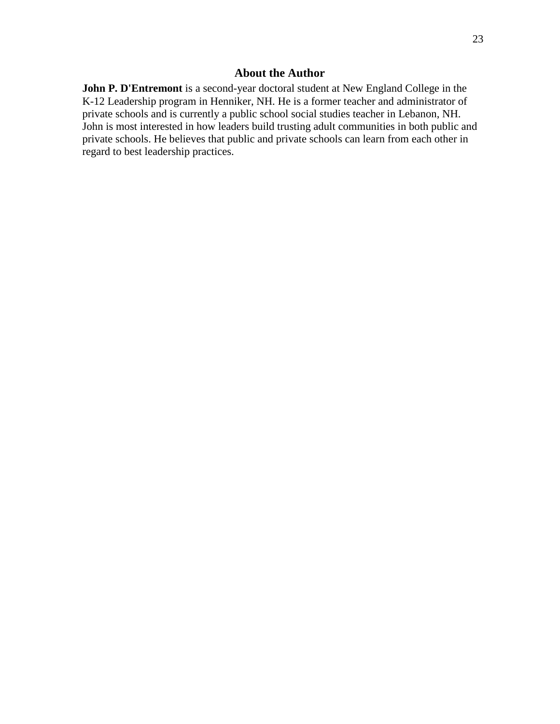### **About the Author**

**John P. D'Entremont** is a second-year doctoral student at New England College in the K-12 Leadership program in Henniker, NH. He is a former teacher and administrator of private schools and is currently a public school social studies teacher in Lebanon, NH. John is most interested in how leaders build trusting adult communities in both public and private schools. He believes that public and private schools can learn from each other in regard to best leadership practices.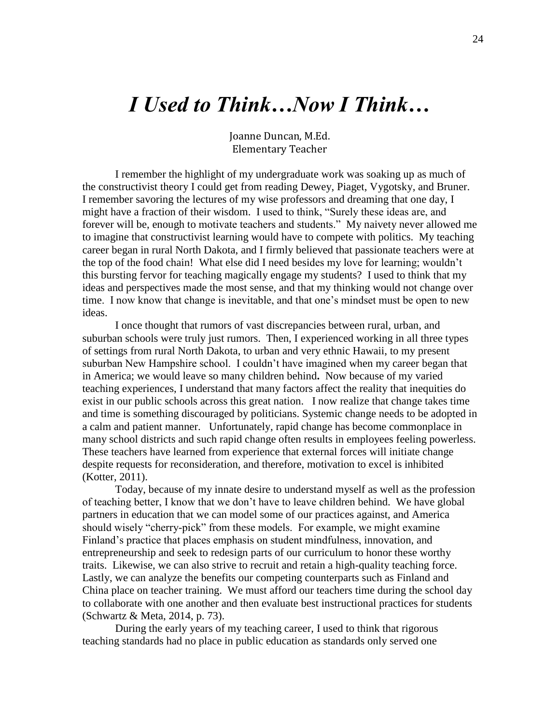# *I Used to Think…Now I Think…*

Joanne Duncan, M.Ed. Elementary Teacher

I remember the highlight of my undergraduate work was soaking up as much of the constructivist theory I could get from reading Dewey, Piaget, Vygotsky, and Bruner. I remember savoring the lectures of my wise professors and dreaming that one day, I might have a fraction of their wisdom. I used to think, "Surely these ideas are, and forever will be, enough to motivate teachers and students." My naivety never allowed me to imagine that constructivist learning would have to compete with politics. My teaching career began in rural North Dakota, and I firmly believed that passionate teachers were at the top of the food chain! What else did I need besides my love for learning; wouldn't this bursting fervor for teaching magically engage my students? I used to think that my ideas and perspectives made the most sense, and that my thinking would not change over time. I now know that change is inevitable, and that one's mindset must be open to new ideas.

I once thought that rumors of vast discrepancies between rural, urban, and suburban schools were truly just rumors. Then, I experienced working in all three types of settings from rural North Dakota, to urban and very ethnic Hawaii, to my present suburban New Hampshire school. I couldn't have imagined when my career began that in America; we would leave so many children behind**.** Now because of my varied teaching experiences, I understand that many factors affect the reality that inequities do exist in our public schools across this great nation. I now realize that change takes time and time is something discouraged by politicians. Systemic change needs to be adopted in a calm and patient manner. Unfortunately, rapid change has become commonplace in many school districts and such rapid change often results in employees feeling powerless. These teachers have learned from experience that external forces will initiate change despite requests for reconsideration, and therefore, motivation to excel is inhibited (Kotter, 2011).

Today, because of my innate desire to understand myself as well as the profession of teaching better, I know that we don't have to leave children behind. We have global partners in education that we can model some of our practices against, and America should wisely "cherry-pick" from these models. For example, we might examine Finland's practice that places emphasis on student mindfulness, innovation, and entrepreneurship and seek to redesign parts of our curriculum to honor these worthy traits. Likewise, we can also strive to recruit and retain a high-quality teaching force. Lastly, we can analyze the benefits our competing counterparts such as Finland and China place on teacher training. We must afford our teachers time during the school day to collaborate with one another and then evaluate best instructional practices for students (Schwartz & Meta, 2014, p. 73).

During the early years of my teaching career, I used to think that rigorous teaching standards had no place in public education as standards only served one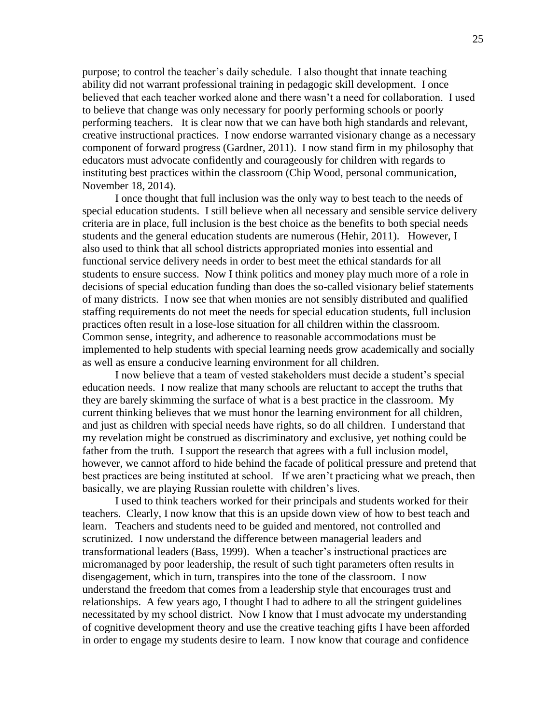purpose; to control the teacher's daily schedule. I also thought that innate teaching ability did not warrant professional training in pedagogic skill development. I once believed that each teacher worked alone and there wasn't a need for collaboration. I used to believe that change was only necessary for poorly performing schools or poorly performing teachers. It is clear now that we can have both high standards and relevant, creative instructional practices. I now endorse warranted visionary change as a necessary component of forward progress (Gardner, 2011). I now stand firm in my philosophy that educators must advocate confidently and courageously for children with regards to instituting best practices within the classroom (Chip Wood, personal communication, November 18, 2014).

I once thought that full inclusion was the only way to best teach to the needs of special education students. I still believe when all necessary and sensible service delivery criteria are in place, full inclusion is the best choice as the benefits to both special needs students and the general education students are numerous (Hehir, 2011). However, I also used to think that all school districts appropriated monies into essential and functional service delivery needs in order to best meet the ethical standards for all students to ensure success. Now I think politics and money play much more of a role in decisions of special education funding than does the so-called visionary belief statements of many districts. I now see that when monies are not sensibly distributed and qualified staffing requirements do not meet the needs for special education students, full inclusion practices often result in a lose-lose situation for all children within the classroom. Common sense, integrity, and adherence to reasonable accommodations must be implemented to help students with special learning needs grow academically and socially as well as ensure a conducive learning environment for all children.

I now believe that a team of vested stakeholders must decide a student's special education needs. I now realize that many schools are reluctant to accept the truths that they are barely skimming the surface of what is a best practice in the classroom. My current thinking believes that we must honor the learning environment for all children, and just as children with special needs have rights, so do all children. I understand that my revelation might be construed as discriminatory and exclusive, yet nothing could be father from the truth. I support the research that agrees with a full inclusion model, however, we cannot afford to hide behind the facade of political pressure and pretend that best practices are being instituted at school. If we aren't practicing what we preach, then basically, we are playing Russian roulette with children's lives.

I used to think teachers worked for their principals and students worked for their teachers. Clearly, I now know that this is an upside down view of how to best teach and learn. Teachers and students need to be guided and mentored, not controlled and scrutinized. I now understand the difference between managerial leaders and transformational leaders (Bass, 1999). When a teacher's instructional practices are micromanaged by poor leadership, the result of such tight parameters often results in disengagement, which in turn, transpires into the tone of the classroom. I now understand the freedom that comes from a leadership style that encourages trust and relationships. A few years ago, I thought I had to adhere to all the stringent guidelines necessitated by my school district. Now I know that I must advocate my understanding of cognitive development theory and use the creative teaching gifts I have been afforded in order to engage my students desire to learn. I now know that courage and confidence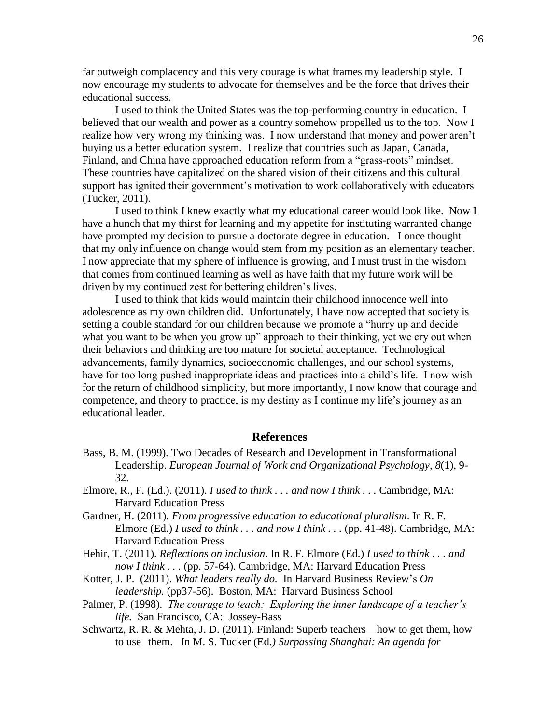far outweigh complacency and this very courage is what frames my leadership style. I now encourage my students to advocate for themselves and be the force that drives their educational success.

I used to think the United States was the top-performing country in education. I believed that our wealth and power as a country somehow propelled us to the top. Now I realize how very wrong my thinking was. I now understand that money and power aren't buying us a better education system. I realize that countries such as Japan, Canada, Finland, and China have approached education reform from a "grass-roots" mindset. These countries have capitalized on the shared vision of their citizens and this cultural support has ignited their government's motivation to work collaboratively with educators (Tucker, 2011).

I used to think I knew exactly what my educational career would look like. Now I have a hunch that my thirst for learning and my appetite for instituting warranted change have prompted my decision to pursue a doctorate degree in education. I once thought that my only influence on change would stem from my position as an elementary teacher. I now appreciate that my sphere of influence is growing, and I must trust in the wisdom that comes from continued learning as well as have faith that my future work will be driven by my continued zest for bettering children's lives.

I used to think that kids would maintain their childhood innocence well into adolescence as my own children did. Unfortunately, I have now accepted that society is setting a double standard for our children because we promote a "hurry up and decide" what you want to be when you grow up" approach to their thinking, yet we cry out when their behaviors and thinking are too mature for societal acceptance. Technological advancements, family dynamics, socioeconomic challenges, and our school systems, have for too long pushed inappropriate ideas and practices into a child's life. I now wish for the return of childhood simplicity, but more importantly, I now know that courage and competence, and theory to practice, is my destiny as I continue my life's journey as an educational leader.

### **References**

- Bass, B. M. (1999). Two Decades of Research and Development in Transformational Leadership. *European Journal of Work and Organizational Psychology*, *8*(1), 9- 32.
- Elmore, R., F. (Ed.). (2011). *I used to think . . . and now I think . . .* Cambridge, MA: Harvard Education Press
- Gardner, H. (2011). *From progressive education to educational pluralism*. In R. F. Elmore (Ed.) *I used to think . . . and now I think . . .* (pp. 41-48). Cambridge, MA: Harvard Education Press
- Hehir, T. (2011). *Reflections on inclusion*. In R. F. Elmore (Ed.) *I used to think . . . and now I think . . .* (pp. 57-64). Cambridge, MA: Harvard Education Press
- Kotter, J. P. (2011). *What leaders really do.* In Harvard Business Review's *On leadership.* (pp37-56). Boston, MA: Harvard Business School
- Palmer, P. (1998). *The courage to teach: Exploring the inner landscape of a teacher's life.* San Francisco, CA: Jossey-Bass
- Schwartz, R. R. & Mehta, J. D. (2011). Finland: Superb teachers—how to get them, how to use them. In M. S. Tucker (Ed*.) Surpassing Shanghai: An agenda for*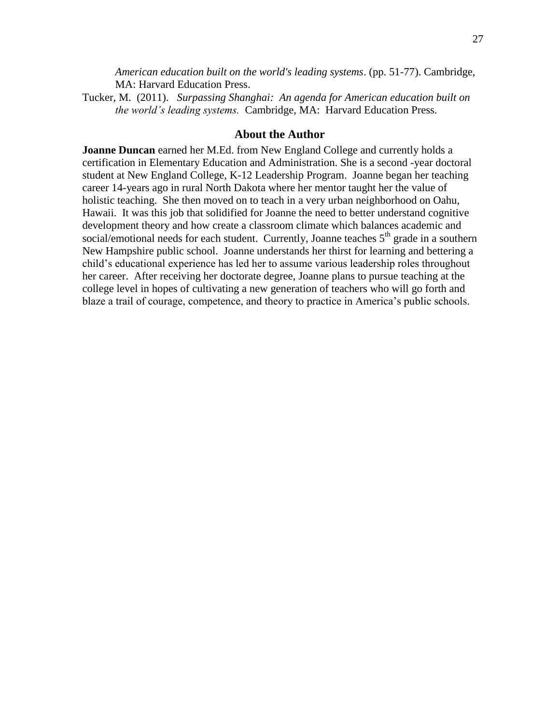*American education built on the world's leading systems*. (pp. 51-77). Cambridge, MA: Harvard Education Press.

Tucker, M. (2011). *Surpassing Shanghai: An agenda for American education built on the world's leading systems.* Cambridge, MA: Harvard Education Press.

#### **About the Author**

**Joanne Duncan** earned her M.Ed. from New England College and currently holds a certification in Elementary Education and Administration. She is a second -year doctoral student at New England College, K-12 Leadership Program. Joanne began her teaching career 14-years ago in rural North Dakota where her mentor taught her the value of holistic teaching. She then moved on to teach in a very urban neighborhood on Oahu, Hawaii. It was this job that solidified for Joanne the need to better understand cognitive development theory and how create a classroom climate which balances academic and social/emotional needs for each student. Currently, Joanne teaches  $5<sup>th</sup>$  grade in a southern New Hampshire public school. Joanne understands her thirst for learning and bettering a child's educational experience has led her to assume various leadership roles throughout her career. After receiving her doctorate degree, Joanne plans to pursue teaching at the college level in hopes of cultivating a new generation of teachers who will go forth and blaze a trail of courage, competence, and theory to practice in America's public schools.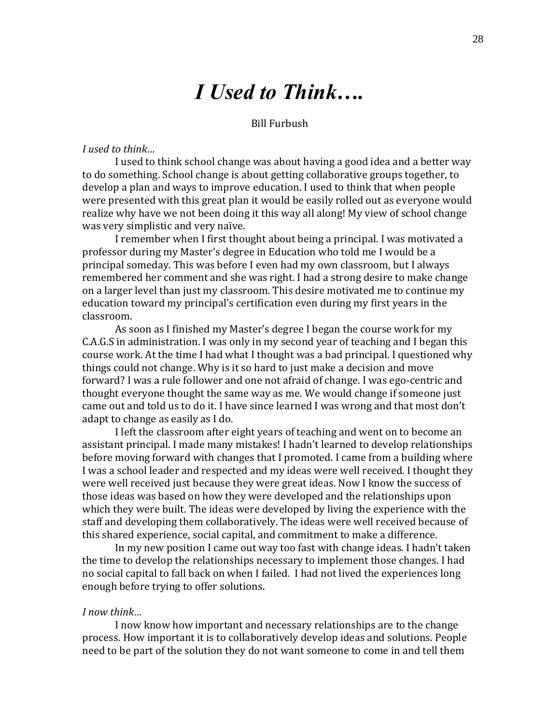# *I Used to Think….*

#### Bill Furbush

#### *I used to think…*

I used to think school change was about having a good idea and a better way to do something. School change is about getting collaborative groups together, to develop a plan and ways to improve education. I used to think that when people were presented with this great plan it would be easily rolled out as everyone would realize why have we not been doing it this way all along! My view of school change was very simplistic and very naïve.

I remember when I first thought about being a principal. I was motivated a professor during my Master's degree in Education who told me I would be a principal someday. This was before I even had my own classroom, but I always remembered her comment and she was right. I had a strong desire to make change on a larger level than just my classroom. This desire motivated me to continue my education toward my principal's certification even during my first years in the classroom.

As soon as I finished my Master's degree I began the course work for my C.A.G.S in administration. I was only in my second year of teaching and I began this course work. At the time I had what I thought was a bad principal. I questioned why things could not change. Why is it so hard to just make a decision and move forward? I was a rule follower and one not afraid of change. I was ego-centric and thought everyone thought the same way as me. We would change if someone just came out and told us to do it. I have since learned I was wrong and that most don't adapt to change as easily as I do.

I left the classroom after eight years of teaching and went on to become an assistant principal. I made many mistakes! I hadn't learned to develop relationships before moving forward with changes that I promoted. I came from a building where I was a school leader and respected and my ideas were well received. I thought they were well received just because they were great ideas. Now I know the success of those ideas was based on how they were developed and the relationships upon which they were built. The ideas were developed by living the experience with the staff and developing them collaboratively. The ideas were well received because of this shared experience, social capital, and commitment to make a difference.

In my new position I came out way too fast with change ideas. I hadn't taken the time to develop the relationships necessary to implement those changes. I had no social capital to fall back on when I failed. I had not lived the experiences long enough before trying to offer solutions.

#### *I now think…*

I now know how important and necessary relationships are to the change process. How important it is to collaboratively develop ideas and solutions. People need to be part of the solution they do not want someone to come in and tell them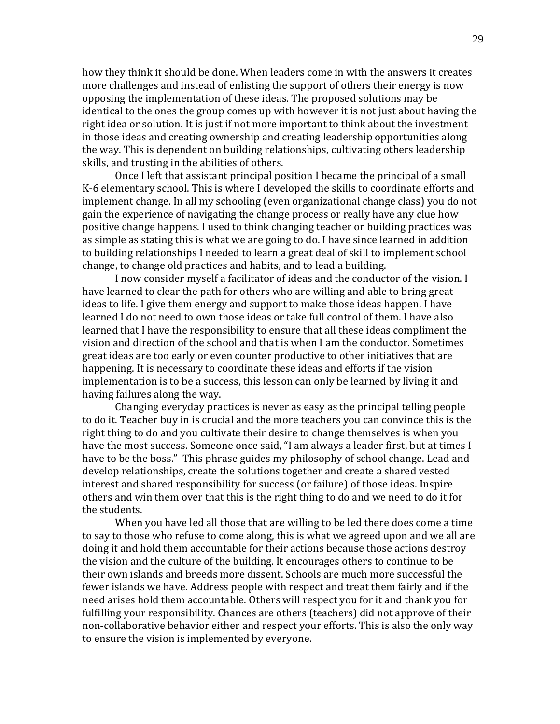how they think it should be done. When leaders come in with the answers it creates more challenges and instead of enlisting the support of others their energy is now opposing the implementation of these ideas. The proposed solutions may be identical to the ones the group comes up with however it is not just about having the right idea or solution. It is just if not more important to think about the investment in those ideas and creating ownership and creating leadership opportunities along the way. This is dependent on building relationships, cultivating others leadership skills, and trusting in the abilities of others.

Once I left that assistant principal position I became the principal of a small K-6 elementary school. This is where I developed the skills to coordinate efforts and implement change. In all my schooling (even organizational change class) you do not gain the experience of navigating the change process or really have any clue how positive change happens. I used to think changing teacher or building practices was as simple as stating this is what we are going to do. I have since learned in addition to building relationships I needed to learn a great deal of skill to implement school change, to change old practices and habits, and to lead a building.

I now consider myself a facilitator of ideas and the conductor of the vision. I have learned to clear the path for others who are willing and able to bring great ideas to life. I give them energy and support to make those ideas happen. I have learned I do not need to own those ideas or take full control of them. I have also learned that I have the responsibility to ensure that all these ideas compliment the vision and direction of the school and that is when I am the conductor. Sometimes great ideas are too early or even counter productive to other initiatives that are happening. It is necessary to coordinate these ideas and efforts if the vision implementation is to be a success, this lesson can only be learned by living it and having failures along the way.

Changing everyday practices is never as easy as the principal telling people to do it. Teacher buy in is crucial and the more teachers you can convince this is the right thing to do and you cultivate their desire to change themselves is when you have the most success. Someone once said, "I am always a leader first, but at times I have to be the boss." This phrase guides my philosophy of school change. Lead and develop relationships, create the solutions together and create a shared vested interest and shared responsibility for success (or failure) of those ideas. Inspire others and win them over that this is the right thing to do and we need to do it for the students.

When you have led all those that are willing to be led there does come a time to say to those who refuse to come along, this is what we agreed upon and we all are doing it and hold them accountable for their actions because those actions destroy the vision and the culture of the building. It encourages others to continue to be their own islands and breeds more dissent. Schools are much more successful the fewer islands we have. Address people with respect and treat them fairly and if the need arises hold them accountable. Others will respect you for it and thank you for fulfilling your responsibility. Chances are others (teachers) did not approve of their non-collaborative behavior either and respect your efforts. This is also the only way to ensure the vision is implemented by everyone.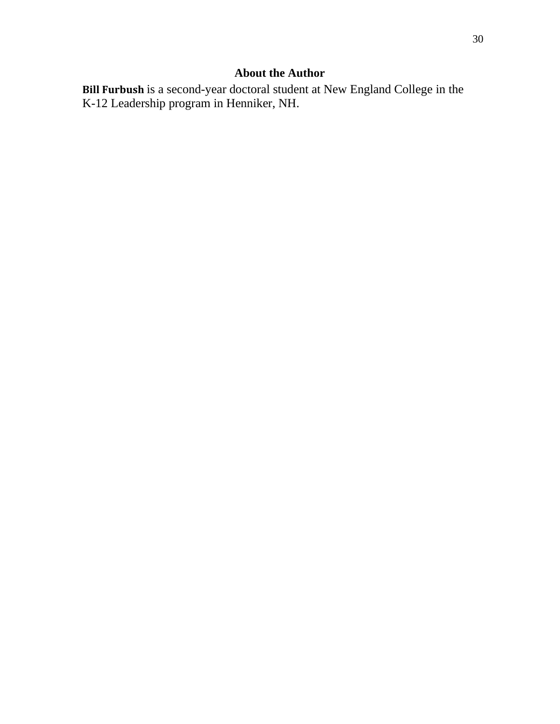### **About the Author**

**Bill Furbush** is a second-year doctoral student at New England College in the K-12 Leadership program in Henniker, NH.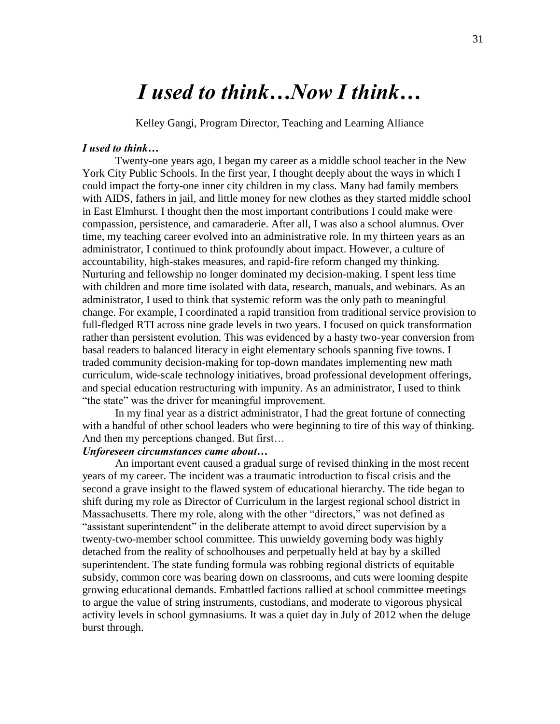# *I used to think…Now I think…*

Kelley Gangi, Program Director, Teaching and Learning Alliance

#### *I used to think…*

Twenty-one years ago, I began my career as a middle school teacher in the New York City Public Schools. In the first year, I thought deeply about the ways in which I could impact the forty-one inner city children in my class. Many had family members with AIDS, fathers in jail, and little money for new clothes as they started middle school in East Elmhurst. I thought then the most important contributions I could make were compassion, persistence, and camaraderie. After all, I was also a school alumnus. Over time, my teaching career evolved into an administrative role. In my thirteen years as an administrator, I continued to think profoundly about impact. However, a culture of accountability, high-stakes measures, and rapid-fire reform changed my thinking. Nurturing and fellowship no longer dominated my decision-making. I spent less time with children and more time isolated with data, research, manuals, and webinars. As an administrator, I used to think that systemic reform was the only path to meaningful change. For example, I coordinated a rapid transition from traditional service provision to full-fledged RTI across nine grade levels in two years. I focused on quick transformation rather than persistent evolution. This was evidenced by a hasty two-year conversion from basal readers to balanced literacy in eight elementary schools spanning five towns. I traded community decision-making for top-down mandates implementing new math curriculum, wide-scale technology initiatives, broad professional development offerings, and special education restructuring with impunity. As an administrator, I used to think "the state" was the driver for meaningful improvement.

In my final year as a district administrator, I had the great fortune of connecting with a handful of other school leaders who were beginning to tire of this way of thinking. And then my perceptions changed. But first…

### *Unforeseen circumstances came about…*

An important event caused a gradual surge of revised thinking in the most recent years of my career. The incident was a traumatic introduction to fiscal crisis and the second a grave insight to the flawed system of educational hierarchy. The tide began to shift during my role as Director of Curriculum in the largest regional school district in Massachusetts. There my role, along with the other "directors," was not defined as "assistant superintendent" in the deliberate attempt to avoid direct supervision by a twenty-two-member school committee. This unwieldy governing body was highly detached from the reality of schoolhouses and perpetually held at bay by a skilled superintendent. The state funding formula was robbing regional districts of equitable subsidy, common core was bearing down on classrooms, and cuts were looming despite growing educational demands. Embattled factions rallied at school committee meetings to argue the value of string instruments, custodians, and moderate to vigorous physical activity levels in school gymnasiums. It was a quiet day in July of 2012 when the deluge burst through.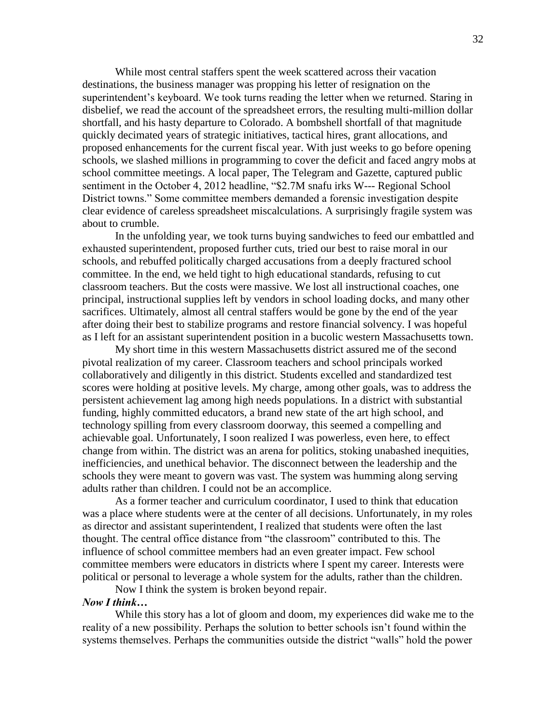While most central staffers spent the week scattered across their vacation destinations, the business manager was propping his letter of resignation on the superintendent's keyboard. We took turns reading the letter when we returned. Staring in disbelief, we read the account of the spreadsheet errors, the resulting multi-million dollar shortfall, and his hasty departure to Colorado. A bombshell shortfall of that magnitude quickly decimated years of strategic initiatives, tactical hires, grant allocations, and proposed enhancements for the current fiscal year. With just weeks to go before opening schools, we slashed millions in programming to cover the deficit and faced angry mobs at school committee meetings. A local paper, The Telegram and Gazette, captured public sentiment in the October 4, 2012 headline, "\$2.7M snafu irks W--- Regional School District towns." Some committee members demanded a forensic investigation despite clear evidence of careless spreadsheet miscalculations. A surprisingly fragile system was about to crumble.

In the unfolding year, we took turns buying sandwiches to feed our embattled and exhausted superintendent, proposed further cuts, tried our best to raise moral in our schools, and rebuffed politically charged accusations from a deeply fractured school committee. In the end, we held tight to high educational standards, refusing to cut classroom teachers. But the costs were massive. We lost all instructional coaches, one principal, instructional supplies left by vendors in school loading docks, and many other sacrifices. Ultimately, almost all central staffers would be gone by the end of the year after doing their best to stabilize programs and restore financial solvency. I was hopeful as I left for an assistant superintendent position in a bucolic western Massachusetts town.

My short time in this western Massachusetts district assured me of the second pivotal realization of my career. Classroom teachers and school principals worked collaboratively and diligently in this district. Students excelled and standardized test scores were holding at positive levels. My charge, among other goals, was to address the persistent achievement lag among high needs populations. In a district with substantial funding, highly committed educators, a brand new state of the art high school, and technology spilling from every classroom doorway, this seemed a compelling and achievable goal. Unfortunately, I soon realized I was powerless, even here, to effect change from within. The district was an arena for politics, stoking unabashed inequities, inefficiencies, and unethical behavior. The disconnect between the leadership and the schools they were meant to govern was vast. The system was humming along serving adults rather than children. I could not be an accomplice.

As a former teacher and curriculum coordinator, I used to think that education was a place where students were at the center of all decisions. Unfortunately, in my roles as director and assistant superintendent, I realized that students were often the last thought. The central office distance from "the classroom" contributed to this. The influence of school committee members had an even greater impact. Few school committee members were educators in districts where I spent my career. Interests were political or personal to leverage a whole system for the adults, rather than the children.

Now I think the system is broken beyond repair. *Now I think…*

While this story has a lot of gloom and doom, my experiences did wake me to the reality of a new possibility. Perhaps the solution to better schools isn't found within the systems themselves. Perhaps the communities outside the district "walls" hold the power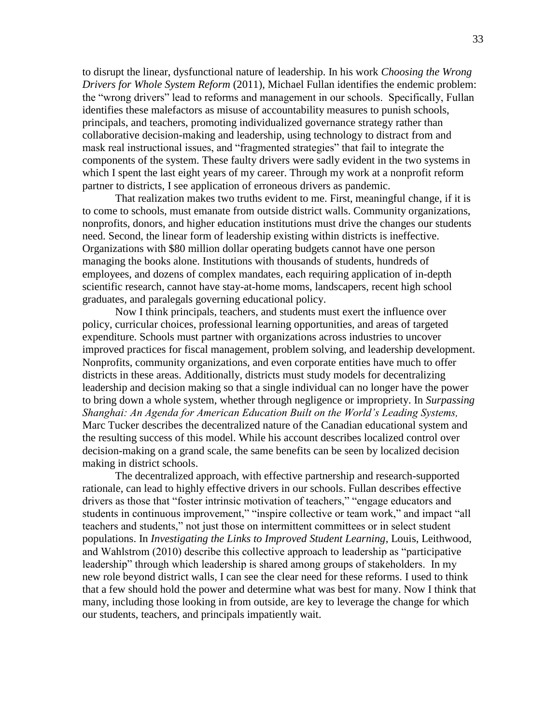to disrupt the linear, dysfunctional nature of leadership. In his work *Choosing the Wrong Drivers for Whole System Reform* (2011), Michael Fullan identifies the endemic problem: the "wrong drivers" lead to reforms and management in our schools. Specifically, Fullan identifies these malefactors as misuse of accountability measures to punish schools, principals, and teachers, promoting individualized governance strategy rather than collaborative decision-making and leadership, using technology to distract from and mask real instructional issues, and "fragmented strategies" that fail to integrate the components of the system. These faulty drivers were sadly evident in the two systems in which I spent the last eight years of my career. Through my work at a nonprofit reform partner to districts, I see application of erroneous drivers as pandemic.

That realization makes two truths evident to me. First, meaningful change, if it is to come to schools, must emanate from outside district walls. Community organizations, nonprofits, donors, and higher education institutions must drive the changes our students need. Second, the linear form of leadership existing within districts is ineffective. Organizations with \$80 million dollar operating budgets cannot have one person managing the books alone. Institutions with thousands of students, hundreds of employees, and dozens of complex mandates, each requiring application of in-depth scientific research, cannot have stay-at-home moms, landscapers, recent high school graduates, and paralegals governing educational policy.

Now I think principals, teachers, and students must exert the influence over policy, curricular choices, professional learning opportunities, and areas of targeted expenditure. Schools must partner with organizations across industries to uncover improved practices for fiscal management, problem solving, and leadership development. Nonprofits, community organizations, and even corporate entities have much to offer districts in these areas. Additionally, districts must study models for decentralizing leadership and decision making so that a single individual can no longer have the power to bring down a whole system, whether through negligence or impropriety. In *Surpassing Shanghai: An Agenda for American Education Built on the World's Leading Systems,* Marc Tucker describes the decentralized nature of the Canadian educational system and the resulting success of this model. While his account describes localized control over decision-making on a grand scale, the same benefits can be seen by localized decision making in district schools.

The decentralized approach, with effective partnership and research-supported rationale, can lead to highly effective drivers in our schools. Fullan describes effective drivers as those that "foster intrinsic motivation of teachers," "engage educators and students in continuous improvement," "inspire collective or team work," and impact "all teachers and students," not just those on intermittent committees or in select student populations. In *Investigating the Links to Improved Student Learning*, Louis, Leithwood, and Wahlstrom  $(2010)$  describe this collective approach to leadership as "participative" leadership" through which leadership is shared among groups of stakeholders. In my new role beyond district walls, I can see the clear need for these reforms. I used to think that a few should hold the power and determine what was best for many. Now I think that many, including those looking in from outside, are key to leverage the change for which our students, teachers, and principals impatiently wait.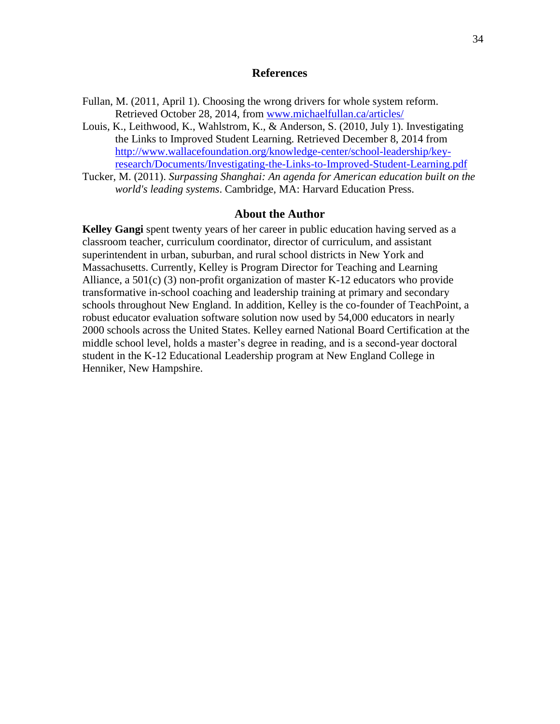#### **References**

- Fullan, M. (2011, April 1). Choosing the wrong drivers for whole system reform. Retrieved October 28, 2014, from [www.michaelfullan.ca/articles/](http://www.michaelfullan.ca/articles/)
- Louis, K., Leithwood, K., Wahlstrom, K., & Anderson, S. (2010, July 1). Investigating the Links to Improved Student Learning. Retrieved December 8, 2014 from [http://www.wallacefoundation.org/knowledge-center/school-leadership/key](http://www.wallacefoundation.org/knowledge-center/school-leadership/key-research/Documents/Investigating-the-Links-to-Improved-Student-Learning.pdf)[research/Documents/Investigating-the-Links-to-Improved-Student-Learning.pdf](http://www.wallacefoundation.org/knowledge-center/school-leadership/key-research/Documents/Investigating-the-Links-to-Improved-Student-Learning.pdf)
- Tucker, M. (2011). *Surpassing Shanghai: An agenda for American education built on the world's leading systems*. Cambridge, MA: Harvard Education Press.

#### **About the Author**

**Kelley Gangi** spent twenty years of her career in public education having served as a classroom teacher, curriculum coordinator, director of curriculum, and assistant superintendent in urban, suburban, and rural school districts in New York and Massachusetts. Currently, Kelley is Program Director for Teaching and Learning Alliance, a  $501(c)$  (3) non-profit organization of master K-12 educators who provide transformative in-school coaching and leadership training at primary and secondary schools throughout New England. In addition, Kelley is the co-founder of TeachPoint, a robust educator evaluation software solution now used by 54,000 educators in nearly 2000 schools across the United States. Kelley earned National Board Certification at the middle school level, holds a master's degree in reading, and is a second-year doctoral student in the K-12 Educational Leadership program at New England College in Henniker, New Hampshire.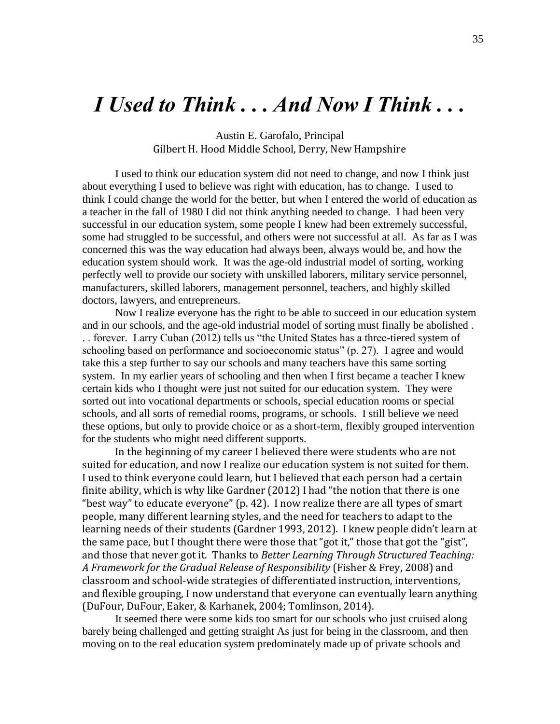# *I Used to Think . . . And Now I Think . . .*

Austin E. Garofalo, Principal Gilbert H. Hood Middle School, Derry, New Hampshire

I used to think our education system did not need to change, and now I think just about everything I used to believe was right with education, has to change. I used to think I could change the world for the better, but when I entered the world of education as a teacher in the fall of 1980 I did not think anything needed to change. I had been very successful in our education system, some people I knew had been extremely successful, some had struggled to be successful, and others were not successful at all. As far as I was concerned this was the way education had always been, always would be, and how the education system should work. It was the age-old industrial model of sorting, working perfectly well to provide our society with unskilled laborers, military service personnel, manufacturers, skilled laborers, management personnel, teachers, and highly skilled doctors, lawyers, and entrepreneurs.

Now I realize everyone has the right to be able to succeed in our education system and in our schools, and the age-old industrial model of sorting must finally be abolished . .. forever. Larry Cuban (2012) tells us "the United States has a three-tiered system of schooling based on performance and socioeconomic status"  $(p. 27)$ . I agree and would take this a step further to say our schools and many teachers have this same sorting system. In my earlier years of schooling and then when I first became a teacher I knew certain kids who I thought were just not suited for our education system. They were sorted out into vocational departments or schools, special education rooms or special schools, and all sorts of remedial rooms, programs, or schools. I still believe we need these options, but only to provide choice or as a short-term, flexibly grouped intervention for the students who might need different supports.

In the beginning of my career I believed there were students who are not suited for education, and now I realize our education system is not suited for them. I used to think everyone could learn, but I believed that each person had a certain finite ability, which is why like Gardner (2012) I had "the notion that there is one "best way" to educate everyone" (p. 42). I now realize there are all types of smart people, many different learning styles, and the need for teachers to adapt to the learning needs of their students (Gardner 1993, 2012). I knew people didn't learn at the same pace, but I thought there were those that "got it," those that got the "gist", and those that never got it. Thanks to *Better Learning Through Structured Teaching: A Framework for the Gradual Release of Responsibility* (Fisher & Frey, 2008) and classroom and school-wide strategies of differentiated instruction, interventions, and flexible grouping, I now understand that everyone can eventually learn anything (DuFour, DuFour, Eaker, & Karhanek, 2004; Tomlinson, 2014).

It seemed there were some kids too smart for our schools who just cruised along barely being challenged and getting straight As just for being in the classroom, and then moving on to the real education system predominately made up of private schools and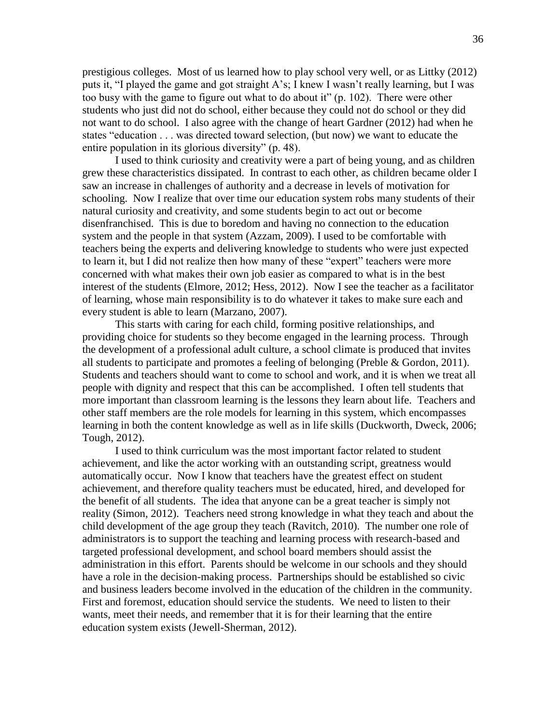prestigious colleges. Most of us learned how to play school very well, or as Littky (2012) puts it, "I played the game and got straight A's; I knew I wasn't really learning, but I was too busy with the game to figure out what to do about it" (p. 102). There were other students who just did not do school, either because they could not do school or they did not want to do school. I also agree with the change of heart Gardner (2012) had when he states "education . . . was directed toward selection, (but now) we want to educate the entire population in its glorious diversity"  $(p. 48)$ .

I used to think curiosity and creativity were a part of being young, and as children grew these characteristics dissipated. In contrast to each other, as children became older I saw an increase in challenges of authority and a decrease in levels of motivation for schooling. Now I realize that over time our education system robs many students of their natural curiosity and creativity, and some students begin to act out or become disenfranchised. This is due to boredom and having no connection to the education system and the people in that system (Azzam, 2009). I used to be comfortable with teachers being the experts and delivering knowledge to students who were just expected to learn it, but I did not realize then how many of these "expert" teachers were more concerned with what makes their own job easier as compared to what is in the best interest of the students (Elmore, 2012; Hess, 2012). Now I see the teacher as a facilitator of learning, whose main responsibility is to do whatever it takes to make sure each and every student is able to learn (Marzano, 2007).

This starts with caring for each child, forming positive relationships, and providing choice for students so they become engaged in the learning process. Through the development of a professional adult culture, a school climate is produced that invites all students to participate and promotes a feeling of belonging (Preble & Gordon, 2011). Students and teachers should want to come to school and work, and it is when we treat all people with dignity and respect that this can be accomplished. I often tell students that more important than classroom learning is the lessons they learn about life. Teachers and other staff members are the role models for learning in this system, which encompasses learning in both the content knowledge as well as in life skills (Duckworth, Dweck, 2006; Tough, 2012).

I used to think curriculum was the most important factor related to student achievement, and like the actor working with an outstanding script, greatness would automatically occur. Now I know that teachers have the greatest effect on student achievement, and therefore quality teachers must be educated, hired, and developed for the benefit of all students. The idea that anyone can be a great teacher is simply not reality (Simon, 2012). Teachers need strong knowledge in what they teach and about the child development of the age group they teach (Ravitch, 2010). The number one role of administrators is to support the teaching and learning process with research-based and targeted professional development, and school board members should assist the administration in this effort. Parents should be welcome in our schools and they should have a role in the decision-making process. Partnerships should be established so civic and business leaders become involved in the education of the children in the community. First and foremost, education should service the students. We need to listen to their wants, meet their needs, and remember that it is for their learning that the entire education system exists (Jewell-Sherman, 2012).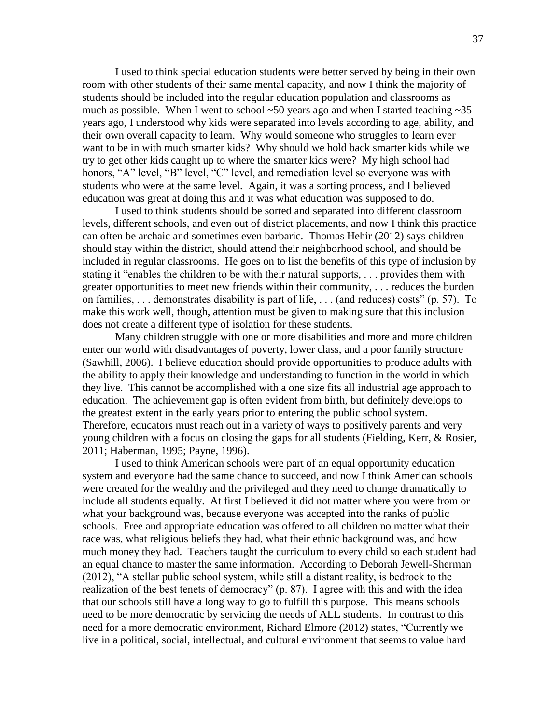I used to think special education students were better served by being in their own room with other students of their same mental capacity, and now I think the majority of students should be included into the regular education population and classrooms as much as possible. When I went to school  $\sim$  50 years ago and when I started teaching  $\sim$  35 years ago, I understood why kids were separated into levels according to age, ability, and their own overall capacity to learn. Why would someone who struggles to learn ever want to be in with much smarter kids? Why should we hold back smarter kids while we try to get other kids caught up to where the smarter kids were? My high school had honors, "A" level, "B" level, "C" level, and remediation level so everyone was with students who were at the same level. Again, it was a sorting process, and I believed education was great at doing this and it was what education was supposed to do.

I used to think students should be sorted and separated into different classroom levels, different schools, and even out of district placements, and now I think this practice can often be archaic and sometimes even barbaric. Thomas Hehir (2012) says children should stay within the district, should attend their neighborhood school, and should be included in regular classrooms. He goes on to list the benefits of this type of inclusion by stating it "enables the children to be with their natural supports,  $\ldots$  provides them with greater opportunities to meet new friends within their community, . . . reduces the burden on families,  $\dots$  demonstrates disability is part of life,  $\dots$  (and reduces) costs" (p. 57). To make this work well, though, attention must be given to making sure that this inclusion does not create a different type of isolation for these students.

Many children struggle with one or more disabilities and more and more children enter our world with disadvantages of poverty, lower class, and a poor family structure (Sawhill, 2006). I believe education should provide opportunities to produce adults with the ability to apply their knowledge and understanding to function in the world in which they live. This cannot be accomplished with a one size fits all industrial age approach to education. The achievement gap is often evident from birth, but definitely develops to the greatest extent in the early years prior to entering the public school system. Therefore, educators must reach out in a variety of ways to positively parents and very young children with a focus on closing the gaps for all students (Fielding, Kerr, & Rosier, 2011; Haberman, 1995; Payne, 1996).

I used to think American schools were part of an equal opportunity education system and everyone had the same chance to succeed, and now I think American schools were created for the wealthy and the privileged and they need to change dramatically to include all students equally. At first I believed it did not matter where you were from or what your background was, because everyone was accepted into the ranks of public schools. Free and appropriate education was offered to all children no matter what their race was, what religious beliefs they had, what their ethnic background was, and how much money they had. Teachers taught the curriculum to every child so each student had an equal chance to master the same information. According to Deborah Jewell-Sherman  $(2012)$ , "A stellar public school system, while still a distant reality, is bedrock to the realization of the best tenets of democracy" (p. 87). I agree with this and with the idea that our schools still have a long way to go to fulfill this purpose. This means schools need to be more democratic by servicing the needs of ALL students. In contrast to this need for a more democratic environment, Richard Elmore (2012) states, "Currently we live in a political, social, intellectual, and cultural environment that seems to value hard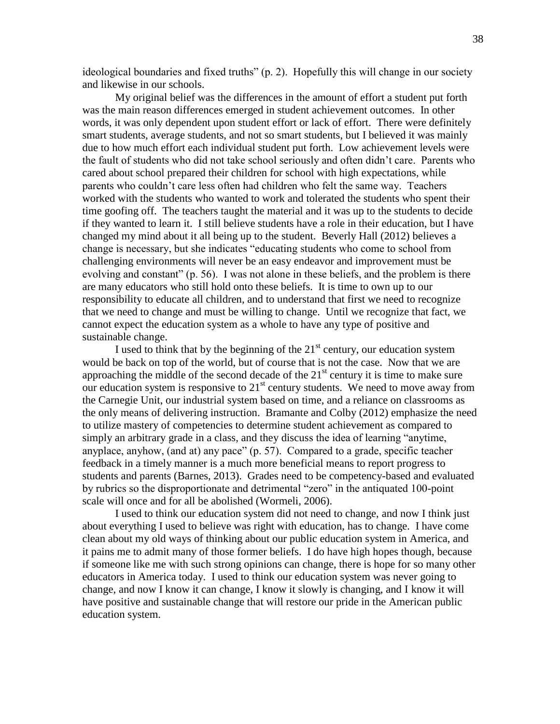ideological boundaries and fixed truths" (p. 2). Hopefully this will change in our society and likewise in our schools.

My original belief was the differences in the amount of effort a student put forth was the main reason differences emerged in student achievement outcomes. In other words, it was only dependent upon student effort or lack of effort. There were definitely smart students, average students, and not so smart students, but I believed it was mainly due to how much effort each individual student put forth. Low achievement levels were the fault of students who did not take school seriously and often didn't care. Parents who cared about school prepared their children for school with high expectations, while parents who couldn't care less often had children who felt the same way. Teachers worked with the students who wanted to work and tolerated the students who spent their time goofing off. The teachers taught the material and it was up to the students to decide if they wanted to learn it. I still believe students have a role in their education, but I have changed my mind about it all being up to the student. Beverly Hall (2012) believes a change is necessary, but she indicates "educating students who come to school from challenging environments will never be an easy endeavor and improvement must be evolving and constant"  $(p, 56)$ . I was not alone in these beliefs, and the problem is there are many educators who still hold onto these beliefs. It is time to own up to our responsibility to educate all children, and to understand that first we need to recognize that we need to change and must be willing to change. Until we recognize that fact, we cannot expect the education system as a whole to have any type of positive and sustainable change.

I used to think that by the beginning of the  $21<sup>st</sup>$  century, our education system would be back on top of the world, but of course that is not the case. Now that we are approaching the middle of the second decade of the  $21<sup>st</sup>$  century it is time to make sure our education system is responsive to  $21<sup>st</sup>$  century students. We need to move away from the Carnegie Unit, our industrial system based on time, and a reliance on classrooms as the only means of delivering instruction. Bramante and Colby (2012) emphasize the need to utilize mastery of competencies to determine student achievement as compared to simply an arbitrary grade in a class, and they discuss the idea of learning "anytime, anyplace, anyhow, (and at) any pace"  $(p. 57)$ . Compared to a grade, specific teacher feedback in a timely manner is a much more beneficial means to report progress to students and parents (Barnes, 2013). Grades need to be competency-based and evaluated by rubrics so the disproportionate and detrimental "zero" in the antiquated 100-point scale will once and for all be abolished (Wormeli, 2006).

I used to think our education system did not need to change, and now I think just about everything I used to believe was right with education, has to change. I have come clean about my old ways of thinking about our public education system in America, and it pains me to admit many of those former beliefs. I do have high hopes though, because if someone like me with such strong opinions can change, there is hope for so many other educators in America today. I used to think our education system was never going to change, and now I know it can change, I know it slowly is changing, and I know it will have positive and sustainable change that will restore our pride in the American public education system.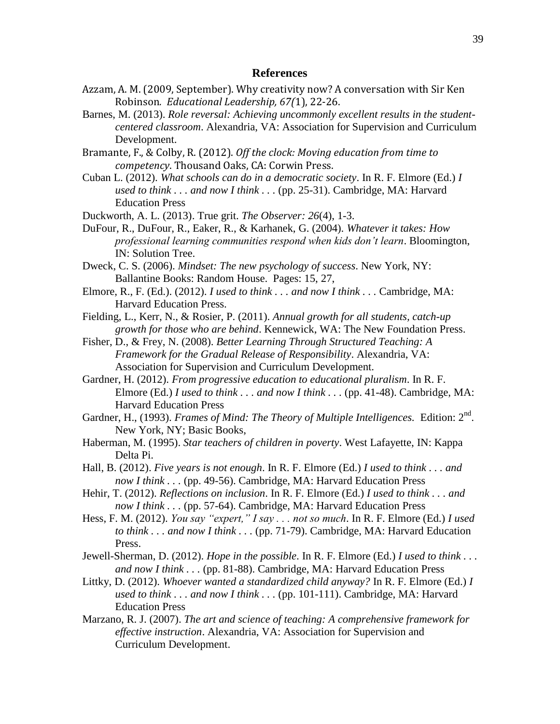#### **References**

- Azzam, A. M. (2009, September). Why creativity now? A conversation with Sir Ken Robinson*. Educational Leadership, 67(*1), 22-26.
- Barnes, M. (2013). *Role reversal: Achieving uncommonly excellent results in the studentcentered classroom*. Alexandria, VA: Association for Supervision and Curriculum Development.
- Bramante, F., & Colby, R. (2012). *Off the clock: Moving education from time to competency*. Thousand Oaks, CA: Corwin Press.
- Cuban L. (2012). *What schools can do in a democratic society*. In R. F. Elmore (Ed.) *I used to think . . . and now I think . . .* (pp. 25-31). Cambridge, MA: Harvard Education Press
- Duckworth, A. L. (2013). True grit. *The Observer: 26*(4), 1-3.
- DuFour, R., DuFour, R., Eaker, R., & Karhanek, G. (2004). *Whatever it takes: How professional learning communities respond when kids don't learn*. Bloomington, IN: Solution Tree.
- Dweck, C. S. (2006). *Mindset: The new psychology of success*. New York, NY: Ballantine Books: Random House. Pages: 15, 27,
- Elmore, R., F. (Ed.). (2012). *I used to think . . . and now I think . . .* Cambridge, MA: Harvard Education Press.
- Fielding, L., Kerr, N., & Rosier, P. (2011). *Annual growth for all students, catch-up growth for those who are behind*. Kennewick, WA: The New Foundation Press.
- Fisher, D., & Frey, N. (2008). *Better Learning Through Structured Teaching: A Framework for the Gradual Release of Responsibility*. Alexandria, VA: Association for Supervision and Curriculum Development.
- Gardner, H. (2012). *From progressive education to educational pluralism*. In R. F. Elmore (Ed.) *I used to think . . . and now I think . . .* (pp. 41-48). Cambridge, MA: Harvard Education Press
- Gardner, H., (1993). *Frames of Mind: The Theory of Multiple Intelligences.* Edition: 2<sup>nd</sup>. New York, NY; Basic Books,
- Haberman, M. (1995). *Star teachers of children in poverty*. West Lafayette, IN: Kappa Delta Pi.
- Hall, B. (2012). *Five years is not enough*. In R. F. Elmore (Ed.) *I used to think . . . and now I think . . .* (pp. 49-56). Cambridge, MA: Harvard Education Press
- Hehir, T. (2012). *Reflections on inclusion*. In R. F. Elmore (Ed.) *I used to think . . . and now I think . . .* (pp. 57-64). Cambridge, MA: Harvard Education Press
- Hess, F. M. (2012). *You say "expert," I say . . . not so much*. In R. F. Elmore (Ed.) *I used to think . . . and now I think . . .* (pp. 71-79). Cambridge, MA: Harvard Education Press.
- Jewell-Sherman, D. (2012). *Hope in the possible*. In R. F. Elmore (Ed.) *I used to think . . . and now I think . . .* (pp. 81-88). Cambridge, MA: Harvard Education Press
- Littky, D. (2012). *Whoever wanted a standardized child anyway?* In R. F. Elmore (Ed.) *I used to think . . . and now I think . . .* (pp. 101-111). Cambridge, MA: Harvard Education Press
- Marzano, R. J. (2007). *The art and science of teaching: A comprehensive framework for effective instruction*. Alexandria, VA: Association for Supervision and Curriculum Development.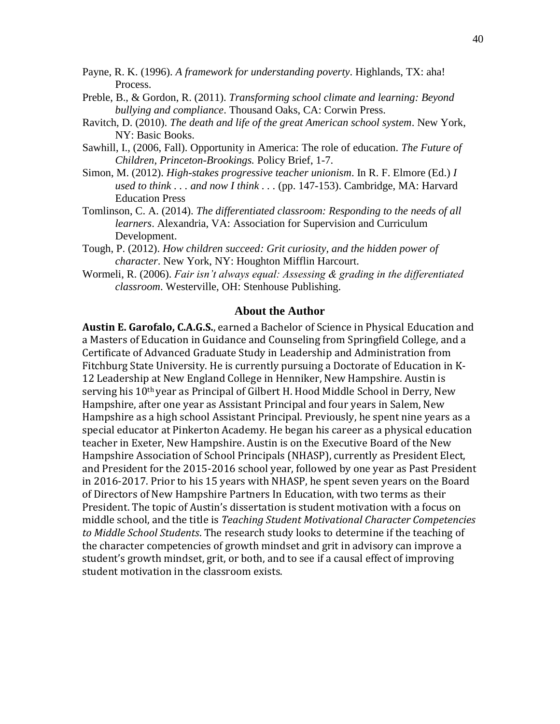- Payne, R. K. (1996). *A framework for understanding poverty*. Highlands, TX: aha! Process.
- Preble, B., & Gordon, R. (2011). *Transforming school climate and learning: Beyond bullying and compliance*. Thousand Oaks, CA: Corwin Press.
- Ravitch, D. (2010). *The death and life of the great American school system*. New York, NY: Basic Books.
- Sawhill, I., (2006, Fall). Opportunity in America: The role of education. *The Future of Children, Princeton-Brookings.* Policy Brief, 1-7.
- Simon, M. (2012). *High-stakes progressive teacher unionism*. In R. F. Elmore (Ed.) *I used to think . . . and now I think . . .* (pp. 147-153). Cambridge, MA: Harvard Education Press
- Tomlinson, C. A. (2014). *The differentiated classroom: Responding to the needs of all learners*. Alexandria, VA: Association for Supervision and Curriculum Development.
- Tough, P. (2012). *How children succeed: Grit curiosity, and the hidden power of character*. New York, NY: Houghton Mifflin Harcourt.
- Wormeli, R. (2006). *Fair isn't always equal: Assessing & grading in the differentiated classroom*. Westerville, OH: Stenhouse Publishing.

#### **About the Author**

**Austin E. Garofalo, C.A.G.S.**, earned a Bachelor of Science in Physical Education and a Masters of Education in Guidance and Counseling from Springfield College, and a Certificate of Advanced Graduate Study in Leadership and Administration from Fitchburg State University. He is currently pursuing a Doctorate of Education in K-12 Leadership at New England College in Henniker, New Hampshire. Austin is serving his 10th year as Principal of Gilbert H. Hood Middle School in Derry, New Hampshire, after one year as Assistant Principal and four years in Salem, New Hampshire as a high school Assistant Principal. Previously, he spent nine years as a special educator at Pinkerton Academy. He began his career as a physical education teacher in Exeter, New Hampshire. Austin is on the Executive Board of the New Hampshire Association of School Principals (NHASP), currently as President Elect, and President for the 2015-2016 school year, followed by one year as Past President in 2016-2017. Prior to his 15 years with NHASP, he spent seven years on the Board of Directors of New Hampshire Partners In Education, with two terms as their President. The topic of Austin's dissertation is student motivation with a focus on middle school, and the title is *Teaching Student Motivational Character Competencies to Middle School Students*. The research study looks to determine if the teaching of the character competencies of growth mindset and grit in advisory can improve a student's growth mindset, grit, or both, and to see if a causal effect of improving student motivation in the classroom exists.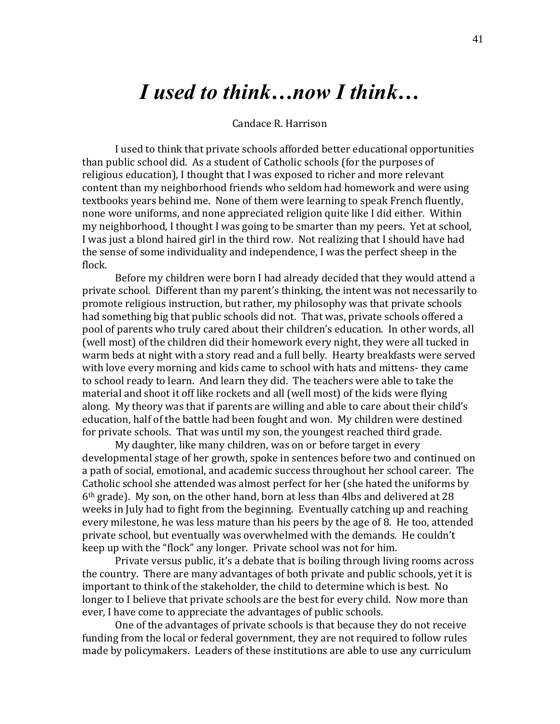# *I used to think…now I think…*

#### Candace R. Harrison

I used to think that private schools afforded better educational opportunities than public school did. As a student of Catholic schools (for the purposes of religious education), I thought that I was exposed to richer and more relevant content than my neighborhood friends who seldom had homework and were using textbooks years behind me. None of them were learning to speak French fluently, none wore uniforms, and none appreciated religion quite like I did either. Within my neighborhood, I thought I was going to be smarter than my peers. Yet at school, I was just a blond haired girl in the third row. Not realizing that I should have had the sense of some individuality and independence, I was the perfect sheep in the flock.

Before my children were born I had already decided that they would attend a private school. Different than my parent's thinking, the intent was not necessarily to promote religious instruction, but rather, my philosophy was that private schools had something big that public schools did not. That was, private schools offered a pool of parents who truly cared about their children's education. In other words, all (well most) of the children did their homework every night, they were all tucked in warm beds at night with a story read and a full belly. Hearty breakfasts were served with love every morning and kids came to school with hats and mittens- they came to school ready to learn. And learn they did. The teachers were able to take the material and shoot it off like rockets and all (well most) of the kids were flying along. My theory was that if parents are willing and able to care about their child's education, half of the battle had been fought and won. My children were destined for private schools. That was until my son, the youngest reached third grade.

My daughter, like many children, was on or before target in every developmental stage of her growth, spoke in sentences before two and continued on a path of social, emotional, and academic success throughout her school career. The Catholic school she attended was almost perfect for her (she hated the uniforms by 6th grade). My son, on the other hand, born at less than 4lbs and delivered at 28 weeks in July had to fight from the beginning. Eventually catching up and reaching every milestone, he was less mature than his peers by the age of 8. He too, attended private school, but eventually was overwhelmed with the demands. He couldn't keep up with the "flock" any longer. Private school was not for him.

Private versus public, it's a debate that is boiling through living rooms across the country. There are many advantages of both private and public schools, yet it is important to think of the stakeholder, the child to determine which is best. No longer to I believe that private schools are the best for every child. Now more than ever, I have come to appreciate the advantages of public schools.

One of the advantages of private schools is that because they do not receive funding from the local or federal government, they are not required to follow rules made by policymakers. Leaders of these institutions are able to use any curriculum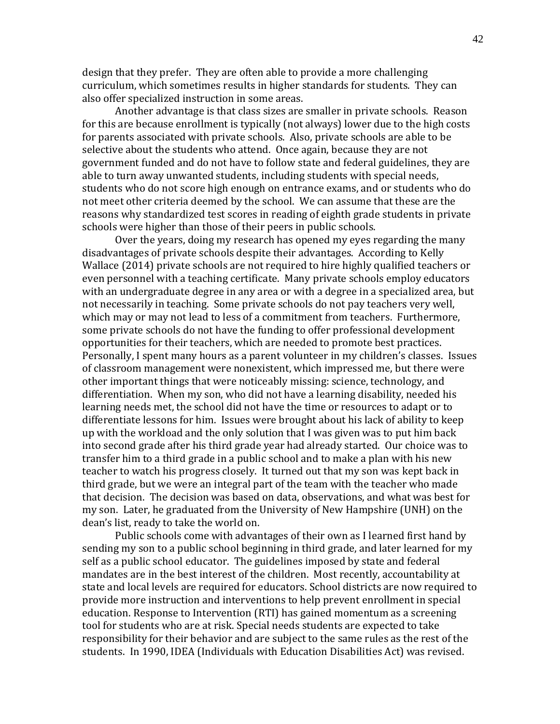design that they prefer. They are often able to provide a more challenging curriculum, which sometimes results in higher standards for students. They can also offer specialized instruction in some areas.

Another advantage is that class sizes are smaller in private schools. Reason for this are because enrollment is typically (not always) lower due to the high costs for parents associated with private schools. Also, private schools are able to be selective about the students who attend. Once again, because they are not government funded and do not have to follow state and federal guidelines, they are able to turn away unwanted students, including students with special needs, students who do not score high enough on entrance exams, and or students who do not meet other criteria deemed by the school. We can assume that these are the reasons why standardized test scores in reading of eighth grade students in private schools were higher than those of their peers in public schools.

Over the years, doing my research has opened my eyes regarding the many disadvantages of private schools despite their advantages. According to Kelly Wallace (2014) private schools are not required to hire highly qualified teachers or even personnel with a teaching certificate. Many private schools employ educators with an undergraduate degree in any area or with a degree in a specialized area, but not necessarily in teaching. Some private schools do not pay teachers very well, which may or may not lead to less of a commitment from teachers. Furthermore, some private schools do not have the funding to offer professional development opportunities for their teachers, which are needed to promote best practices. Personally, I spent many hours as a parent volunteer in my children's classes. Issues of classroom management were nonexistent, which impressed me, but there were other important things that were noticeably missing: science, technology, and differentiation. When my son, who did not have a learning disability, needed his learning needs met, the school did not have the time or resources to adapt or to differentiate lessons for him. Issues were brought about his lack of ability to keep up with the workload and the only solution that I was given was to put him back into second grade after his third grade year had already started. Our choice was to transfer him to a third grade in a public school and to make a plan with his new teacher to watch his progress closely. It turned out that my son was kept back in third grade, but we were an integral part of the team with the teacher who made that decision. The decision was based on data, observations, and what was best for my son. Later, he graduated from the University of New Hampshire (UNH) on the dean's list, ready to take the world on.

Public schools come with advantages of their own as I learned first hand by sending my son to a public school beginning in third grade, and later learned for my self as a public school educator. The guidelines imposed by state and federal mandates are in the best interest of the children. Most recently, accountability at state and local levels are required for educators. School districts are now required to provide more instruction and interventions to help prevent enrollment in special education. Response to Intervention (RTI) has gained momentum as a screening tool for students who are at risk. Special needs students are expected to take responsibility for their behavior and are subject to the same rules as the rest of the students. In 1990, IDEA (Individuals with Education Disabilities Act) was revised.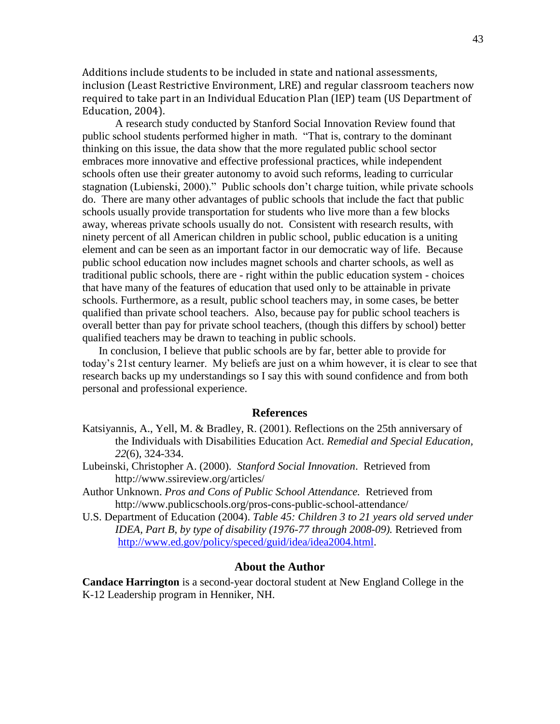Additions include students to be included in state and national assessments, inclusion (Least Restrictive Environment, LRE) and regular classroom teachers now required to take part in an Individual Education Plan (IEP) team (US Department of Education, 2004).

A research study conducted by Stanford Social Innovation Review found that public school students performed higher in math. "That is, contrary to the dominant thinking on this issue, the data show that the more regulated public school sector embraces more innovative and effective professional practices, while independent schools often use their greater autonomy to avoid such reforms, leading to curricular stagnation (Lubienski, 2000)." Public schools don't charge tuition, while private schools do. There are many other advantages of public schools that include the fact that public schools usually provide transportation for students who live more than a few blocks away, whereas private schools usually do not. Consistent with research results, with ninety percent of all American children in public school, public education is a uniting element and can be seen as an important factor in our democratic way of life. Because public school education now includes magnet schools and charter schools, as well as traditional public schools, there are - right within the public education system - choices that have many of the features of education that used only to be attainable in private schools. Furthermore, as a result, public school teachers may, in some cases, be better qualified than private school teachers. Also, because pay for public school teachers is overall better than pay for private school teachers, (though this differs by school) better qualified teachers may be drawn to teaching in public schools.

In conclusion, I believe that public schools are by far, better able to provide for today's 21st century learner. My beliefs are just on a whim however, it is clear to see that research backs up my understandings so I say this with sound confidence and from both personal and professional experience.

#### **References**

- Katsiyannis, A., Yell, M. & Bradley, R. (2001). Reflections on the 25th anniversary of the Individuals with Disabilities Education Act. *Remedial and Special Education, 22*(6), 324-334.
- Lubeinski, Christopher A. (2000). *Stanford Social Innovation*. Retrieved from http://www.ssireview.org/articles/
- Author Unknown. *Pros and Cons of Public School Attendance.* Retrieved from http://www.publicschools.org/pros-cons-public-school-attendance/
- U.S. Department of Education (2004). *Table 45: Children 3 to 21 years old served under IDEA, Part B, by type of disability (1976-77 through 2008-09).* Retrieved from [http://www.ed.gov/policy/speced/guid/idea/idea2004.html.](http://nces.ed.gov/programs/digest/d10/tables/dt10_045.asp?referrer=list)

#### **About the Author**

**Candace Harrington** is a second-year doctoral student at New England College in the K-12 Leadership program in Henniker, NH.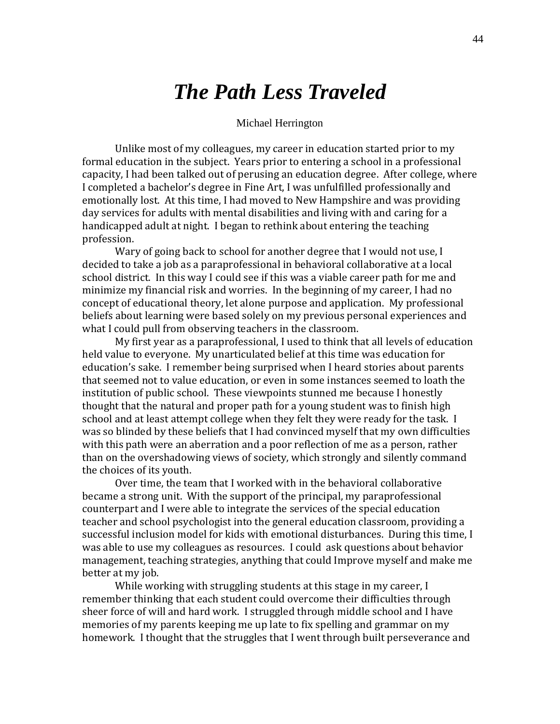# *The Path Less Traveled*

#### Michael Herrington

Unlike most of my colleagues, my career in education started prior to my formal education in the subject. Years prior to entering a school in a professional capacity, I had been talked out of perusing an education degree. After college, where I completed a bachelor's degree in Fine Art, I was unfulfilled professionally and emotionally lost. At this time, I had moved to New Hampshire and was providing day services for adults with mental disabilities and living with and caring for a handicapped adult at night. I began to rethink about entering the teaching profession.

Wary of going back to school for another degree that I would not use, I decided to take a job as a paraprofessional in behavioral collaborative at a local school district. In this way I could see if this was a viable career path for me and minimize my financial risk and worries. In the beginning of my career, I had no concept of educational theory, let alone purpose and application. My professional beliefs about learning were based solely on my previous personal experiences and what I could pull from observing teachers in the classroom.

My first year as a paraprofessional, I used to think that all levels of education held value to everyone. My unarticulated belief at this time was education for education's sake. I remember being surprised when I heard stories about parents that seemed not to value education, or even in some instances seemed to loath the institution of public school. These viewpoints stunned me because I honestly thought that the natural and proper path for a young student was to finish high school and at least attempt college when they felt they were ready for the task. I was so blinded by these beliefs that I had convinced myself that my own difficulties with this path were an aberration and a poor reflection of me as a person, rather than on the overshadowing views of society, which strongly and silently command the choices of its youth.

Over time, the team that I worked with in the behavioral collaborative became a strong unit. With the support of the principal, my paraprofessional counterpart and I were able to integrate the services of the special education teacher and school psychologist into the general education classroom, providing a successful inclusion model for kids with emotional disturbances. During this time, I was able to use my colleagues as resources. I could ask questions about behavior management, teaching strategies, anything that could Improve myself and make me better at my job.

While working with struggling students at this stage in my career, I remember thinking that each student could overcome their difficulties through sheer force of will and hard work. I struggled through middle school and I have memories of my parents keeping me up late to fix spelling and grammar on my homework. I thought that the struggles that I went through built perseverance and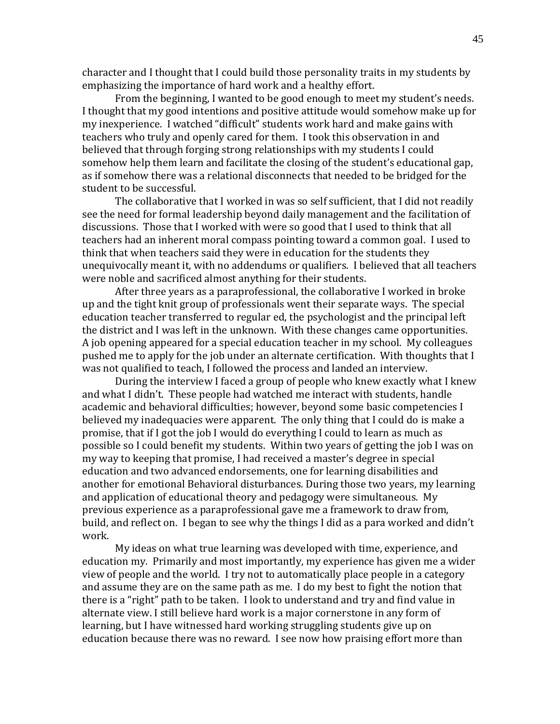character and I thought that I could build those personality traits in my students by emphasizing the importance of hard work and a healthy effort.

From the beginning, I wanted to be good enough to meet my student's needs. I thought that my good intentions and positive attitude would somehow make up for my inexperience. I watched "difficult" students work hard and make gains with teachers who truly and openly cared for them. I took this observation in and believed that through forging strong relationships with my students I could somehow help them learn and facilitate the closing of the student's educational gap, as if somehow there was a relational disconnects that needed to be bridged for the student to be successful.

The collaborative that I worked in was so self sufficient, that I did not readily see the need for formal leadership beyond daily management and the facilitation of discussions. Those that I worked with were so good that I used to think that all teachers had an inherent moral compass pointing toward a common goal. I used to think that when teachers said they were in education for the students they unequivocally meant it, with no addendums or qualifiers. I believed that all teachers were noble and sacrificed almost anything for their students.

After three years as a paraprofessional, the collaborative I worked in broke up and the tight knit group of professionals went their separate ways. The special education teacher transferred to regular ed, the psychologist and the principal left the district and I was left in the unknown. With these changes came opportunities. A job opening appeared for a special education teacher in my school. My colleagues pushed me to apply for the job under an alternate certification. With thoughts that I was not qualified to teach, I followed the process and landed an interview.

During the interview I faced a group of people who knew exactly what I knew and what I didn't. These people had watched me interact with students, handle academic and behavioral difficulties; however, beyond some basic competencies I believed my inadequacies were apparent. The only thing that I could do is make a promise, that if I got the job I would do everything I could to learn as much as possible so I could benefit my students. Within two years of getting the job I was on my way to keeping that promise, I had received a master's degree in special education and two advanced endorsements, one for learning disabilities and another for emotional Behavioral disturbances. During those two years, my learning and application of educational theory and pedagogy were simultaneous. My previous experience as a paraprofessional gave me a framework to draw from, build, and reflect on. I began to see why the things I did as a para worked and didn't work.

My ideas on what true learning was developed with time, experience, and education my. Primarily and most importantly, my experience has given me a wider view of people and the world. I try not to automatically place people in a category and assume they are on the same path as me. I do my best to fight the notion that there is a "right" path to be taken. I look to understand and try and find value in alternate view. I still believe hard work is a major cornerstone in any form of learning, but I have witnessed hard working struggling students give up on education because there was no reward. I see now how praising effort more than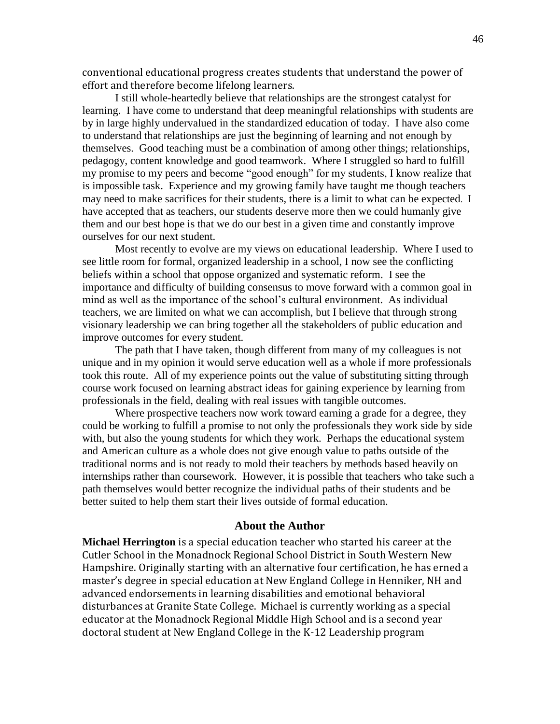conventional educational progress creates students that understand the power of effort and therefore become lifelong learners.

I still whole-heartedly believe that relationships are the strongest catalyst for learning. I have come to understand that deep meaningful relationships with students are by in large highly undervalued in the standardized education of today. I have also come to understand that relationships are just the beginning of learning and not enough by themselves. Good teaching must be a combination of among other things; relationships, pedagogy, content knowledge and good teamwork. Where I struggled so hard to fulfill my promise to my peers and become "good enough" for my students, I know realize that is impossible task. Experience and my growing family have taught me though teachers may need to make sacrifices for their students, there is a limit to what can be expected. I have accepted that as teachers, our students deserve more then we could humanly give them and our best hope is that we do our best in a given time and constantly improve ourselves for our next student.

Most recently to evolve are my views on educational leadership. Where I used to see little room for formal, organized leadership in a school, I now see the conflicting beliefs within a school that oppose organized and systematic reform. I see the importance and difficulty of building consensus to move forward with a common goal in mind as well as the importance of the school's cultural environment. As individual teachers, we are limited on what we can accomplish, but I believe that through strong visionary leadership we can bring together all the stakeholders of public education and improve outcomes for every student.

The path that I have taken, though different from many of my colleagues is not unique and in my opinion it would serve education well as a whole if more professionals took this route. All of my experience points out the value of substituting sitting through course work focused on learning abstract ideas for gaining experience by learning from professionals in the field, dealing with real issues with tangible outcomes.

Where prospective teachers now work toward earning a grade for a degree, they could be working to fulfill a promise to not only the professionals they work side by side with, but also the young students for which they work. Perhaps the educational system and American culture as a whole does not give enough value to paths outside of the traditional norms and is not ready to mold their teachers by methods based heavily on internships rather than coursework. However, it is possible that teachers who take such a path themselves would better recognize the individual paths of their students and be better suited to help them start their lives outside of formal education.

#### **About the Author**

**Michael Herrington** is a special education teacher who started his career at the Cutler School in the Monadnock Regional School District in South Western New Hampshire. Originally starting with an alternative four certification, he has erned a master's degree in special education at New England College in Henniker, NH and advanced endorsements in learning disabilities and emotional behavioral disturbances at Granite State College. Michael is currently working as a special educator at the Monadnock Regional Middle High School and is a second year doctoral student at New England College in the K-12 Leadership program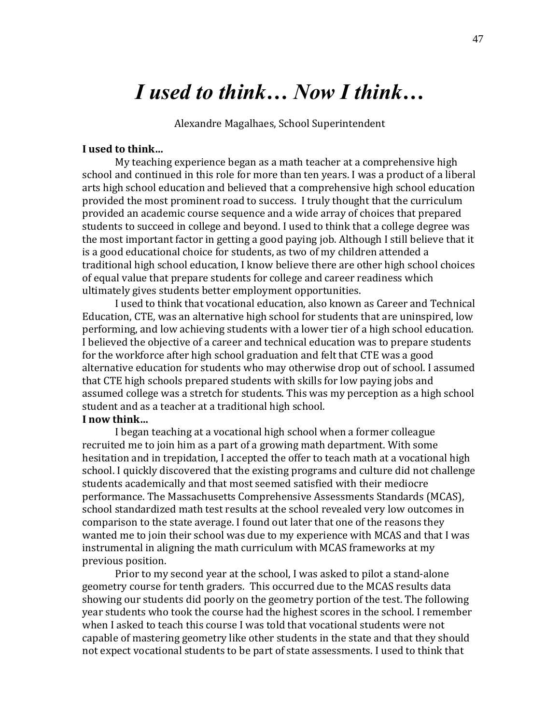# *I used to think… Now I think…*

Alexandre Magalhaes, School Superintendent

### **I used to think…**

My teaching experience began as a math teacher at a comprehensive high school and continued in this role for more than ten years. I was a product of a liberal arts high school education and believed that a comprehensive high school education provided the most prominent road to success. I truly thought that the curriculum provided an academic course sequence and a wide array of choices that prepared students to succeed in college and beyond. I used to think that a college degree was the most important factor in getting a good paying job. Although I still believe that it is a good educational choice for students, as two of my children attended a traditional high school education, I know believe there are other high school choices of equal value that prepare students for college and career readiness which ultimately gives students better employment opportunities.

I used to think that vocational education, also known as Career and Technical Education, CTE, was an alternative high school for students that are uninspired, low performing, and low achieving students with a lower tier of a high school education. I believed the objective of a career and technical education was to prepare students for the workforce after high school graduation and felt that CTE was a good alternative education for students who may otherwise drop out of school. I assumed that CTE high schools prepared students with skills for low paying jobs and assumed college was a stretch for students. This was my perception as a high school student and as a teacher at a traditional high school.

### **I now think…**

I began teaching at a vocational high school when a former colleague recruited me to join him as a part of a growing math department. With some hesitation and in trepidation, I accepted the offer to teach math at a vocational high school. I quickly discovered that the existing programs and culture did not challenge students academically and that most seemed satisfied with their mediocre performance. The Massachusetts Comprehensive Assessments Standards (MCAS), school standardized math test results at the school revealed very low outcomes in comparison to the state average. I found out later that one of the reasons they wanted me to join their school was due to my experience with MCAS and that I was instrumental in aligning the math curriculum with MCAS frameworks at my previous position.

Prior to my second year at the school, I was asked to pilot a stand-alone geometry course for tenth graders. This occurred due to the MCAS results data showing our students did poorly on the geometry portion of the test. The following year students who took the course had the highest scores in the school. I remember when I asked to teach this course I was told that vocational students were not capable of mastering geometry like other students in the state and that they should not expect vocational students to be part of state assessments. I used to think that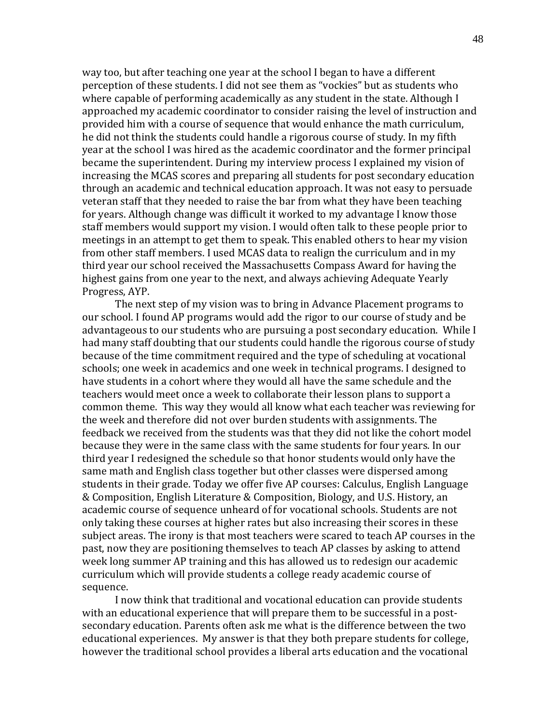way too, but after teaching one year at the school I began to have a different perception of these students. I did not see them as "vockies" but as students who where capable of performing academically as any student in the state. Although I approached my academic coordinator to consider raising the level of instruction and provided him with a course of sequence that would enhance the math curriculum, he did not think the students could handle a rigorous course of study. In my fifth year at the school I was hired as the academic coordinator and the former principal became the superintendent. During my interview process I explained my vision of increasing the MCAS scores and preparing all students for post secondary education through an academic and technical education approach. It was not easy to persuade veteran staff that they needed to raise the bar from what they have been teaching for years. Although change was difficult it worked to my advantage I know those staff members would support my vision. I would often talk to these people prior to meetings in an attempt to get them to speak. This enabled others to hear my vision from other staff members. I used MCAS data to realign the curriculum and in my third year our school received the Massachusetts Compass Award for having the highest gains from one year to the next, and always achieving Adequate Yearly Progress, AYP.

The next step of my vision was to bring in Advance Placement programs to our school. I found AP programs would add the rigor to our course of study and be advantageous to our students who are pursuing a post secondary education. While I had many staff doubting that our students could handle the rigorous course of study because of the time commitment required and the type of scheduling at vocational schools; one week in academics and one week in technical programs. I designed to have students in a cohort where they would all have the same schedule and the teachers would meet once a week to collaborate their lesson plans to support a common theme. This way they would all know what each teacher was reviewing for the week and therefore did not over burden students with assignments. The feedback we received from the students was that they did not like the cohort model because they were in the same class with the same students for four years. In our third year I redesigned the schedule so that honor students would only have the same math and English class together but other classes were dispersed among students in their grade. Today we offer five AP courses: Calculus, English Language & Composition, English Literature & Composition, Biology, and U.S. History, an academic course of sequence unheard of for vocational schools. Students are not only taking these courses at higher rates but also increasing their scores in these subject areas. The irony is that most teachers were scared to teach AP courses in the past, now they are positioning themselves to teach AP classes by asking to attend week long summer AP training and this has allowed us to redesign our academic curriculum which will provide students a college ready academic course of sequence.

I now think that traditional and vocational education can provide students with an educational experience that will prepare them to be successful in a postsecondary education. Parents often ask me what is the difference between the two educational experiences. My answer is that they both prepare students for college, however the traditional school provides a liberal arts education and the vocational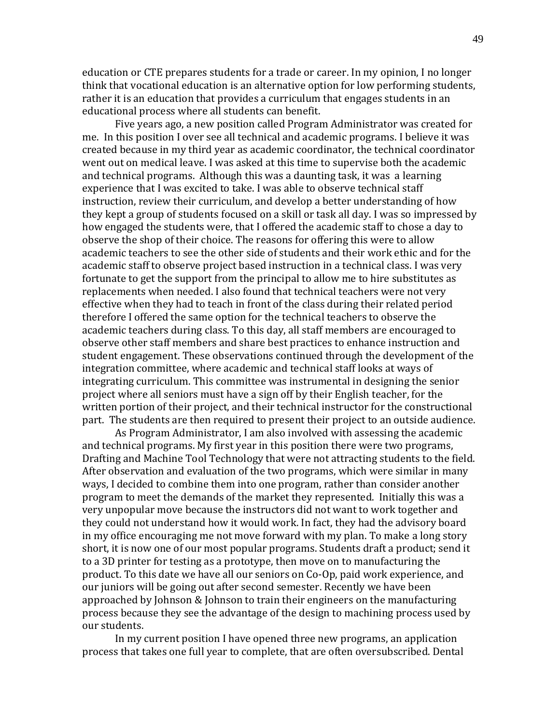education or CTE prepares students for a trade or career. In my opinion, I no longer think that vocational education is an alternative option for low performing students, rather it is an education that provides a curriculum that engages students in an educational process where all students can benefit.

Five years ago, a new position called Program Administrator was created for me. In this position I over see all technical and academic programs. I believe it was created because in my third year as academic coordinator, the technical coordinator went out on medical leave. I was asked at this time to supervise both the academic and technical programs. Although this was a daunting task, it was a learning experience that I was excited to take. I was able to observe technical staff instruction, review their curriculum, and develop a better understanding of how they kept a group of students focused on a skill or task all day. I was so impressed by how engaged the students were, that I offered the academic staff to chose a day to observe the shop of their choice. The reasons for offering this were to allow academic teachers to see the other side of students and their work ethic and for the academic staff to observe project based instruction in a technical class. I was very fortunate to get the support from the principal to allow me to hire substitutes as replacements when needed. I also found that technical teachers were not very effective when they had to teach in front of the class during their related period therefore I offered the same option for the technical teachers to observe the academic teachers during class. To this day, all staff members are encouraged to observe other staff members and share best practices to enhance instruction and student engagement. These observations continued through the development of the integration committee, where academic and technical staff looks at ways of integrating curriculum. This committee was instrumental in designing the senior project where all seniors must have a sign off by their English teacher, for the written portion of their project, and their technical instructor for the constructional part. The students are then required to present their project to an outside audience.

As Program Administrator, I am also involved with assessing the academic and technical programs. My first year in this position there were two programs, Drafting and Machine Tool Technology that were not attracting students to the field. After observation and evaluation of the two programs, which were similar in many ways, I decided to combine them into one program, rather than consider another program to meet the demands of the market they represented. Initially this was a very unpopular move because the instructors did not want to work together and they could not understand how it would work. In fact, they had the advisory board in my office encouraging me not move forward with my plan. To make a long story short, it is now one of our most popular programs. Students draft a product; send it to a 3D printer for testing as a prototype, then move on to manufacturing the product. To this date we have all our seniors on Co-Op, paid work experience, and our juniors will be going out after second semester. Recently we have been approached by Johnson & Johnson to train their engineers on the manufacturing process because they see the advantage of the design to machining process used by our students.

In my current position I have opened three new programs, an application process that takes one full year to complete, that are often oversubscribed. Dental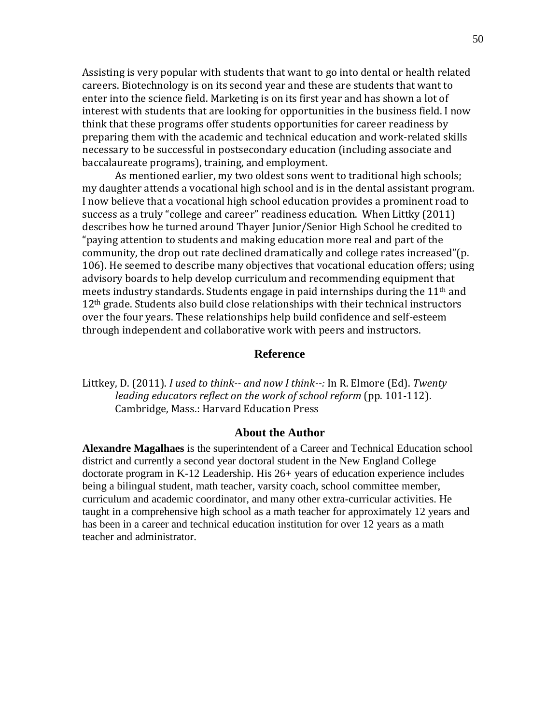Assisting is very popular with students that want to go into dental or health related careers. Biotechnology is on its second year and these are students that want to enter into the science field. Marketing is on its first year and has shown a lot of interest with students that are looking for opportunities in the business field. I now think that these programs offer students opportunities for career readiness by preparing them with the academic and technical education and work-related skills necessary to be successful in postsecondary education (including associate and baccalaureate programs), training, and employment.

As mentioned earlier, my two oldest sons went to traditional high schools; my daughter attends a vocational high school and is in the dental assistant program. I now believe that a vocational high school education provides a prominent road to success as a truly "college and career" readiness education. When Littky (2011) describes how he turned around Thayer Junior/Senior High School he credited to "paying attention to students and making education more real and part of the community, the drop out rate declined dramatically and college rates increased"(p. 106). He seemed to describe many objectives that vocational education offers; using advisory boards to help develop curriculum and recommending equipment that meets industry standards. Students engage in paid internships during the  $11<sup>th</sup>$  and 12th grade. Students also build close relationships with their technical instructors over the four years. These relationships help build confidence and self-esteem through independent and collaborative work with peers and instructors.

### **Reference**

Littkey, D. (2011). *I used to think-- and now I think--:* In R. Elmore (Ed). *Twenty leading educators reflect on the work of school reform* (pp. 101-112). Cambridge, Mass.: Harvard Education Press

#### **About the Author**

**Alexandre Magalhaes** is the superintendent of a Career and Technical Education school district and currently a second year doctoral student in the New England College doctorate program in K-12 Leadership. His 26+ years of education experience includes being a bilingual student, math teacher, varsity coach, school committee member, curriculum and academic coordinator, and many other extra-curricular activities. He taught in a comprehensive high school as a math teacher for approximately 12 years and has been in a career and technical education institution for over 12 years as a math teacher and administrator.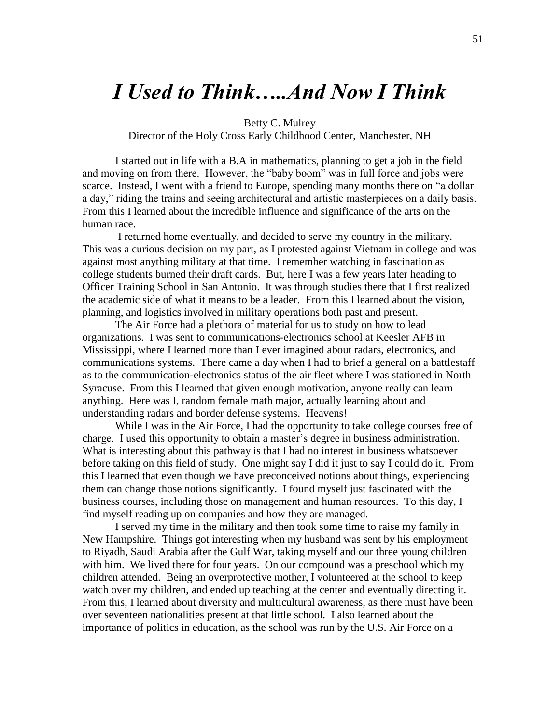# *I Used to Think…..And Now I Think*

Betty C. Mulrey

Director of the Holy Cross Early Childhood Center, Manchester, NH

I started out in life with a B.A in mathematics, planning to get a job in the field and moving on from there. However, the "baby boom" was in full force and jobs were scarce. Instead, I went with a friend to Europe, spending many months there on "a dollar a day," riding the trains and seeing architectural and artistic masterpieces on a daily basis. From this I learned about the incredible influence and significance of the arts on the human race.

I returned home eventually, and decided to serve my country in the military. This was a curious decision on my part, as I protested against Vietnam in college and was against most anything military at that time. I remember watching in fascination as college students burned their draft cards. But, here I was a few years later heading to Officer Training School in San Antonio. It was through studies there that I first realized the academic side of what it means to be a leader. From this I learned about the vision, planning, and logistics involved in military operations both past and present.

The Air Force had a plethora of material for us to study on how to lead organizations. I was sent to communications-electronics school at Keesler AFB in Mississippi, where I learned more than I ever imagined about radars, electronics, and communications systems. There came a day when I had to brief a general on a battlestaff as to the communication-electronics status of the air fleet where I was stationed in North Syracuse. From this I learned that given enough motivation, anyone really can learn anything. Here was I, random female math major, actually learning about and understanding radars and border defense systems. Heavens!

While I was in the Air Force, I had the opportunity to take college courses free of charge. I used this opportunity to obtain a master's degree in business administration. What is interesting about this pathway is that I had no interest in business whatsoever before taking on this field of study. One might say I did it just to say I could do it. From this I learned that even though we have preconceived notions about things, experiencing them can change those notions significantly. I found myself just fascinated with the business courses, including those on management and human resources. To this day, I find myself reading up on companies and how they are managed.

I served my time in the military and then took some time to raise my family in New Hampshire. Things got interesting when my husband was sent by his employment to Riyadh, Saudi Arabia after the Gulf War, taking myself and our three young children with him. We lived there for four years. On our compound was a preschool which my children attended. Being an overprotective mother, I volunteered at the school to keep watch over my children, and ended up teaching at the center and eventually directing it. From this, I learned about diversity and multicultural awareness, as there must have been over seventeen nationalities present at that little school. I also learned about the importance of politics in education, as the school was run by the U.S. Air Force on a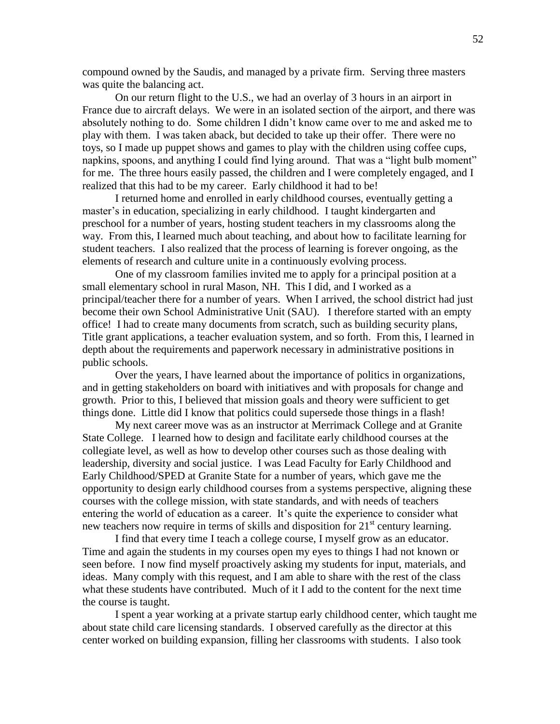compound owned by the Saudis, and managed by a private firm. Serving three masters was quite the balancing act.

On our return flight to the U.S., we had an overlay of 3 hours in an airport in France due to aircraft delays. We were in an isolated section of the airport, and there was absolutely nothing to do. Some children I didn't know came over to me and asked me to play with them. I was taken aback, but decided to take up their offer. There were no toys, so I made up puppet shows and games to play with the children using coffee cups, napkins, spoons, and anything I could find lying around. That was a "light bulb moment" for me. The three hours easily passed, the children and I were completely engaged, and I realized that this had to be my career. Early childhood it had to be!

I returned home and enrolled in early childhood courses, eventually getting a master's in education, specializing in early childhood. I taught kindergarten and preschool for a number of years, hosting student teachers in my classrooms along the way. From this, I learned much about teaching, and about how to facilitate learning for student teachers. I also realized that the process of learning is forever ongoing, as the elements of research and culture unite in a continuously evolving process.

One of my classroom families invited me to apply for a principal position at a small elementary school in rural Mason, NH. This I did, and I worked as a principal/teacher there for a number of years. When I arrived, the school district had just become their own School Administrative Unit (SAU). I therefore started with an empty office! I had to create many documents from scratch, such as building security plans, Title grant applications, a teacher evaluation system, and so forth. From this, I learned in depth about the requirements and paperwork necessary in administrative positions in public schools.

Over the years, I have learned about the importance of politics in organizations, and in getting stakeholders on board with initiatives and with proposals for change and growth. Prior to this, I believed that mission goals and theory were sufficient to get things done. Little did I know that politics could supersede those things in a flash!

My next career move was as an instructor at Merrimack College and at Granite State College. I learned how to design and facilitate early childhood courses at the collegiate level, as well as how to develop other courses such as those dealing with leadership, diversity and social justice. I was Lead Faculty for Early Childhood and Early Childhood/SPED at Granite State for a number of years, which gave me the opportunity to design early childhood courses from a systems perspective, aligning these courses with the college mission, with state standards, and with needs of teachers entering the world of education as a career. It's quite the experience to consider what new teachers now require in terms of skills and disposition for  $21<sup>st</sup>$  century learning.

I find that every time I teach a college course, I myself grow as an educator. Time and again the students in my courses open my eyes to things I had not known or seen before. I now find myself proactively asking my students for input, materials, and ideas. Many comply with this request, and I am able to share with the rest of the class what these students have contributed. Much of it I add to the content for the next time the course is taught.

I spent a year working at a private startup early childhood center, which taught me about state child care licensing standards. I observed carefully as the director at this center worked on building expansion, filling her classrooms with students. I also took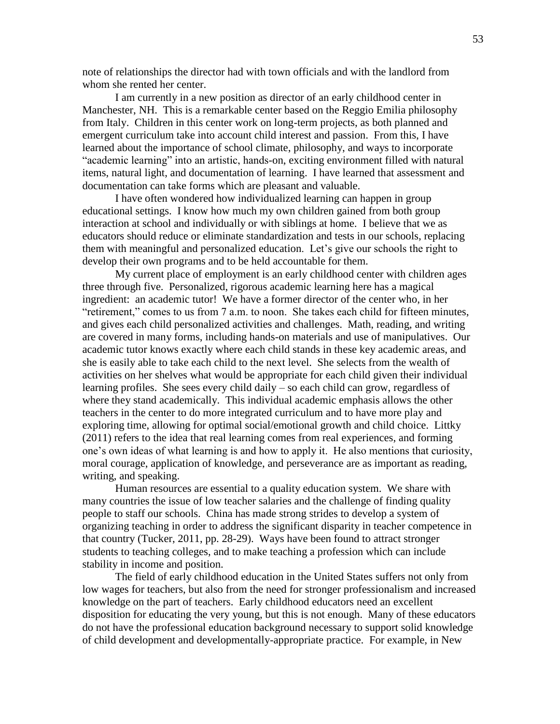note of relationships the director had with town officials and with the landlord from whom she rented her center.

I am currently in a new position as director of an early childhood center in Manchester, NH. This is a remarkable center based on the Reggio Emilia philosophy from Italy. Children in this center work on long-term projects, as both planned and emergent curriculum take into account child interest and passion. From this, I have learned about the importance of school climate, philosophy, and ways to incorporate "academic learning" into an artistic, hands-on, exciting environment filled with natural items, natural light, and documentation of learning. I have learned that assessment and documentation can take forms which are pleasant and valuable.

I have often wondered how individualized learning can happen in group educational settings. I know how much my own children gained from both group interaction at school and individually or with siblings at home. I believe that we as educators should reduce or eliminate standardization and tests in our schools, replacing them with meaningful and personalized education. Let's give our schools the right to develop their own programs and to be held accountable for them.

My current place of employment is an early childhood center with children ages three through five. Personalized, rigorous academic learning here has a magical ingredient: an academic tutor! We have a former director of the center who, in her "retirement," comes to us from 7 a.m. to noon. She takes each child for fifteen minutes, and gives each child personalized activities and challenges. Math, reading, and writing are covered in many forms, including hands-on materials and use of manipulatives. Our academic tutor knows exactly where each child stands in these key academic areas, and she is easily able to take each child to the next level. She selects from the wealth of activities on her shelves what would be appropriate for each child given their individual learning profiles. She sees every child daily – so each child can grow, regardless of where they stand academically. This individual academic emphasis allows the other teachers in the center to do more integrated curriculum and to have more play and exploring time, allowing for optimal social/emotional growth and child choice. Littky (2011) refers to the idea that real learning comes from real experiences, and forming one's own ideas of what learning is and how to apply it. He also mentions that curiosity, moral courage, application of knowledge, and perseverance are as important as reading, writing, and speaking.

Human resources are essential to a quality education system. We share with many countries the issue of low teacher salaries and the challenge of finding quality people to staff our schools. China has made strong strides to develop a system of organizing teaching in order to address the significant disparity in teacher competence in that country (Tucker, 2011, pp. 28-29). Ways have been found to attract stronger students to teaching colleges, and to make teaching a profession which can include stability in income and position.

The field of early childhood education in the United States suffers not only from low wages for teachers, but also from the need for stronger professionalism and increased knowledge on the part of teachers. Early childhood educators need an excellent disposition for educating the very young, but this is not enough. Many of these educators do not have the professional education background necessary to support solid knowledge of child development and developmentally-appropriate practice. For example, in New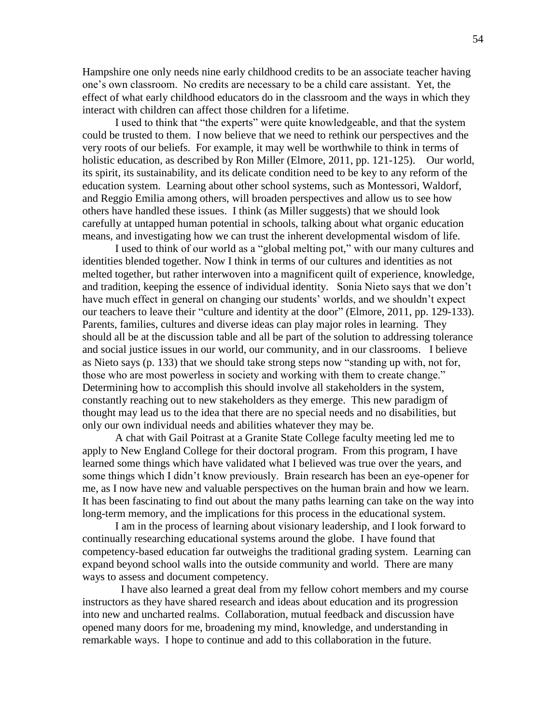Hampshire one only needs nine early childhood credits to be an associate teacher having one's own classroom. No credits are necessary to be a child care assistant. Yet, the effect of what early childhood educators do in the classroom and the ways in which they interact with children can affect those children for a lifetime.

I used to think that "the experts" were quite knowledgeable, and that the system could be trusted to them. I now believe that we need to rethink our perspectives and the very roots of our beliefs. For example, it may well be worthwhile to think in terms of holistic education, as described by Ron Miller (Elmore, 2011, pp. 121-125). Our world, its spirit, its sustainability, and its delicate condition need to be key to any reform of the education system. Learning about other school systems, such as Montessori, Waldorf, and Reggio Emilia among others, will broaden perspectives and allow us to see how others have handled these issues. I think (as Miller suggests) that we should look carefully at untapped human potential in schools, talking about what organic education means, and investigating how we can trust the inherent developmental wisdom of life.

I used to think of our world as a "global melting pot," with our many cultures and identities blended together. Now I think in terms of our cultures and identities as not melted together, but rather interwoven into a magnificent quilt of experience, knowledge, and tradition, keeping the essence of individual identity. Sonia Nieto says that we don't have much effect in general on changing our students' worlds, and we shouldn't expect our teachers to leave their "culture and identity at the door" (Elmore, 2011, pp. 129-133). Parents, families, cultures and diverse ideas can play major roles in learning. They should all be at the discussion table and all be part of the solution to addressing tolerance and social justice issues in our world, our community, and in our classrooms. I believe as Nieto says (p. 133) that we should take strong steps now "standing up with, not for, those who are most powerless in society and working with them to create change." Determining how to accomplish this should involve all stakeholders in the system, constantly reaching out to new stakeholders as they emerge. This new paradigm of thought may lead us to the idea that there are no special needs and no disabilities, but only our own individual needs and abilities whatever they may be.

A chat with Gail Poitrast at a Granite State College faculty meeting led me to apply to New England College for their doctoral program. From this program, I have learned some things which have validated what I believed was true over the years, and some things which I didn't know previously. Brain research has been an eye-opener for me, as I now have new and valuable perspectives on the human brain and how we learn. It has been fascinating to find out about the many paths learning can take on the way into long-term memory, and the implications for this process in the educational system.

I am in the process of learning about visionary leadership, and I look forward to continually researching educational systems around the globe. I have found that competency-based education far outweighs the traditional grading system. Learning can expand beyond school walls into the outside community and world. There are many ways to assess and document competency.

 I have also learned a great deal from my fellow cohort members and my course instructors as they have shared research and ideas about education and its progression into new and uncharted realms. Collaboration, mutual feedback and discussion have opened many doors for me, broadening my mind, knowledge, and understanding in remarkable ways. I hope to continue and add to this collaboration in the future.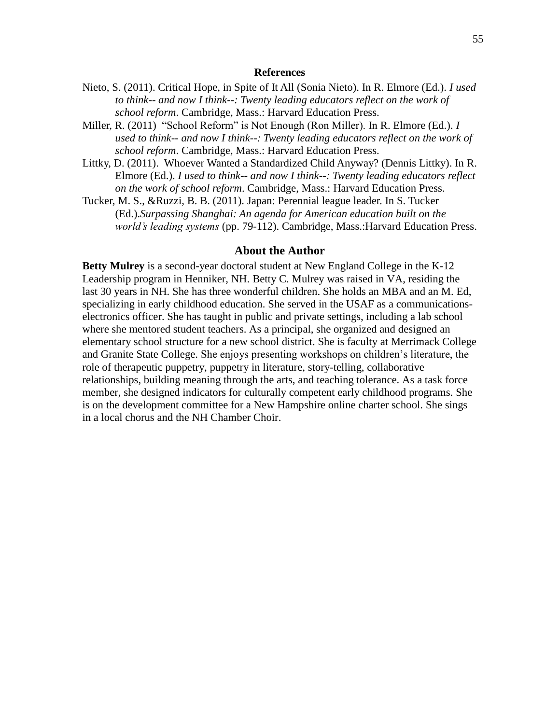#### **References**

- Nieto, S. (2011). Critical Hope, in Spite of It All (Sonia Nieto). In R. Elmore (Ed.). *I used to think-- and now I think--: Twenty leading educators reflect on the work of school reform*. Cambridge, Mass.: Harvard Education Press.
- Miller, R. (2011) "School Reform" is Not Enough (Ron Miller). In R. Elmore (Ed.). *I used to think-- and now I think--: Twenty leading educators reflect on the work of school reform*. Cambridge, Mass.: Harvard Education Press.
- Littky, D. (2011). Whoever Wanted a Standardized Child Anyway? (Dennis Littky). In R. Elmore (Ed.). *I used to think-- and now I think--: Twenty leading educators reflect on the work of school reform*. Cambridge, Mass.: Harvard Education Press.
- Tucker, M. S., &Ruzzi, B. B. (2011). Japan: Perennial league leader. In S. Tucker (Ed.).*Surpassing Shanghai: An agenda for American education built on the world's leading systems* (pp. 79-112). Cambridge, Mass.:Harvard Education Press.

#### **About the Author**

**Betty Mulrey** is a second-year doctoral student at New England College in the K-12 Leadership program in Henniker, NH. Betty C. Mulrey was raised in VA, residing the last 30 years in NH. She has three wonderful children. She holds an MBA and an M. Ed, specializing in early childhood education. She served in the USAF as a communicationselectronics officer. She has taught in public and private settings, including a lab school where she mentored student teachers. As a principal, she organized and designed an elementary school structure for a new school district. She is faculty at Merrimack College and Granite State College. She enjoys presenting workshops on children's literature, the role of therapeutic puppetry, puppetry in literature, story-telling, collaborative relationships, building meaning through the arts, and teaching tolerance. As a task force member, she designed indicators for culturally competent early childhood programs. She is on the development committee for a New Hampshire online charter school. She sings in a local chorus and the NH Chamber Choir.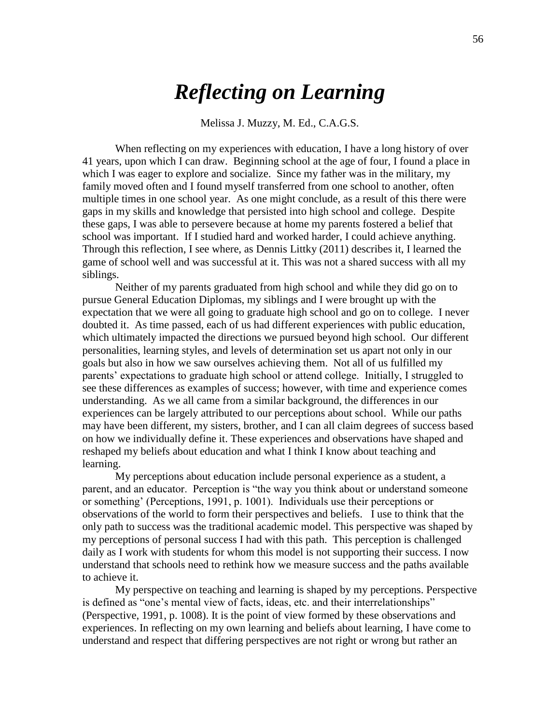# *Reflecting on Learning*

Melissa J. Muzzy, M. Ed., C.A.G.S.

When reflecting on my experiences with education, I have a long history of over 41 years, upon which I can draw. Beginning school at the age of four, I found a place in which I was eager to explore and socialize. Since my father was in the military, my family moved often and I found myself transferred from one school to another, often multiple times in one school year. As one might conclude, as a result of this there were gaps in my skills and knowledge that persisted into high school and college. Despite these gaps, I was able to persevere because at home my parents fostered a belief that school was important. If I studied hard and worked harder, I could achieve anything. Through this reflection, I see where, as Dennis Littky (2011) describes it, I learned the game of school well and was successful at it. This was not a shared success with all my siblings.

Neither of my parents graduated from high school and while they did go on to pursue General Education Diplomas, my siblings and I were brought up with the expectation that we were all going to graduate high school and go on to college. I never doubted it. As time passed, each of us had different experiences with public education, which ultimately impacted the directions we pursued beyond high school. Our different personalities, learning styles, and levels of determination set us apart not only in our goals but also in how we saw ourselves achieving them. Not all of us fulfilled my parents' expectations to graduate high school or attend college. Initially, I struggled to see these differences as examples of success; however, with time and experience comes understanding. As we all came from a similar background, the differences in our experiences can be largely attributed to our perceptions about school. While our paths may have been different, my sisters, brother, and I can all claim degrees of success based on how we individually define it. These experiences and observations have shaped and reshaped my beliefs about education and what I think I know about teaching and learning.

My perceptions about education include personal experience as a student, a parent, and an educator. Perception is "the way you think about or understand someone or something' (Perceptions, 1991, p. 1001). Individuals use their perceptions or observations of the world to form their perspectives and beliefs. I use to think that the only path to success was the traditional academic model. This perspective was shaped by my perceptions of personal success I had with this path. This perception is challenged daily as I work with students for whom this model is not supporting their success. I now understand that schools need to rethink how we measure success and the paths available to achieve it.

My perspective on teaching and learning is shaped by my perceptions. Perspective is defined as "one's mental view of facts, ideas, etc. and their interrelationships" (Perspective, 1991, p. 1008). It is the point of view formed by these observations and experiences. In reflecting on my own learning and beliefs about learning, I have come to understand and respect that differing perspectives are not right or wrong but rather an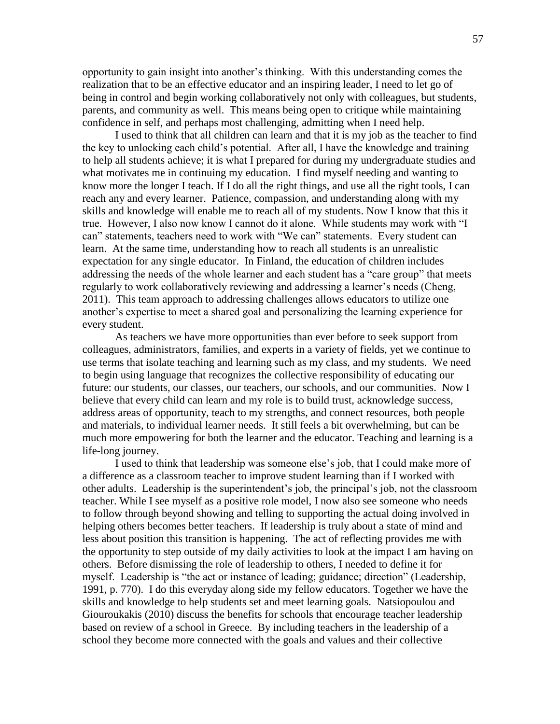opportunity to gain insight into another's thinking. With this understanding comes the realization that to be an effective educator and an inspiring leader, I need to let go of being in control and begin working collaboratively not only with colleagues, but students, parents, and community as well. This means being open to critique while maintaining confidence in self, and perhaps most challenging, admitting when I need help.

I used to think that all children can learn and that it is my job as the teacher to find the key to unlocking each child's potential. After all, I have the knowledge and training to help all students achieve; it is what I prepared for during my undergraduate studies and what motivates me in continuing my education. I find myself needing and wanting to know more the longer I teach. If I do all the right things, and use all the right tools, I can reach any and every learner. Patience, compassion, and understanding along with my skills and knowledge will enable me to reach all of my students. Now I know that this it true. However, I also now know I cannot do it alone. While students may work with "I can" statements, teachers need to work with "We can" statements. Every student can learn. At the same time, understanding how to reach all students is an unrealistic expectation for any single educator. In Finland, the education of children includes addressing the needs of the whole learner and each student has a "care group" that meets regularly to work collaboratively reviewing and addressing a learner's needs (Cheng, 2011). This team approach to addressing challenges allows educators to utilize one another's expertise to meet a shared goal and personalizing the learning experience for every student.

As teachers we have more opportunities than ever before to seek support from colleagues, administrators, families, and experts in a variety of fields, yet we continue to use terms that isolate teaching and learning such as my class, and my students. We need to begin using language that recognizes the collective responsibility of educating our future: our students, our classes, our teachers, our schools, and our communities. Now I believe that every child can learn and my role is to build trust, acknowledge success, address areas of opportunity, teach to my strengths, and connect resources, both people and materials, to individual learner needs. It still feels a bit overwhelming, but can be much more empowering for both the learner and the educator. Teaching and learning is a life-long journey.

I used to think that leadership was someone else's job, that I could make more of a difference as a classroom teacher to improve student learning than if I worked with other adults. Leadership is the superintendent's job, the principal's job, not the classroom teacher. While I see myself as a positive role model, I now also see someone who needs to follow through beyond showing and telling to supporting the actual doing involved in helping others becomes better teachers. If leadership is truly about a state of mind and less about position this transition is happening. The act of reflecting provides me with the opportunity to step outside of my daily activities to look at the impact I am having on others. Before dismissing the role of leadership to others, I needed to define it for myself. Leadership is "the act or instance of leading; guidance; direction" (Leadership, 1991, p. 770). I do this everyday along side my fellow educators. Together we have the skills and knowledge to help students set and meet learning goals. Natsiopoulou and Giouroukakis (2010) discuss the benefits for schools that encourage teacher leadership based on review of a school in Greece. By including teachers in the leadership of a school they become more connected with the goals and values and their collective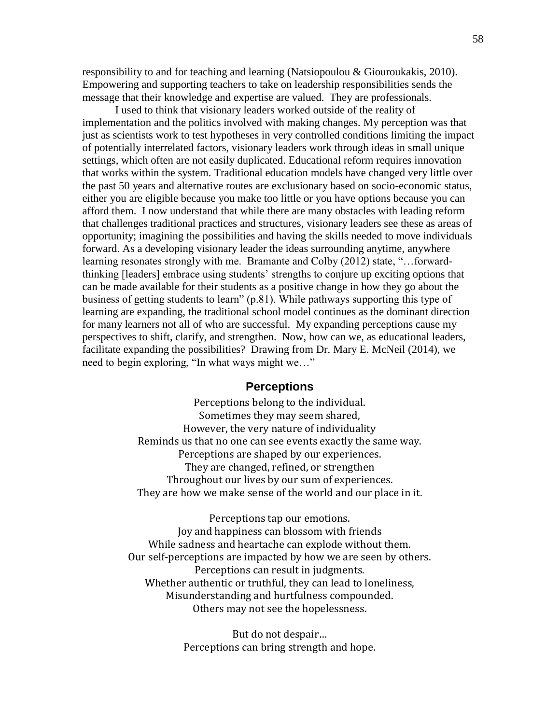responsibility to and for teaching and learning (Natsiopoulou & Giouroukakis, 2010). Empowering and supporting teachers to take on leadership responsibilities sends the message that their knowledge and expertise are valued. They are professionals.

I used to think that visionary leaders worked outside of the reality of implementation and the politics involved with making changes. My perception was that just as scientists work to test hypotheses in very controlled conditions limiting the impact of potentially interrelated factors, visionary leaders work through ideas in small unique settings, which often are not easily duplicated. Educational reform requires innovation that works within the system. Traditional education models have changed very little over the past 50 years and alternative routes are exclusionary based on socio-economic status, either you are eligible because you make too little or you have options because you can afford them. I now understand that while there are many obstacles with leading reform that challenges traditional practices and structures, visionary leaders see these as areas of opportunity; imagining the possibilities and having the skills needed to move individuals forward. As a developing visionary leader the ideas surrounding anytime, anywhere learning resonates strongly with me. Bramante and Colby (2012) state, "...forwardthinking [leaders] embrace using students' strengths to conjure up exciting options that can be made available for their students as a positive change in how they go about the business of getting students to learn" (p.81). While pathways supporting this type of learning are expanding, the traditional school model continues as the dominant direction for many learners not all of who are successful. My expanding perceptions cause my perspectives to shift, clarify, and strengthen. Now, how can we, as educational leaders, facilitate expanding the possibilities? Drawing from Dr. Mary E. McNeil (2014), we need to begin exploring, "In what ways might we..."

### **Perceptions**

Perceptions belong to the individual. Sometimes they may seem shared, However, the very nature of individuality Reminds us that no one can see events exactly the same way. Perceptions are shaped by our experiences. They are changed, refined, or strengthen Throughout our lives by our sum of experiences. They are how we make sense of the world and our place in it.

Perceptions tap our emotions. Joy and happiness can blossom with friends While sadness and heartache can explode without them. Our self-perceptions are impacted by how we are seen by others. Perceptions can result in judgments. Whether authentic or truthful, they can lead to loneliness, Misunderstanding and hurtfulness compounded. Others may not see the hopelessness.

> But do not despair… Perceptions can bring strength and hope.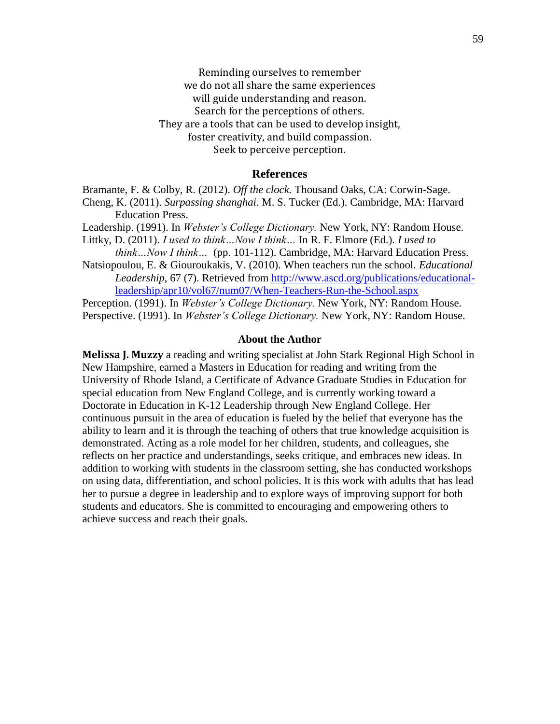Reminding ourselves to remember we do not all share the same experiences will guide understanding and reason. Search for the perceptions of others. They are a tools that can be used to develop insight, foster creativity, and build compassion. Seek to perceive perception.

#### **References**

Bramante, F. & Colby, R. (2012). *Off the clock.* Thousand Oaks, CA: Corwin-Sage.

Cheng, K. (2011). *Surpassing shanghai*. M. S. Tucker (Ed.). Cambridge, MA: Harvard Education Press.

Leadership. (1991). In *Webster's College Dictionary.* New York, NY: Random House.

Littky, D. (2011). *I used to think…Now I think…* In R. F. Elmore (Ed.). *I used to think…Now I think…* (pp. 101-112). Cambridge, MA: Harvard Education Press.

Natsiopoulou, E. & Giouroukakis, V. (2010). When teachers run the school. *Educational Leadership,* 67 (7). Retrieved from [http://www.ascd.org/publications/educational](http://www.ascd.org/publications/educational-leadership/apr10/vol67/num07/When-Teachers-Run-the-School.aspx)[leadership/apr10/vol67/num07/When-Teachers-Run-the-School.aspx](http://www.ascd.org/publications/educational-leadership/apr10/vol67/num07/When-Teachers-Run-the-School.aspx)

Perception. (1991). In *Webster's College Dictionary.* New York, NY: Random House. Perspective. (1991). In *Webster's College Dictionary.* New York, NY: Random House.

#### **About the Author**

**Melissa J. Muzzy** a reading and writing specialist at John Stark Regional High School in New Hampshire, earned a Masters in Education for reading and writing from the University of Rhode Island, a Certificate of Advance Graduate Studies in Education for special education from New England College, and is currently working toward a Doctorate in Education in K-12 Leadership through New England College. Her continuous pursuit in the area of education is fueled by the belief that everyone has the ability to learn and it is through the teaching of others that true knowledge acquisition is demonstrated. Acting as a role model for her children, students, and colleagues, she reflects on her practice and understandings, seeks critique, and embraces new ideas. In addition to working with students in the classroom setting, she has conducted workshops on using data, differentiation, and school policies. It is this work with adults that has lead her to pursue a degree in leadership and to explore ways of improving support for both students and educators. She is committed to encouraging and empowering others to achieve success and reach their goals.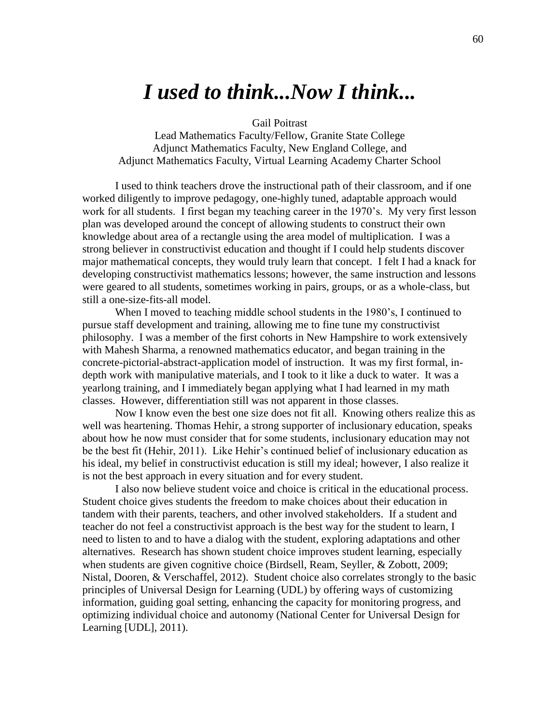## *I used to think...Now I think...*

Gail Poitrast

Lead Mathematics Faculty/Fellow, Granite State College Adjunct Mathematics Faculty, New England College, and Adjunct Mathematics Faculty, Virtual Learning Academy Charter School

I used to think teachers drove the instructional path of their classroom, and if one worked diligently to improve pedagogy, one-highly tuned, adaptable approach would work for all students. I first began my teaching career in the 1970's. My very first lesson plan was developed around the concept of allowing students to construct their own knowledge about area of a rectangle using the area model of multiplication. I was a strong believer in constructivist education and thought if I could help students discover major mathematical concepts, they would truly learn that concept. I felt I had a knack for developing constructivist mathematics lessons; however, the same instruction and lessons were geared to all students, sometimes working in pairs, groups, or as a whole-class, but still a one-size-fits-all model.

When I moved to teaching middle school students in the 1980's, I continued to pursue staff development and training, allowing me to fine tune my constructivist philosophy. I was a member of the first cohorts in New Hampshire to work extensively with Mahesh Sharma, a renowned mathematics educator, and began training in the concrete-pictorial-abstract-application model of instruction. It was my first formal, indepth work with manipulative materials, and I took to it like a duck to water. It was a yearlong training, and I immediately began applying what I had learned in my math classes. However, differentiation still was not apparent in those classes.

Now I know even the best one size does not fit all. Knowing others realize this as well was heartening. Thomas Hehir, a strong supporter of inclusionary education, speaks about how he now must consider that for some students, inclusionary education may not be the best fit (Hehir, 2011). Like Hehir's continued belief of inclusionary education as his ideal, my belief in constructivist education is still my ideal; however, I also realize it is not the best approach in every situation and for every student.

I also now believe student voice and choice is critical in the educational process. Student choice gives students the freedom to make choices about their education in tandem with their parents, teachers, and other involved stakeholders. If a student and teacher do not feel a constructivist approach is the best way for the student to learn, I need to listen to and to have a dialog with the student, exploring adaptations and other alternatives. Research has shown student choice improves student learning, especially when students are given cognitive choice (Birdsell, Ream, Seyller, & Zobott, 2009; Nistal, Dooren, & Verschaffel, 2012). Student choice also correlates strongly to the basic principles of Universal Design for Learning (UDL) by offering ways of customizing information, guiding goal setting, enhancing the capacity for monitoring progress, and optimizing individual choice and autonomy (National Center for Universal Design for Learning [UDL], 2011).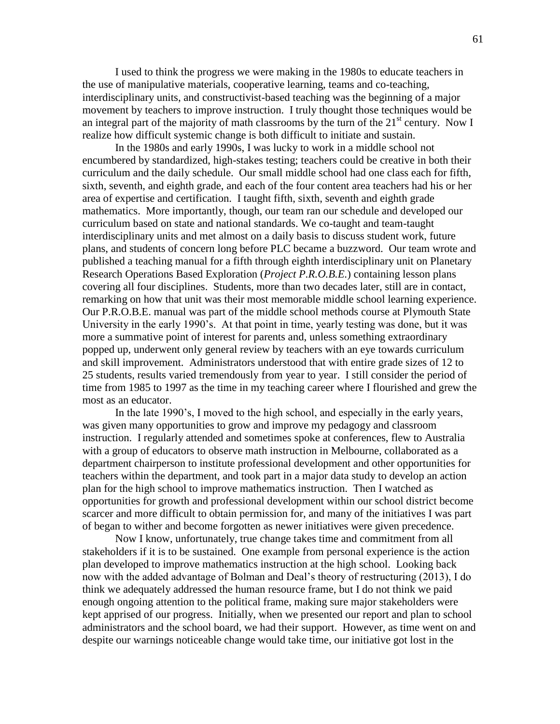I used to think the progress we were making in the 1980s to educate teachers in the use of manipulative materials, cooperative learning, teams and co-teaching, interdisciplinary units, and constructivist-based teaching was the beginning of a major movement by teachers to improve instruction. I truly thought those techniques would be an integral part of the majority of math classrooms by the turn of the  $21<sup>st</sup>$  century. Now I realize how difficult systemic change is both difficult to initiate and sustain.

In the 1980s and early 1990s, I was lucky to work in a middle school not encumbered by standardized, high-stakes testing; teachers could be creative in both their curriculum and the daily schedule. Our small middle school had one class each for fifth, sixth, seventh, and eighth grade, and each of the four content area teachers had his or her area of expertise and certification. I taught fifth, sixth, seventh and eighth grade mathematics. More importantly, though, our team ran our schedule and developed our curriculum based on state and national standards. We co-taught and team-taught interdisciplinary units and met almost on a daily basis to discuss student work, future plans, and students of concern long before PLC became a buzzword. Our team wrote and published a teaching manual for a fifth through eighth interdisciplinary unit on Planetary Research Operations Based Exploration (*Project P.R.O.B.E.*) containing lesson plans covering all four disciplines. Students, more than two decades later, still are in contact, remarking on how that unit was their most memorable middle school learning experience. Our P.R.O.B.E. manual was part of the middle school methods course at Plymouth State University in the early 1990's. At that point in time, yearly testing was done, but it was more a summative point of interest for parents and, unless something extraordinary popped up, underwent only general review by teachers with an eye towards curriculum and skill improvement. Administrators understood that with entire grade sizes of 12 to 25 students, results varied tremendously from year to year. I still consider the period of time from 1985 to 1997 as the time in my teaching career where I flourished and grew the most as an educator.

In the late 1990's, I moved to the high school, and especially in the early years, was given many opportunities to grow and improve my pedagogy and classroom instruction. I regularly attended and sometimes spoke at conferences, flew to Australia with a group of educators to observe math instruction in Melbourne, collaborated as a department chairperson to institute professional development and other opportunities for teachers within the department, and took part in a major data study to develop an action plan for the high school to improve mathematics instruction. Then I watched as opportunities for growth and professional development within our school district become scarcer and more difficult to obtain permission for, and many of the initiatives I was part of began to wither and become forgotten as newer initiatives were given precedence.

Now I know, unfortunately, true change takes time and commitment from all stakeholders if it is to be sustained. One example from personal experience is the action plan developed to improve mathematics instruction at the high school. Looking back now with the added advantage of Bolman and Deal's theory of restructuring (2013), I do think we adequately addressed the human resource frame, but I do not think we paid enough ongoing attention to the political frame, making sure major stakeholders were kept apprised of our progress. Initially, when we presented our report and plan to school administrators and the school board, we had their support. However, as time went on and despite our warnings noticeable change would take time, our initiative got lost in the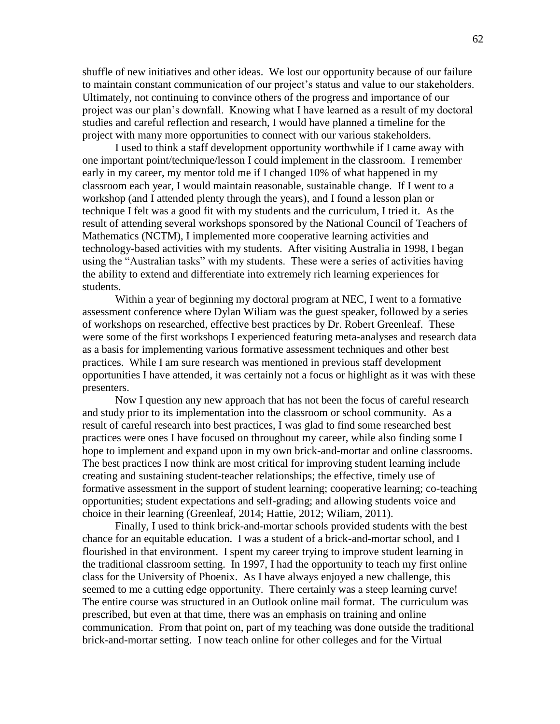shuffle of new initiatives and other ideas. We lost our opportunity because of our failure to maintain constant communication of our project's status and value to our stakeholders. Ultimately, not continuing to convince others of the progress and importance of our project was our plan's downfall. Knowing what I have learned as a result of my doctoral studies and careful reflection and research, I would have planned a timeline for the project with many more opportunities to connect with our various stakeholders.

I used to think a staff development opportunity worthwhile if I came away with one important point/technique/lesson I could implement in the classroom. I remember early in my career, my mentor told me if I changed 10% of what happened in my classroom each year, I would maintain reasonable, sustainable change. If I went to a workshop (and I attended plenty through the years), and I found a lesson plan or technique I felt was a good fit with my students and the curriculum, I tried it. As the result of attending several workshops sponsored by the National Council of Teachers of Mathematics (NCTM), I implemented more cooperative learning activities and technology-based activities with my students. After visiting Australia in 1998, I began using the "Australian tasks" with my students. These were a series of activities having the ability to extend and differentiate into extremely rich learning experiences for students.

Within a year of beginning my doctoral program at NEC, I went to a formative assessment conference where Dylan Wiliam was the guest speaker, followed by a series of workshops on researched, effective best practices by Dr. Robert Greenleaf. These were some of the first workshops I experienced featuring meta-analyses and research data as a basis for implementing various formative assessment techniques and other best practices. While I am sure research was mentioned in previous staff development opportunities I have attended, it was certainly not a focus or highlight as it was with these presenters.

Now I question any new approach that has not been the focus of careful research and study prior to its implementation into the classroom or school community. As a result of careful research into best practices, I was glad to find some researched best practices were ones I have focused on throughout my career, while also finding some I hope to implement and expand upon in my own brick-and-mortar and online classrooms. The best practices I now think are most critical for improving student learning include creating and sustaining student-teacher relationships; the effective, timely use of formative assessment in the support of student learning; cooperative learning; co-teaching opportunities; student expectations and self-grading; and allowing students voice and choice in their learning (Greenleaf, 2014; Hattie, 2012; Wiliam, 2011).

Finally, I used to think brick-and-mortar schools provided students with the best chance for an equitable education. I was a student of a brick-and-mortar school, and I flourished in that environment. I spent my career trying to improve student learning in the traditional classroom setting. In 1997, I had the opportunity to teach my first online class for the University of Phoenix. As I have always enjoyed a new challenge, this seemed to me a cutting edge opportunity. There certainly was a steep learning curve! The entire course was structured in an Outlook online mail format. The curriculum was prescribed, but even at that time, there was an emphasis on training and online communication. From that point on, part of my teaching was done outside the traditional brick-and-mortar setting. I now teach online for other colleges and for the Virtual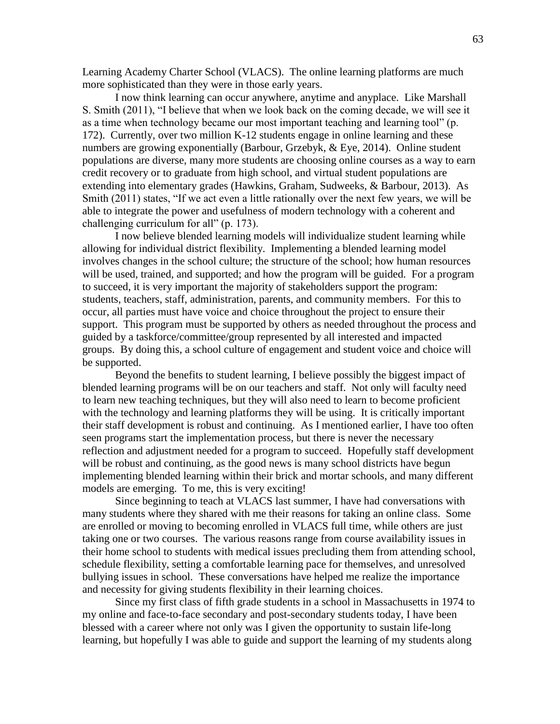Learning Academy Charter School (VLACS). The online learning platforms are much more sophisticated than they were in those early years.

I now think learning can occur anywhere, anytime and anyplace. Like Marshall S. Smith (2011), "I believe that when we look back on the coming decade, we will see it as a time when technology became our most important teaching and learning tool" (p. 172). Currently, over two million K-12 students engage in online learning and these numbers are growing exponentially (Barbour, Grzebyk, & Eye, 2014). Online student populations are diverse, many more students are choosing online courses as a way to earn credit recovery or to graduate from high school, and virtual student populations are extending into elementary grades (Hawkins, Graham, Sudweeks, & Barbour, 2013). As Smith (2011) states, "If we act even a little rationally over the next few years, we will be able to integrate the power and usefulness of modern technology with a coherent and challenging curriculum for all"  $(p. 173)$ .

I now believe blended learning models will individualize student learning while allowing for individual district flexibility. Implementing a blended learning model involves changes in the school culture; the structure of the school; how human resources will be used, trained, and supported; and how the program will be guided. For a program to succeed, it is very important the majority of stakeholders support the program: students, teachers, staff, administration, parents, and community members. For this to occur, all parties must have voice and choice throughout the project to ensure their support. This program must be supported by others as needed throughout the process and guided by a taskforce/committee/group represented by all interested and impacted groups. By doing this, a school culture of engagement and student voice and choice will be supported.

Beyond the benefits to student learning, I believe possibly the biggest impact of blended learning programs will be on our teachers and staff. Not only will faculty need to learn new teaching techniques, but they will also need to learn to become proficient with the technology and learning platforms they will be using. It is critically important their staff development is robust and continuing. As I mentioned earlier, I have too often seen programs start the implementation process, but there is never the necessary reflection and adjustment needed for a program to succeed. Hopefully staff development will be robust and continuing, as the good news is many school districts have begun implementing blended learning within their brick and mortar schools, and many different models are emerging. To me, this is very exciting!

Since beginning to teach at VLACS last summer, I have had conversations with many students where they shared with me their reasons for taking an online class. Some are enrolled or moving to becoming enrolled in VLACS full time, while others are just taking one or two courses. The various reasons range from course availability issues in their home school to students with medical issues precluding them from attending school, schedule flexibility, setting a comfortable learning pace for themselves, and unresolved bullying issues in school. These conversations have helped me realize the importance and necessity for giving students flexibility in their learning choices.

Since my first class of fifth grade students in a school in Massachusetts in 1974 to my online and face-to-face secondary and post-secondary students today, I have been blessed with a career where not only was I given the opportunity to sustain life-long learning, but hopefully I was able to guide and support the learning of my students along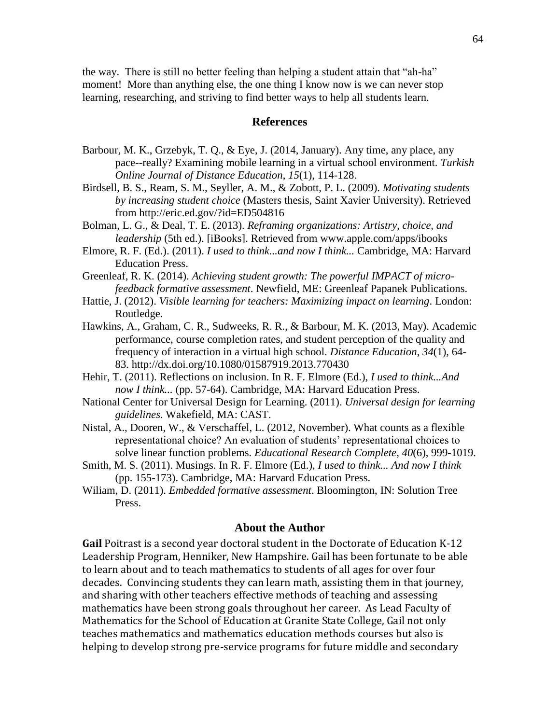the way. There is still no better feeling than helping a student attain that "ah-ha" moment! More than anything else, the one thing I know now is we can never stop learning, researching, and striving to find better ways to help all students learn.

### **References**

- Barbour, M. K., Grzebyk, T. Q., & Eye, J. (2014, January). Any time, any place, any pace--really? Examining mobile learning in a virtual school environment. *Turkish Online Journal of Distance Education*, *15*(1), 114-128.
- Birdsell, B. S., Ream, S. M., Seyller, A. M., & Zobott, P. L. (2009). *Motivating students by increasing student choice* (Masters thesis, Saint Xavier University). Retrieved from http://eric.ed.gov/?id=ED504816
- Bolman, L. G., & Deal, T. E. (2013). *Reframing organizations: Artistry, choice, and leadership* (5th ed.). [iBooks]. Retrieved from www.apple.com/apps/ibooks
- Elmore, R. F. (Ed.). (2011). *I used to think...and now I think...* Cambridge, MA: Harvard Education Press.

Greenleaf, R. K. (2014). *Achieving student growth: The powerful IMPACT of microfeedback formative assessment*. Newfield, ME: Greenleaf Papanek Publications.

- Hattie, J. (2012). *Visible learning for teachers: Maximizing impact on learning*. London: Routledge.
- Hawkins, A., Graham, C. R., Sudweeks, R. R., & Barbour, M. K. (2013, May). Academic performance, course completion rates, and student perception of the quality and frequency of interaction in a virtual high school. *Distance Education*, *34*(1), 64- 83. http://dx.doi.org/10.1080/01587919.2013.770430
- Hehir, T. (2011). Reflections on inclusion. In R. F. Elmore (Ed.), *I used to think...And now I think...* (pp. 57-64). Cambridge, MA: Harvard Education Press.
- National Center for Universal Design for Learning. (2011). *Universal design for learning guidelines*. Wakefield, MA: CAST.
- Nistal, A., Dooren, W., & Verschaffel, L. (2012, November). What counts as a flexible representational choice? An evaluation of students' representational choices to solve linear function problems. *Educational Research Complete*, *40*(6), 999-1019.
- Smith, M. S. (2011). Musings. In R. F. Elmore (Ed.), *I used to think... And now I think*  (pp. 155-173). Cambridge, MA: Harvard Education Press.
- Wiliam, D. (2011). *Embedded formative assessment*. Bloomington, IN: Solution Tree Press.

### **About the Author**

**Gail** Poitrast is a second year doctoral student in the Doctorate of Education K-12 Leadership Program, Henniker, New Hampshire. Gail has been fortunate to be able to learn about and to teach mathematics to students of all ages for over four decades. Convincing students they can learn math, assisting them in that journey, and sharing with other teachers effective methods of teaching and assessing mathematics have been strong goals throughout her career. As Lead Faculty of Mathematics for the School of Education at Granite State College, Gail not only teaches mathematics and mathematics education methods courses but also is helping to develop strong pre-service programs for future middle and secondary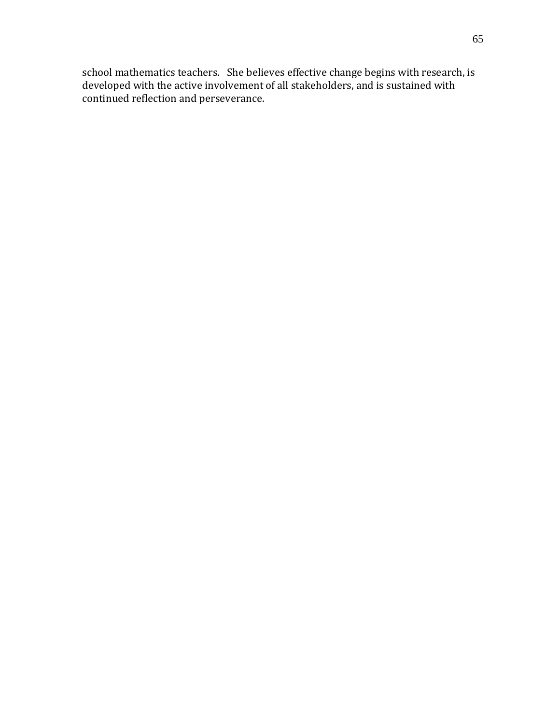school mathematics teachers. She believes effective change begins with research, is developed with the active involvement of all stakeholders, and is sustained with continued reflection and perseverance.